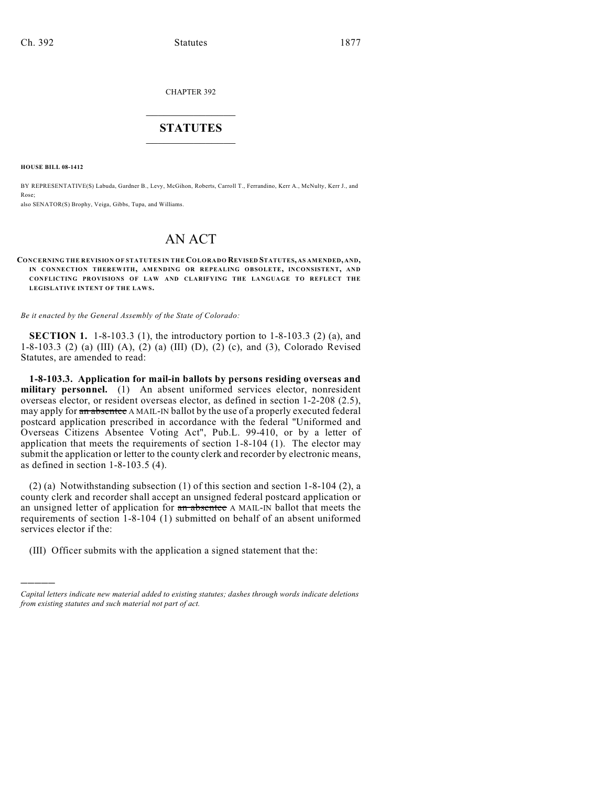CHAPTER 392

## $\mathcal{L}_\text{max}$  . The set of the set of the set of the set of the set of the set of the set of the set of the set of the set of the set of the set of the set of the set of the set of the set of the set of the set of the set **STATUTES**  $\_$   $\_$

**HOUSE BILL 08-1412**

)))))

BY REPRESENTATIVE(S) Labuda, Gardner B., Levy, McGihon, Roberts, Carroll T., Ferrandino, Kerr A., McNulty, Kerr J., and Rose;

also SENATOR(S) Brophy, Veiga, Gibbs, Tupa, and Williams.

# AN ACT

**CONCERNING THE REVISION OF STATUTES IN THE COLORADO REVISED STATUTES, AS AMENDED, AND, IN CONNECTION THEREWITH, AMENDING OR REPEALING OBSOLETE, INCONSISTENT, AND CONFLICTING PROVISIONS OF LAW AND CLARIFYING THE LANGUAGE TO REFLECT THE LEGISLATIVE INTENT OF THE LAWS.** 

*Be it enacted by the General Assembly of the State of Colorado:*

**SECTION 1.** 1-8-103.3 (1), the introductory portion to 1-8-103.3 (2) (a), and 1-8-103.3 (2) (a) (III) (A), (2) (a) (III) (D), (2) (c), and (3), Colorado Revised Statutes, are amended to read:

**1-8-103.3. Application for mail-in ballots by persons residing overseas and military personnel.** (1) An absent uniformed services elector, nonresident overseas elector, or resident overseas elector, as defined in section 1-2-208 (2.5), may apply for an absentee A MAIL-IN ballot by the use of a properly executed federal postcard application prescribed in accordance with the federal "Uniformed and Overseas Citizens Absentee Voting Act", Pub.L. 99-410, or by a letter of application that meets the requirements of section 1-8-104 (1). The elector may submit the application or letter to the county clerk and recorder by electronic means, as defined in section 1-8-103.5 (4).

(2) (a) Notwithstanding subsection (1) of this section and section 1-8-104 (2), a county clerk and recorder shall accept an unsigned federal postcard application or an unsigned letter of application for an absentee A MAIL-IN ballot that meets the requirements of section 1-8-104 (1) submitted on behalf of an absent uniformed services elector if the:

(III) Officer submits with the application a signed statement that the:

*Capital letters indicate new material added to existing statutes; dashes through words indicate deletions from existing statutes and such material not part of act.*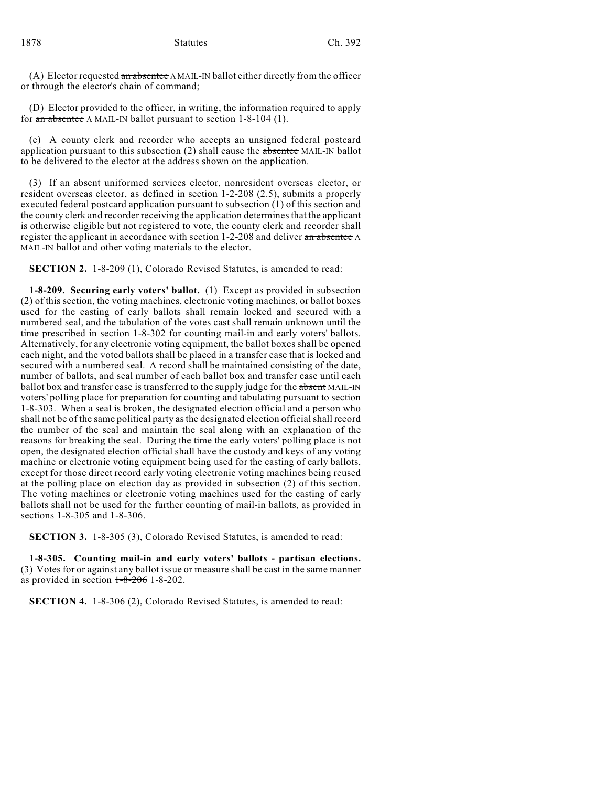(A) Elector requested an absentee A MAIL-IN ballot either directly from the officer or through the elector's chain of command;

(D) Elector provided to the officer, in writing, the information required to apply for an absentee A MAIL-IN ballot pursuant to section 1-8-104 (1).

(c) A county clerk and recorder who accepts an unsigned federal postcard application pursuant to this subsection  $(2)$  shall cause the absentee MAIL-IN ballot to be delivered to the elector at the address shown on the application.

(3) If an absent uniformed services elector, nonresident overseas elector, or resident overseas elector, as defined in section 1-2-208 (2.5), submits a properly executed federal postcard application pursuant to subsection (1) of this section and the county clerk and recorder receiving the application determines that the applicant is otherwise eligible but not registered to vote, the county clerk and recorder shall register the applicant in accordance with section 1-2-208 and deliver an absentee A MAIL-IN ballot and other voting materials to the elector.

**SECTION 2.** 1-8-209 (1), Colorado Revised Statutes, is amended to read:

**1-8-209. Securing early voters' ballot.** (1) Except as provided in subsection (2) of this section, the voting machines, electronic voting machines, or ballot boxes used for the casting of early ballots shall remain locked and secured with a numbered seal, and the tabulation of the votes cast shall remain unknown until the time prescribed in section 1-8-302 for counting mail-in and early voters' ballots. Alternatively, for any electronic voting equipment, the ballot boxes shall be opened each night, and the voted ballots shall be placed in a transfer case that is locked and secured with a numbered seal. A record shall be maintained consisting of the date, number of ballots, and seal number of each ballot box and transfer case until each ballot box and transfer case is transferred to the supply judge for the absent MAIL-IN voters' polling place for preparation for counting and tabulating pursuant to section 1-8-303. When a seal is broken, the designated election official and a person who shall not be of the same political party as the designated election official shall record the number of the seal and maintain the seal along with an explanation of the reasons for breaking the seal. During the time the early voters' polling place is not open, the designated election official shall have the custody and keys of any voting machine or electronic voting equipment being used for the casting of early ballots, except for those direct record early voting electronic voting machines being reused at the polling place on election day as provided in subsection (2) of this section. The voting machines or electronic voting machines used for the casting of early ballots shall not be used for the further counting of mail-in ballots, as provided in sections 1-8-305 and 1-8-306.

**SECTION 3.** 1-8-305 (3), Colorado Revised Statutes, is amended to read:

**1-8-305. Counting mail-in and early voters' ballots - partisan elections.** (3) Votes for or against any ballot issue or measure shall be cast in the same manner as provided in section  $1-8-206$  1-8-202.

**SECTION 4.** 1-8-306 (2), Colorado Revised Statutes, is amended to read: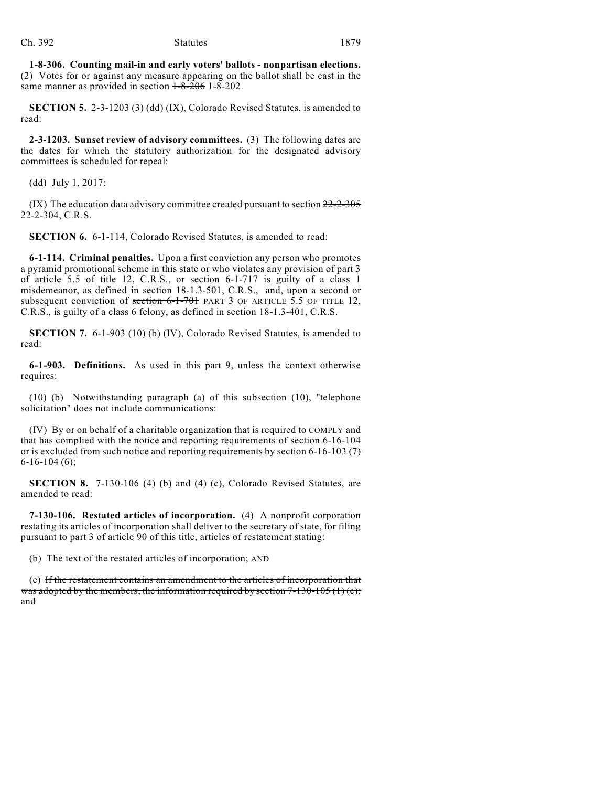**1-8-306. Counting mail-in and early voters' ballots - nonpartisan elections.** (2) Votes for or against any measure appearing on the ballot shall be cast in the same manner as provided in section  $1-8-206$  1-8-202.

**SECTION 5.** 2-3-1203 (3) (dd) (IX), Colorado Revised Statutes, is amended to read:

**2-3-1203. Sunset review of advisory committees.** (3) The following dates are the dates for which the statutory authorization for the designated advisory committees is scheduled for repeal:

(dd) July 1, 2017:

 $(IX)$  The education data advisory committee created pursuant to section  $22-2-305$ 22-2-304, C.R.S.

**SECTION 6.** 6-1-114, Colorado Revised Statutes, is amended to read:

**6-1-114. Criminal penalties.** Upon a first conviction any person who promotes a pyramid promotional scheme in this state or who violates any provision of part 3 of article 5.5 of title 12, C.R.S., or section 6-1-717 is guilty of a class 1 misdemeanor, as defined in section 18-1.3-501, C.R.S., and, upon a second or subsequent conviction of section  $6-1-701$  PART 3 OF ARTICLE 5.5 OF TITLE 12, C.R.S., is guilty of a class 6 felony, as defined in section 18-1.3-401, C.R.S.

**SECTION 7.** 6-1-903 (10) (b) (IV), Colorado Revised Statutes, is amended to read:

**6-1-903. Definitions.** As used in this part 9, unless the context otherwise requires:

(10) (b) Notwithstanding paragraph (a) of this subsection (10), "telephone solicitation" does not include communications:

(IV) By or on behalf of a charitable organization that is required to COMPLY and that has complied with the notice and reporting requirements of section 6-16-104 or is excluded from such notice and reporting requirements by section  $6-16-103(7)$ 6-16-104 (6);

**SECTION 8.** 7-130-106 (4) (b) and (4) (c), Colorado Revised Statutes, are amended to read:

**7-130-106. Restated articles of incorporation.** (4) A nonprofit corporation restating its articles of incorporation shall deliver to the secretary of state, for filing pursuant to part 3 of article 90 of this title, articles of restatement stating:

(b) The text of the restated articles of incorporation; AND

(c) If the restatement contains an amendment to the articles of incorporation that was adopted by the members, the information required by section  $7-130-105(1)$  (e); and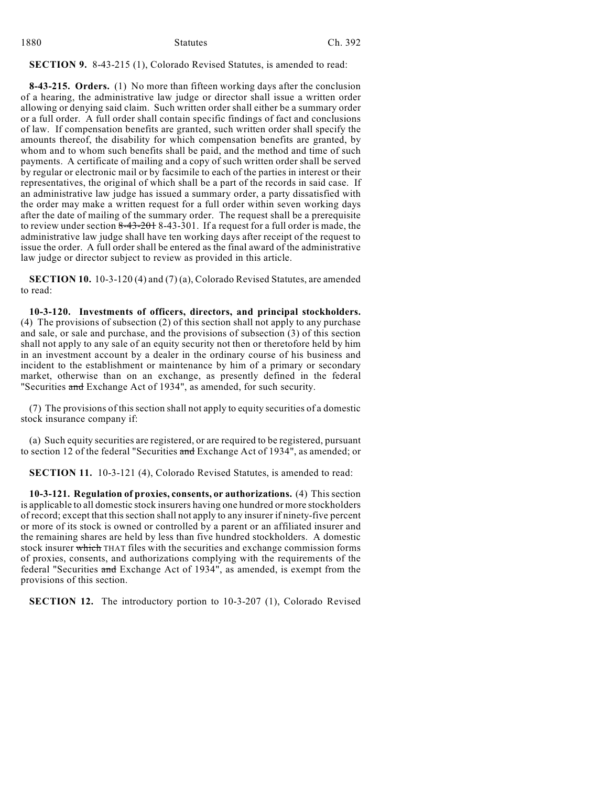| 1880 | <b>Statutes</b> | Ch. 392 |
|------|-----------------|---------|
|      |                 |         |

**SECTION 9.** 8-43-215 (1), Colorado Revised Statutes, is amended to read:

**8-43-215. Orders.** (1) No more than fifteen working days after the conclusion of a hearing, the administrative law judge or director shall issue a written order allowing or denying said claim. Such written order shall either be a summary order or a full order. A full order shall contain specific findings of fact and conclusions of law. If compensation benefits are granted, such written order shall specify the amounts thereof, the disability for which compensation benefits are granted, by whom and to whom such benefits shall be paid, and the method and time of such payments. A certificate of mailing and a copy of such written order shall be served by regular or electronic mail or by facsimile to each of the parties in interest or their representatives, the original of which shall be a part of the records in said case. If an administrative law judge has issued a summary order, a party dissatisfied with the order may make a written request for a full order within seven working days after the date of mailing of the summary order. The request shall be a prerequisite to review under section  $8-43-201$   $8-43-301$ . If a request for a full order is made, the administrative law judge shall have ten working days after receipt of the request to issue the order. A full order shall be entered as the final award of the administrative law judge or director subject to review as provided in this article.

**SECTION 10.** 10-3-120 (4) and (7) (a), Colorado Revised Statutes, are amended to read:

**10-3-120. Investments of officers, directors, and principal stockholders.** (4) The provisions of subsection (2) of this section shall not apply to any purchase and sale, or sale and purchase, and the provisions of subsection (3) of this section shall not apply to any sale of an equity security not then or theretofore held by him in an investment account by a dealer in the ordinary course of his business and incident to the establishment or maintenance by him of a primary or secondary market, otherwise than on an exchange, as presently defined in the federal "Securities and Exchange Act of 1934", as amended, for such security.

(7) The provisions of this section shall not apply to equity securities of a domestic stock insurance company if:

(a) Such equity securities are registered, or are required to be registered, pursuant to section 12 of the federal "Securities and Exchange Act of 1934", as amended; or

**SECTION 11.** 10-3-121 (4), Colorado Revised Statutes, is amended to read:

**10-3-121. Regulation of proxies, consents, or authorizations.** (4) This section is applicable to all domestic stock insurers having one hundred or more stockholders of record; except that this section shall not apply to any insurer if ninety-five percent or more of its stock is owned or controlled by a parent or an affiliated insurer and the remaining shares are held by less than five hundred stockholders. A domestic stock insurer which THAT files with the securities and exchange commission forms of proxies, consents, and authorizations complying with the requirements of the federal "Securities and Exchange Act of 1934", as amended, is exempt from the provisions of this section.

**SECTION 12.** The introductory portion to 10-3-207 (1), Colorado Revised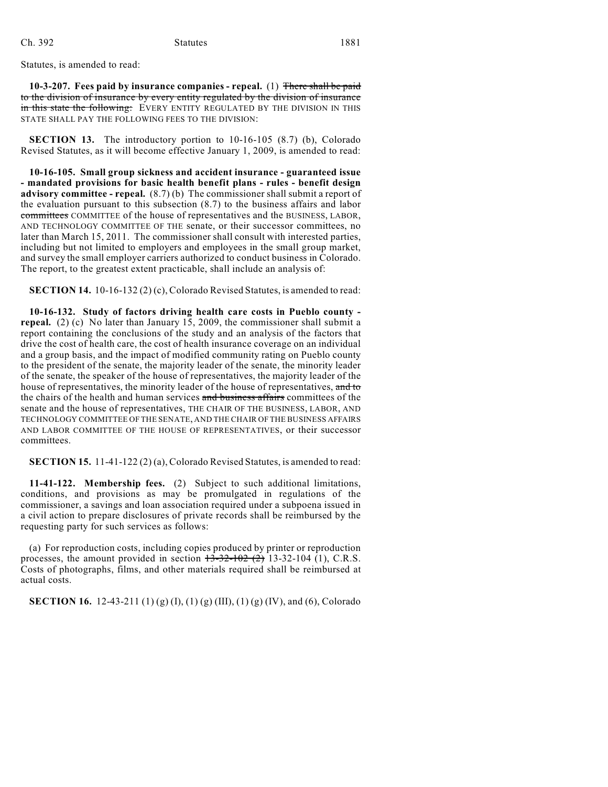Statutes, is amended to read:

**10-3-207. Fees paid by insurance companies - repeal.** (1) There shall be paid to the division of insurance by every entity regulated by the division of insurance in this state the following: EVERY ENTITY REGULATED BY THE DIVISION IN THIS STATE SHALL PAY THE FOLLOWING FEES TO THE DIVISION:

**SECTION 13.** The introductory portion to 10-16-105 (8.7) (b), Colorado Revised Statutes, as it will become effective January 1, 2009, is amended to read:

**10-16-105. Small group sickness and accident insurance - guaranteed issue - mandated provisions for basic health benefit plans - rules - benefit design advisory committee - repeal.** (8.7) (b) The commissioner shall submit a report of the evaluation pursuant to this subsection (8.7) to the business affairs and labor committees COMMITTEE of the house of representatives and the BUSINESS, LABOR, AND TECHNOLOGY COMMITTEE OF THE senate, or their successor committees, no later than March 15, 2011. The commissioner shall consult with interested parties, including but not limited to employers and employees in the small group market, and survey the small employer carriers authorized to conduct business in Colorado. The report, to the greatest extent practicable, shall include an analysis of:

**SECTION 14.** 10-16-132 (2) (c), Colorado Revised Statutes, is amended to read:

**10-16-132. Study of factors driving health care costs in Pueblo county repeal.** (2) (c) No later than January 15, 2009, the commissioner shall submit a report containing the conclusions of the study and an analysis of the factors that drive the cost of health care, the cost of health insurance coverage on an individual and a group basis, and the impact of modified community rating on Pueblo county to the president of the senate, the majority leader of the senate, the minority leader of the senate, the speaker of the house of representatives, the majority leader of the house of representatives, the minority leader of the house of representatives, and to the chairs of the health and human services and business affairs committees of the senate and the house of representatives, THE CHAIR OF THE BUSINESS, LABOR, AND TECHNOLOGY COMMITTEE OF THE SENATE, AND THE CHAIR OF THE BUSINESS AFFAIRS AND LABOR COMMITTEE OF THE HOUSE OF REPRESENTATIVES, or their successor committees.

**SECTION 15.** 11-41-122 (2) (a), Colorado Revised Statutes, is amended to read:

**11-41-122. Membership fees.** (2) Subject to such additional limitations, conditions, and provisions as may be promulgated in regulations of the commissioner, a savings and loan association required under a subpoena issued in a civil action to prepare disclosures of private records shall be reimbursed by the requesting party for such services as follows:

(a) For reproduction costs, including copies produced by printer or reproduction processes, the amount provided in section  $13-32-102$  (2) 13-32-104 (1), C.R.S. Costs of photographs, films, and other materials required shall be reimbursed at actual costs.

**SECTION 16.** 12-43-211 (1) (g) (I), (1) (g) (III), (1) (g) (IV), and (6), Colorado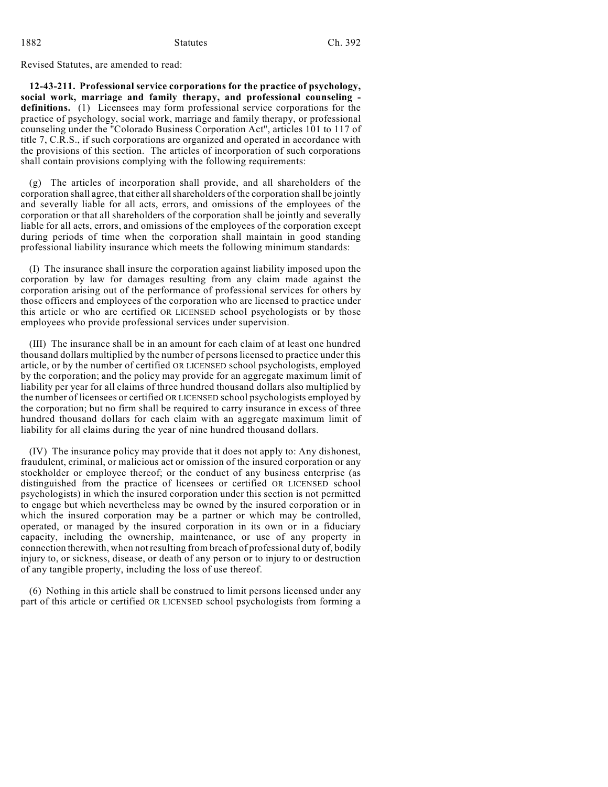Revised Statutes, are amended to read:

**12-43-211. Professional service corporations for the practice of psychology, social work, marriage and family therapy, and professional counseling definitions.** (1) Licensees may form professional service corporations for the practice of psychology, social work, marriage and family therapy, or professional counseling under the "Colorado Business Corporation Act", articles 101 to 117 of title 7, C.R.S., if such corporations are organized and operated in accordance with the provisions of this section. The articles of incorporation of such corporations shall contain provisions complying with the following requirements:

(g) The articles of incorporation shall provide, and all shareholders of the corporation shall agree, that either all shareholders of the corporation shall be jointly and severally liable for all acts, errors, and omissions of the employees of the corporation or that all shareholders of the corporation shall be jointly and severally liable for all acts, errors, and omissions of the employees of the corporation except during periods of time when the corporation shall maintain in good standing professional liability insurance which meets the following minimum standards:

(I) The insurance shall insure the corporation against liability imposed upon the corporation by law for damages resulting from any claim made against the corporation arising out of the performance of professional services for others by those officers and employees of the corporation who are licensed to practice under this article or who are certified OR LICENSED school psychologists or by those employees who provide professional services under supervision.

(III) The insurance shall be in an amount for each claim of at least one hundred thousand dollars multiplied by the number of persons licensed to practice under this article, or by the number of certified OR LICENSED school psychologists, employed by the corporation; and the policy may provide for an aggregate maximum limit of liability per year for all claims of three hundred thousand dollars also multiplied by the number of licensees or certified OR LICENSED school psychologists employed by the corporation; but no firm shall be required to carry insurance in excess of three hundred thousand dollars for each claim with an aggregate maximum limit of liability for all claims during the year of nine hundred thousand dollars.

(IV) The insurance policy may provide that it does not apply to: Any dishonest, fraudulent, criminal, or malicious act or omission of the insured corporation or any stockholder or employee thereof; or the conduct of any business enterprise (as distinguished from the practice of licensees or certified OR LICENSED school psychologists) in which the insured corporation under this section is not permitted to engage but which nevertheless may be owned by the insured corporation or in which the insured corporation may be a partner or which may be controlled, operated, or managed by the insured corporation in its own or in a fiduciary capacity, including the ownership, maintenance, or use of any property in connection therewith, when not resulting from breach of professional duty of, bodily injury to, or sickness, disease, or death of any person or to injury to or destruction of any tangible property, including the loss of use thereof.

(6) Nothing in this article shall be construed to limit persons licensed under any part of this article or certified OR LICENSED school psychologists from forming a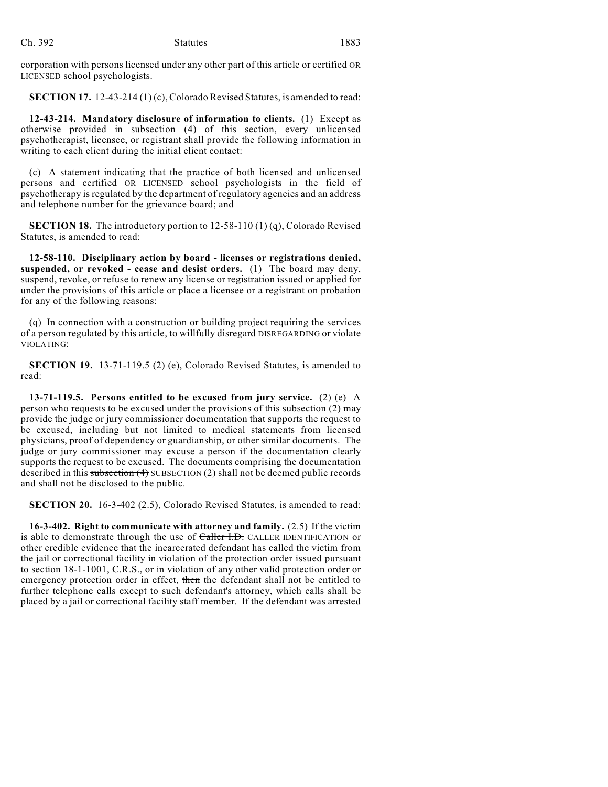corporation with persons licensed under any other part of this article or certified OR LICENSED school psychologists.

**SECTION 17.** 12-43-214 (1) (c), Colorado Revised Statutes, is amended to read:

**12-43-214. Mandatory disclosure of information to clients.** (1) Except as otherwise provided in subsection (4) of this section, every unlicensed psychotherapist, licensee, or registrant shall provide the following information in writing to each client during the initial client contact:

(c) A statement indicating that the practice of both licensed and unlicensed persons and certified OR LICENSED school psychologists in the field of psychotherapy is regulated by the department of regulatory agencies and an address and telephone number for the grievance board; and

**SECTION 18.** The introductory portion to 12-58-110 (1) (q), Colorado Revised Statutes, is amended to read:

**12-58-110. Disciplinary action by board - licenses or registrations denied, suspended, or revoked - cease and desist orders.** (1) The board may deny, suspend, revoke, or refuse to renew any license or registration issued or applied for under the provisions of this article or place a licensee or a registrant on probation for any of the following reasons:

(q) In connection with a construction or building project requiring the services of a person regulated by this article, to willfully disregard DISREGARDING or violate VIOLATING:

**SECTION 19.** 13-71-119.5 (2) (e), Colorado Revised Statutes, is amended to read:

**13-71-119.5. Persons entitled to be excused from jury service.** (2) (e) A person who requests to be excused under the provisions of this subsection (2) may provide the judge or jury commissioner documentation that supports the request to be excused, including but not limited to medical statements from licensed physicians, proof of dependency or guardianship, or other similar documents. The judge or jury commissioner may excuse a person if the documentation clearly supports the request to be excused. The documents comprising the documentation described in this subsection  $(4)$  SUBSECTION  $(2)$  shall not be deemed public records and shall not be disclosed to the public.

**SECTION 20.** 16-3-402 (2.5), Colorado Revised Statutes, is amended to read:

**16-3-402. Right to communicate with attorney and family.** (2.5) If the victim is able to demonstrate through the use of Caller I.D. CALLER IDENTIFICATION or other credible evidence that the incarcerated defendant has called the victim from the jail or correctional facility in violation of the protection order issued pursuant to section 18-1-1001, C.R.S., or in violation of any other valid protection order or emergency protection order in effect, then the defendant shall not be entitled to further telephone calls except to such defendant's attorney, which calls shall be placed by a jail or correctional facility staff member. If the defendant was arrested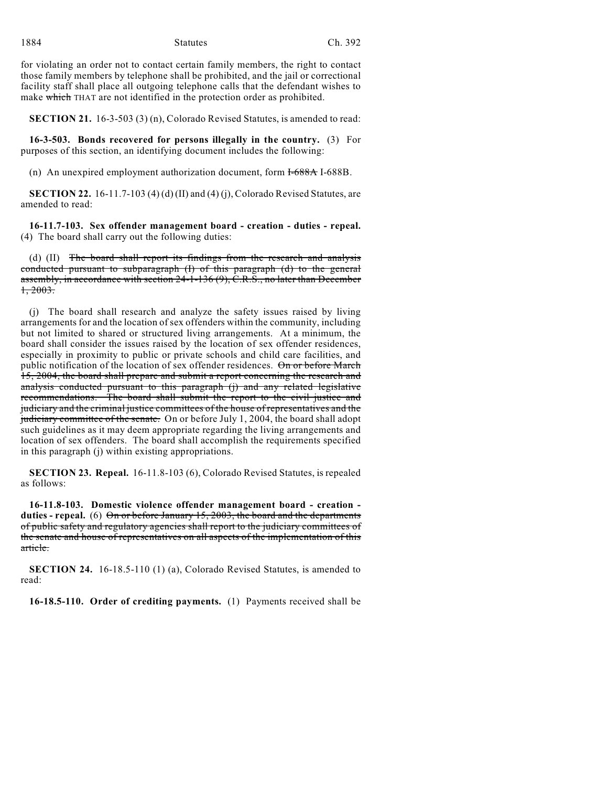for violating an order not to contact certain family members, the right to contact those family members by telephone shall be prohibited, and the jail or correctional facility staff shall place all outgoing telephone calls that the defendant wishes to make which THAT are not identified in the protection order as prohibited.

**SECTION 21.** 16-3-503 (3) (n), Colorado Revised Statutes, is amended to read:

**16-3-503. Bonds recovered for persons illegally in the country.** (3) For purposes of this section, an identifying document includes the following:

(n) An unexpired employment authorization document, form  $\overline{1-688}A$  I-688B.

**SECTION 22.** 16-11.7-103 (4) (d) (II) and (4) (j), Colorado Revised Statutes, are amended to read:

**16-11.7-103. Sex offender management board - creation - duties - repeal.** (4) The board shall carry out the following duties:

(d) (II) The board shall report its findings from the research and analysis conducted pursuant to subparagraph (I) of this paragraph (d) to the general assembly, in accordance with section 24-1-136 (9), C.R.S., no later than December  $1, 2003.$ 

(j) The board shall research and analyze the safety issues raised by living arrangements for and the location of sex offenders within the community, including but not limited to shared or structured living arrangements. At a minimum, the board shall consider the issues raised by the location of sex offender residences, especially in proximity to public or private schools and child care facilities, and public notification of the location of sex offender residences. On or before March 15, 2004, the board shall prepare and submit a report concerning the research and analysis conducted pursuant to this paragraph (j) and any related legislative recommendations. The board shall submit the report to the civil justice and judiciary and the criminal justice committees of the house of representatives and the judiciary committee of the senate. On or before July 1, 2004, the board shall adopt such guidelines as it may deem appropriate regarding the living arrangements and location of sex offenders. The board shall accomplish the requirements specified in this paragraph (j) within existing appropriations.

**SECTION 23. Repeal.** 16-11.8-103 (6), Colorado Revised Statutes, is repealed as follows:

**16-11.8-103. Domestic violence offender management board - creation duties - repeal.** (6) On or before January 15, 2003, the board and the departments of public safety and regulatory agencies shall report to the judiciary committees of the senate and house of representatives on all aspects of the implementation of this article.

**SECTION 24.** 16-18.5-110 (1) (a), Colorado Revised Statutes, is amended to read:

**16-18.5-110. Order of crediting payments.** (1) Payments received shall be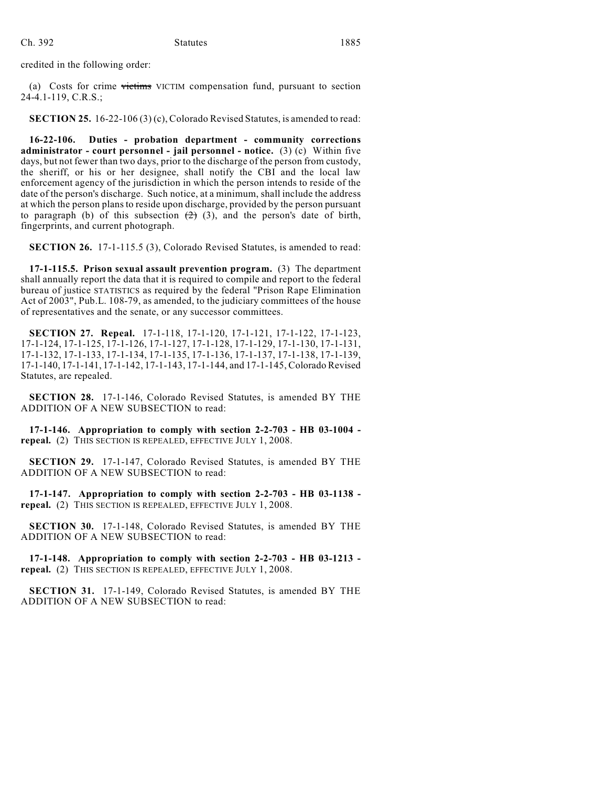credited in the following order:

(a) Costs for crime victims VICTIM compensation fund, pursuant to section 24-4.1-119, C.R.S.;

**SECTION 25.** 16-22-106 (3) (c), Colorado Revised Statutes, is amended to read:

**16-22-106. Duties - probation department - community corrections administrator - court personnel - jail personnel - notice.** (3) (c) Within five days, but not fewer than two days, prior to the discharge of the person from custody, the sheriff, or his or her designee, shall notify the CBI and the local law enforcement agency of the jurisdiction in which the person intends to reside of the date of the person's discharge. Such notice, at a minimum, shall include the address at which the person plans to reside upon discharge, provided by the person pursuant to paragraph (b) of this subsection  $(2)$  (3), and the person's date of birth, fingerprints, and current photograph.

**SECTION 26.** 17-1-115.5 (3), Colorado Revised Statutes, is amended to read:

**17-1-115.5. Prison sexual assault prevention program.** (3) The department shall annually report the data that it is required to compile and report to the federal bureau of justice STATISTICS as required by the federal "Prison Rape Elimination Act of 2003", Pub.L. 108-79, as amended, to the judiciary committees of the house of representatives and the senate, or any successor committees.

**SECTION 27. Repeal.** 17-1-118, 17-1-120, 17-1-121, 17-1-122, 17-1-123, 17-1-124, 17-1-125, 17-1-126, 17-1-127, 17-1-128, 17-1-129, 17-1-130, 17-1-131, 17-1-132, 17-1-133, 17-1-134, 17-1-135, 17-1-136, 17-1-137, 17-1-138, 17-1-139, 17-1-140, 17-1-141, 17-1-142, 17-1-143, 17-1-144, and 17-1-145, Colorado Revised Statutes, are repealed.

**SECTION 28.** 17-1-146, Colorado Revised Statutes, is amended BY THE ADDITION OF A NEW SUBSECTION to read:

**17-1-146. Appropriation to comply with section 2-2-703 - HB 03-1004 repeal.** (2) THIS SECTION IS REPEALED, EFFECTIVE JULY 1, 2008.

**SECTION 29.** 17-1-147, Colorado Revised Statutes, is amended BY THE ADDITION OF A NEW SUBSECTION to read:

**17-1-147. Appropriation to comply with section 2-2-703 - HB 03-1138 repeal.** (2) THIS SECTION IS REPEALED, EFFECTIVE JULY 1, 2008.

**SECTION 30.** 17-1-148, Colorado Revised Statutes, is amended BY THE ADDITION OF A NEW SUBSECTION to read:

**17-1-148. Appropriation to comply with section 2-2-703 - HB 03-1213 repeal.** (2) THIS SECTION IS REPEALED, EFFECTIVE JULY 1, 2008.

**SECTION 31.** 17-1-149, Colorado Revised Statutes, is amended BY THE ADDITION OF A NEW SUBSECTION to read: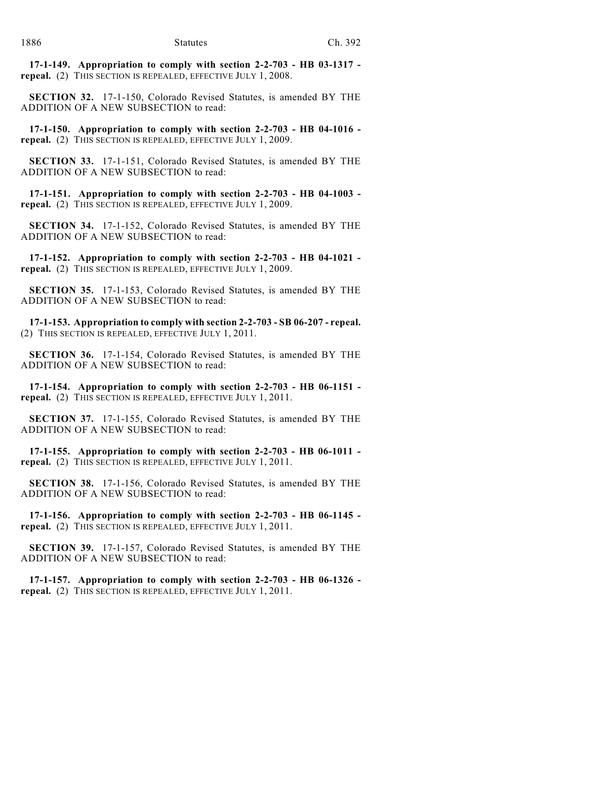**17-1-149. Appropriation to comply with section 2-2-703 - HB 03-1317 repeal.** (2) THIS SECTION IS REPEALED, EFFECTIVE JULY 1, 2008.

**SECTION 32.** 17-1-150, Colorado Revised Statutes, is amended BY THE ADDITION OF A NEW SUBSECTION to read:

**17-1-150. Appropriation to comply with section 2-2-703 - HB 04-1016 repeal.** (2) THIS SECTION IS REPEALED, EFFECTIVE JULY 1, 2009.

**SECTION 33.** 17-1-151, Colorado Revised Statutes, is amended BY THE ADDITION OF A NEW SUBSECTION to read:

**17-1-151. Appropriation to comply with section 2-2-703 - HB 04-1003 repeal.** (2) THIS SECTION IS REPEALED, EFFECTIVE JULY 1, 2009.

**SECTION 34.** 17-1-152, Colorado Revised Statutes, is amended BY THE ADDITION OF A NEW SUBSECTION to read:

**17-1-152. Appropriation to comply with section 2-2-703 - HB 04-1021 repeal.** (2) THIS SECTION IS REPEALED, EFFECTIVE JULY 1, 2009.

**SECTION 35.** 17-1-153, Colorado Revised Statutes, is amended BY THE ADDITION OF A NEW SUBSECTION to read:

**17-1-153. Appropriation to comply with section 2-2-703 - SB 06-207 - repeal.** (2) THIS SECTION IS REPEALED, EFFECTIVE JULY 1, 2011.

**SECTION 36.** 17-1-154, Colorado Revised Statutes, is amended BY THE ADDITION OF A NEW SUBSECTION to read:

**17-1-154. Appropriation to comply with section 2-2-703 - HB 06-1151 repeal.** (2) THIS SECTION IS REPEALED, EFFECTIVE JULY 1, 2011.

**SECTION 37.** 17-1-155, Colorado Revised Statutes, is amended BY THE ADDITION OF A NEW SUBSECTION to read:

**17-1-155. Appropriation to comply with section 2-2-703 - HB 06-1011 repeal.** (2) THIS SECTION IS REPEALED, EFFECTIVE JULY 1, 2011.

**SECTION 38.** 17-1-156, Colorado Revised Statutes, is amended BY THE ADDITION OF A NEW SUBSECTION to read:

**17-1-156. Appropriation to comply with section 2-2-703 - HB 06-1145 repeal.** (2) THIS SECTION IS REPEALED, EFFECTIVE JULY 1, 2011.

**SECTION 39.** 17-1-157, Colorado Revised Statutes, is amended BY THE ADDITION OF A NEW SUBSECTION to read:

**17-1-157. Appropriation to comply with section 2-2-703 - HB 06-1326 repeal.** (2) THIS SECTION IS REPEALED, EFFECTIVE JULY 1, 2011.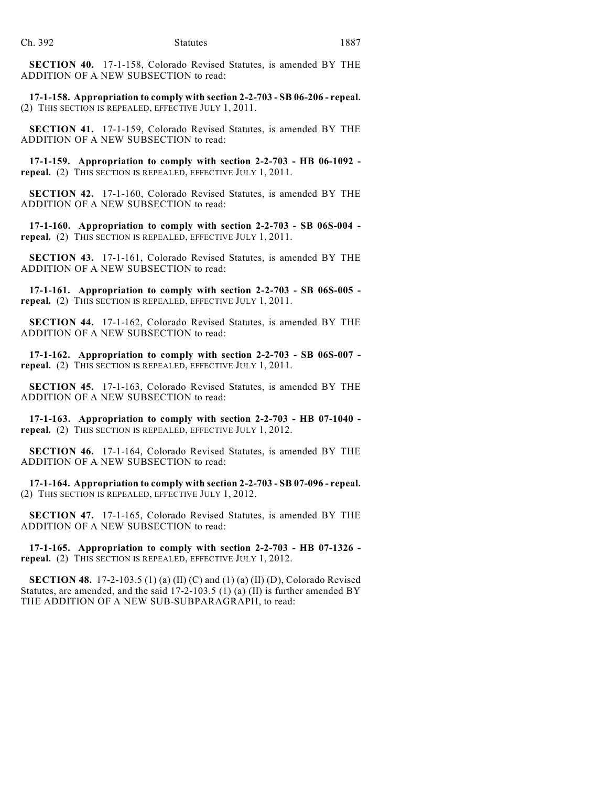**SECTION 40.** 17-1-158, Colorado Revised Statutes, is amended BY THE ADDITION OF A NEW SUBSECTION to read:

**17-1-158. Appropriation to comply with section 2-2-703 - SB 06-206 - repeal.** (2) THIS SECTION IS REPEALED, EFFECTIVE JULY 1, 2011.

**SECTION 41.** 17-1-159, Colorado Revised Statutes, is amended BY THE ADDITION OF A NEW SUBSECTION to read:

**17-1-159. Appropriation to comply with section 2-2-703 - HB 06-1092 repeal.** (2) THIS SECTION IS REPEALED, EFFECTIVE JULY 1, 2011.

**SECTION 42.** 17-1-160, Colorado Revised Statutes, is amended BY THE ADDITION OF A NEW SUBSECTION to read:

**17-1-160. Appropriation to comply with section 2-2-703 - SB 06S-004 repeal.** (2) THIS SECTION IS REPEALED, EFFECTIVE JULY 1, 2011.

**SECTION 43.** 17-1-161, Colorado Revised Statutes, is amended BY THE ADDITION OF A NEW SUBSECTION to read:

**17-1-161. Appropriation to comply with section 2-2-703 - SB 06S-005 repeal.** (2) THIS SECTION IS REPEALED, EFFECTIVE JULY 1, 2011.

**SECTION 44.** 17-1-162, Colorado Revised Statutes, is amended BY THE ADDITION OF A NEW SUBSECTION to read:

**17-1-162. Appropriation to comply with section 2-2-703 - SB 06S-007 repeal.** (2) THIS SECTION IS REPEALED, EFFECTIVE JULY 1, 2011.

**SECTION 45.** 17-1-163, Colorado Revised Statutes, is amended BY THE ADDITION OF A NEW SUBSECTION to read:

**17-1-163. Appropriation to comply with section 2-2-703 - HB 07-1040 repeal.** (2) THIS SECTION IS REPEALED, EFFECTIVE JULY 1, 2012.

**SECTION 46.** 17-1-164, Colorado Revised Statutes, is amended BY THE ADDITION OF A NEW SUBSECTION to read:

**17-1-164. Appropriation to comply with section 2-2-703 - SB 07-096 - repeal.** (2) THIS SECTION IS REPEALED, EFFECTIVE JULY 1, 2012.

**SECTION 47.** 17-1-165, Colorado Revised Statutes, is amended BY THE ADDITION OF A NEW SUBSECTION to read:

**17-1-165. Appropriation to comply with section 2-2-703 - HB 07-1326 repeal.** (2) THIS SECTION IS REPEALED, EFFECTIVE JULY 1, 2012.

**SECTION 48.** 17-2-103.5 (1) (a) (II) (C) and (1) (a) (II) (D), Colorado Revised Statutes, are amended, and the said 17-2-103.5 (1) (a) (II) is further amended BY THE ADDITION OF A NEW SUB-SUBPARAGRAPH, to read: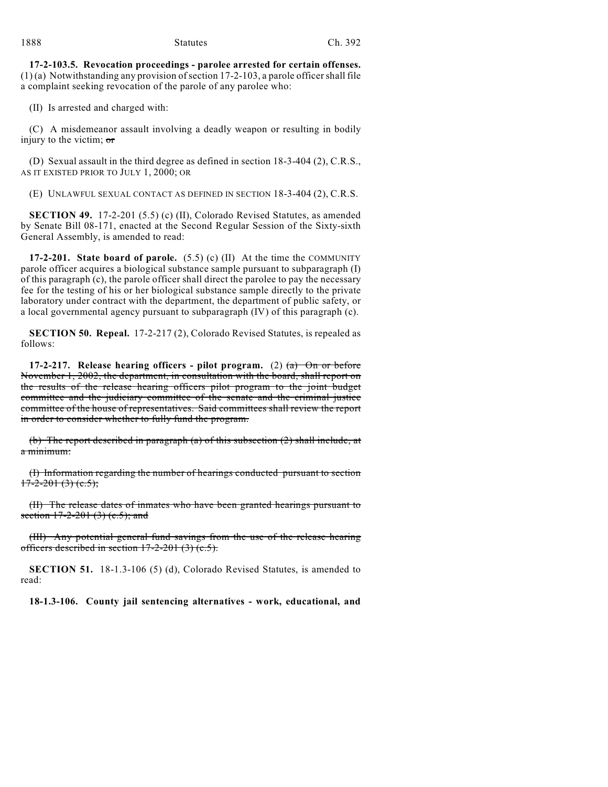**17-2-103.5. Revocation proceedings - parolee arrested for certain offenses.**  $(1)$  (a) Notwithstanding any provision of section 17-2-103, a parole officer shall file a complaint seeking revocation of the parole of any parolee who:

(II) Is arrested and charged with:

(C) A misdemeanor assault involving a deadly weapon or resulting in bodily injury to the victim;  $\sigma$ 

(D) Sexual assault in the third degree as defined in section 18-3-404 (2), C.R.S., AS IT EXISTED PRIOR TO JULY 1, 2000; OR

(E) UNLAWFUL SEXUAL CONTACT AS DEFINED IN SECTION 18-3-404 (2), C.R.S.

**SECTION 49.** 17-2-201 (5.5) (c) (II), Colorado Revised Statutes, as amended by Senate Bill 08-171, enacted at the Second Regular Session of the Sixty-sixth General Assembly, is amended to read:

**17-2-201. State board of parole.** (5.5) (c) (II) At the time the COMMUNITY parole officer acquires a biological substance sample pursuant to subparagraph (I) of this paragraph (c), the parole officer shall direct the parolee to pay the necessary fee for the testing of his or her biological substance sample directly to the private laboratory under contract with the department, the department of public safety, or a local governmental agency pursuant to subparagraph (IV) of this paragraph (c).

**SECTION 50. Repeal.** 17-2-217 (2), Colorado Revised Statutes, is repealed as follows:

**17-2-217. Release hearing officers - pilot program.** (2) (a) On or before November 1, 2002, the department, in consultation with the board, shall report on the results of the release hearing officers pilot program to the joint budget committee and the judiciary committee of the senate and the criminal justice committee of the house of representatives. Said committees shall review the report in order to consider whether to fully fund the program.

(b) The report described in paragraph (a) of this subsection (2) shall include, at a minimum:

(I) Information regarding the number of hearings conducted pursuant to section  $17-2-201(3)(c.5);$ 

(II) The release dates of inmates who have been granted hearings pursuant to section  $17-2-201$  (3) (c.5); and

(III) Any potential general fund savings from the use of the release hearing officers described in section 17-2-201 (3) (c.5).

**SECTION 51.** 18-1.3-106 (5) (d), Colorado Revised Statutes, is amended to read:

**18-1.3-106. County jail sentencing alternatives - work, educational, and**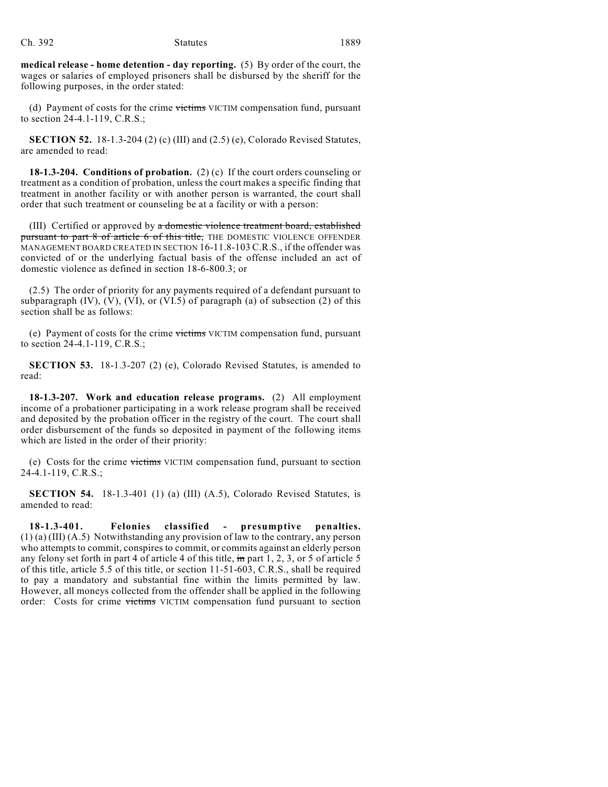**medical release - home detention - day reporting.** (5) By order of the court, the wages or salaries of employed prisoners shall be disbursed by the sheriff for the following purposes, in the order stated:

(d) Payment of costs for the crime victims VICTIM compensation fund, pursuant to section 24-4.1-119, C.R.S.;

**SECTION 52.** 18-1.3-204 (2) (c) (III) and (2.5) (e), Colorado Revised Statutes, are amended to read:

**18-1.3-204. Conditions of probation.** (2) (c) If the court orders counseling or treatment as a condition of probation, unless the court makes a specific finding that treatment in another facility or with another person is warranted, the court shall order that such treatment or counseling be at a facility or with a person:

(III) Certified or approved by a domestic violence treatment board, established pursuant to part 8 of article 6 of this title, THE DOMESTIC VIOLENCE OFFENDER MANAGEMENT BOARD CREATED IN SECTION 16-11.8-103 C.R.S., if the offender was convicted of or the underlying factual basis of the offense included an act of domestic violence as defined in section 18-6-800.3; or

(2.5) The order of priority for any payments required of a defendant pursuant to subparagraph  $(IV)$ ,  $(V)$ ,  $(VI)$ , or  $(VI.5)$  of paragraph  $(a)$  of subsection  $(2)$  of this section shall be as follows:

(e) Payment of costs for the crime victims VICTIM compensation fund, pursuant to section 24-4.1-119, C.R.S.;

**SECTION 53.** 18-1.3-207 (2) (e), Colorado Revised Statutes, is amended to read:

**18-1.3-207. Work and education release programs.** (2) All employment income of a probationer participating in a work release program shall be received and deposited by the probation officer in the registry of the court. The court shall order disbursement of the funds so deposited in payment of the following items which are listed in the order of their priority:

(e) Costs for the crime victims VICTIM compensation fund, pursuant to section 24-4.1-119, C.R.S.;

**SECTION 54.** 18-1.3-401 (1) (a) (III) (A.5), Colorado Revised Statutes, is amended to read:

**18-1.3-401. Felonies classified - presumptive penalties.** (1) (a) (III) (A.5) Notwithstanding any provision of law to the contrary, any person who attempts to commit, conspires to commit, or commits against an elderly person any felony set forth in part 4 of article 4 of this title,  $\frac{1}{2}$  m part 1, 2, 3, or 5 of article 5 of this title, article 5.5 of this title, or section 11-51-603, C.R.S., shall be required to pay a mandatory and substantial fine within the limits permitted by law. However, all moneys collected from the offender shall be applied in the following order: Costs for crime victims VICTIM compensation fund pursuant to section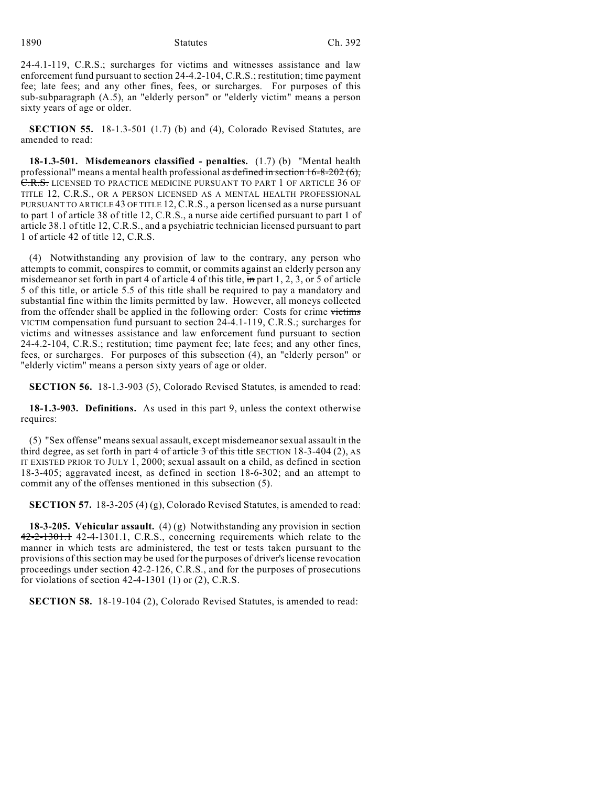#### 1890 Statutes Ch. 392

24-4.1-119, C.R.S.; surcharges for victims and witnesses assistance and law enforcement fund pursuant to section 24-4.2-104, C.R.S.; restitution; time payment fee; late fees; and any other fines, fees, or surcharges. For purposes of this sub-subparagraph (A.5), an "elderly person" or "elderly victim" means a person sixty years of age or older.

**SECTION 55.** 18-1.3-501 (1.7) (b) and (4), Colorado Revised Statutes, are amended to read:

**18-1.3-501. Misdemeanors classified - penalties.** (1.7) (b) "Mental health professional" means a mental health professional  $\overline{a}$  subsetsion to  $\overline{b}$ -8-202 (6), C.R.S. LICENSED TO PRACTICE MEDICINE PURSUANT TO PART 1 OF ARTICLE 36 OF TITLE 12, C.R.S., OR A PERSON LICENSED AS A MENTAL HEALTH PROFESSIONAL PURSUANT TO ARTICLE 43 OF TITLE 12, C.R.S., a person licensed as a nurse pursuant to part 1 of article 38 of title 12, C.R.S., a nurse aide certified pursuant to part 1 of article 38.1 of title 12, C.R.S., and a psychiatric technician licensed pursuant to part 1 of article 42 of title 12, C.R.S.

(4) Notwithstanding any provision of law to the contrary, any person who attempts to commit, conspires to commit, or commits against an elderly person any misdemeanor set forth in part 4 of article 4 of this title, in part 1, 2, 3, or 5 of article 5 of this title, or article 5.5 of this title shall be required to pay a mandatory and substantial fine within the limits permitted by law. However, all moneys collected from the offender shall be applied in the following order: Costs for crime victims VICTIM compensation fund pursuant to section 24-4.1-119, C.R.S.; surcharges for victims and witnesses assistance and law enforcement fund pursuant to section 24-4.2-104, C.R.S.; restitution; time payment fee; late fees; and any other fines, fees, or surcharges. For purposes of this subsection (4), an "elderly person" or "elderly victim" means a person sixty years of age or older.

**SECTION 56.** 18-1.3-903 (5), Colorado Revised Statutes, is amended to read:

**18-1.3-903. Definitions.** As used in this part 9, unless the context otherwise requires:

(5) "Sex offense" means sexual assault, except misdemeanor sexual assault in the third degree, as set forth in part  $4$  of article 3 of this title SECTION 18-3-404 (2), AS IT EXISTED PRIOR TO JULY 1, 2000; sexual assault on a child, as defined in section 18-3-405; aggravated incest, as defined in section 18-6-302; and an attempt to commit any of the offenses mentioned in this subsection (5).

**SECTION 57.** 18-3-205 (4) (g), Colorado Revised Statutes, is amended to read:

**18-3-205. Vehicular assault.** (4) (g) Notwithstanding any provision in section  $42-2-1301.1$  42-4-1301.1, C.R.S., concerning requirements which relate to the manner in which tests are administered, the test or tests taken pursuant to the provisions of this section may be used for the purposes of driver's license revocation proceedings under section 42-2-126, C.R.S., and for the purposes of prosecutions for violations of section  $42-4-1301$  (1) or (2), C.R.S.

**SECTION 58.** 18-19-104 (2), Colorado Revised Statutes, is amended to read: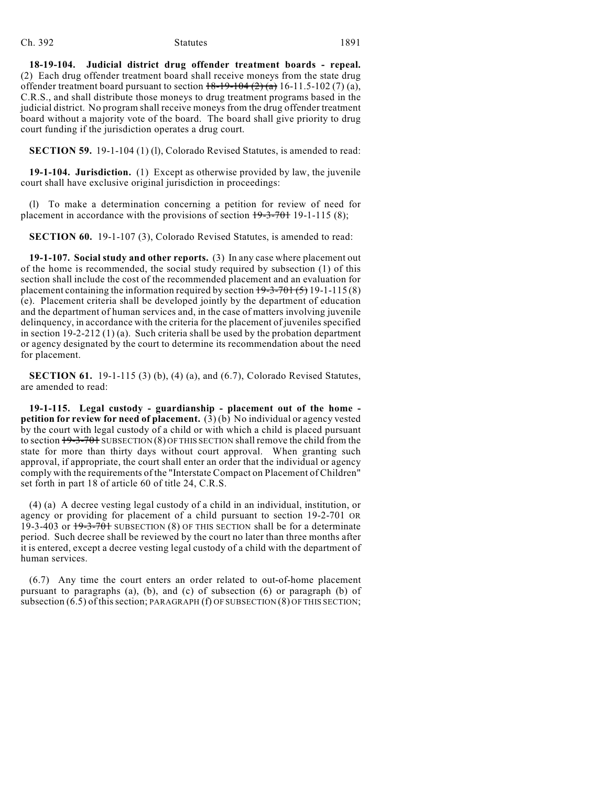#### Ch. 392 Statutes 1891

**18-19-104. Judicial district drug offender treatment boards - repeal.** (2) Each drug offender treatment board shall receive moneys from the state drug offender treatment board pursuant to section  $18-19-104(2)$  (a) 16-11.5-102 (7) (a), C.R.S., and shall distribute those moneys to drug treatment programs based in the judicial district. No program shall receive moneys from the drug offender treatment board without a majority vote of the board. The board shall give priority to drug court funding if the jurisdiction operates a drug court.

**SECTION 59.** 19-1-104 (1) (1), Colorado Revised Statutes, is amended to read:

**19-1-104. Jurisdiction.** (1) Except as otherwise provided by law, the juvenile court shall have exclusive original jurisdiction in proceedings:

(l) To make a determination concerning a petition for review of need for placement in accordance with the provisions of section  $19-3-701$  19-1-115 (8);

**SECTION 60.** 19-1-107 (3), Colorado Revised Statutes, is amended to read:

**19-1-107. Social study and other reports.** (3) In any case where placement out of the home is recommended, the social study required by subsection (1) of this section shall include the cost of the recommended placement and an evaluation for placement containing the information required by section  $19-3-701(5)$  19-1-115(8) (e). Placement criteria shall be developed jointly by the department of education and the department of human services and, in the case of matters involving juvenile delinquency, in accordance with the criteria for the placement of juveniles specified in section 19-2-212 (1) (a). Such criteria shall be used by the probation department or agency designated by the court to determine its recommendation about the need for placement.

**SECTION 61.** 19-1-115 (3) (b), (4) (a), and (6.7), Colorado Revised Statutes, are amended to read:

**19-1-115. Legal custody - guardianship - placement out of the home petition for review for need of placement.** (3) (b) No individual or agency vested by the court with legal custody of a child or with which a child is placed pursuant to section  $19-3-701$  SUBSECTION (8) OF THIS SECTION shall remove the child from the state for more than thirty days without court approval. When granting such approval, if appropriate, the court shall enter an order that the individual or agency comply with the requirements of the "Interstate Compact on Placement of Children" set forth in part 18 of article 60 of title 24, C.R.S.

(4) (a) A decree vesting legal custody of a child in an individual, institution, or agency or providing for placement of a child pursuant to section 19-2-701 OR 19-3-403 or 19-3-701 SUBSECTION (8) OF THIS SECTION shall be for a determinate period. Such decree shall be reviewed by the court no later than three months after it is entered, except a decree vesting legal custody of a child with the department of human services.

(6.7) Any time the court enters an order related to out-of-home placement pursuant to paragraphs (a), (b), and (c) of subsection (6) or paragraph (b) of subsection (6.5) of this section; PARAGRAPH (f) OF SUBSECTION (8) OF THIS SECTION;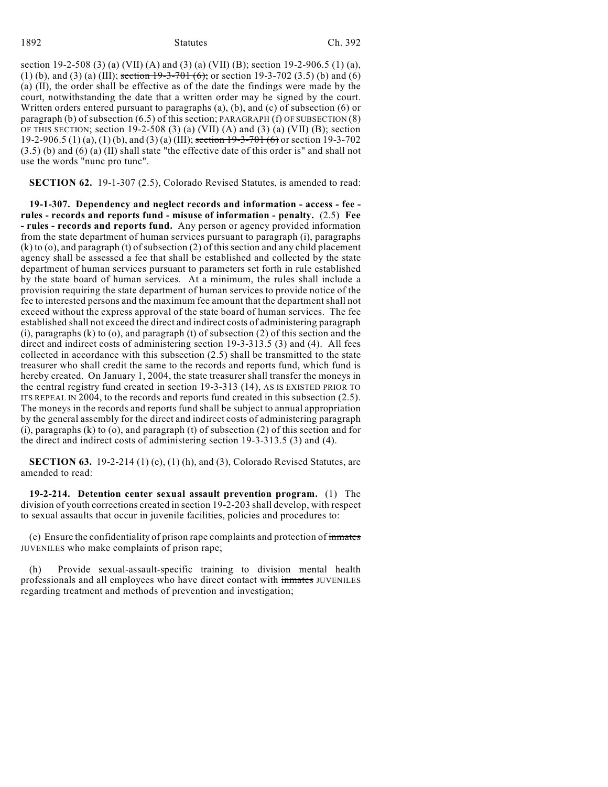#### 1892 Statutes Ch. 392

section 19-2-508 (3) (a) (VII) (A) and (3) (a) (VII) (B); section 19-2-906.5 (1) (a), (1) (b), and (3) (a) (III); section  $19-3-701$  (6); or section 19-3-702 (3.5) (b) and (6) (a) (II), the order shall be effective as of the date the findings were made by the court, notwithstanding the date that a written order may be signed by the court. Written orders entered pursuant to paragraphs (a), (b), and (c) of subsection (6) or paragraph (b) of subsection (6.5) of this section; PARAGRAPH (f) OF SUBSECTION (8) OF THIS SECTION; section 19-2-508 (3) (a) (VII) (A) and (3) (a) (VII) (B); section 19-2-906.5 (1) (a), (1) (b), and (3) (a) (III); section 19-3-701 (6) or section 19-3-702 (3.5) (b) and (6) (a) (II) shall state "the effective date of this order is" and shall not use the words "nunc pro tunc".

**SECTION 62.** 19-1-307 (2.5), Colorado Revised Statutes, is amended to read:

**19-1-307. Dependency and neglect records and information - access - fee rules - records and reports fund - misuse of information - penalty.** (2.5) **Fee - rules - records and reports fund.** Any person or agency provided information from the state department of human services pursuant to paragraph (i), paragraphs (k) to (o), and paragraph (t) of subsection (2) of this section and any child placement agency shall be assessed a fee that shall be established and collected by the state department of human services pursuant to parameters set forth in rule established by the state board of human services. At a minimum, the rules shall include a provision requiring the state department of human services to provide notice of the fee to interested persons and the maximum fee amount that the department shall not exceed without the express approval of the state board of human services. The fee established shall not exceed the direct and indirect costs of administering paragraph  $(i)$ , paragraphs  $(k)$  to  $(o)$ , and paragraph  $(t)$  of subsection  $(2)$  of this section and the direct and indirect costs of administering section 19-3-313.5 (3) and (4). All fees collected in accordance with this subsection (2.5) shall be transmitted to the state treasurer who shall credit the same to the records and reports fund, which fund is hereby created. On January 1, 2004, the state treasurer shall transfer the moneys in the central registry fund created in section 19-3-313 (14), AS IS EXISTED PRIOR TO ITS REPEAL IN 2004, to the records and reports fund created in this subsection (2.5). The moneys in the records and reports fund shall be subject to annual appropriation by the general assembly for the direct and indirect costs of administering paragraph (i), paragraphs (k) to (o), and paragraph (t) of subsection (2) of this section and for the direct and indirect costs of administering section 19-3-313.5 (3) and (4).

**SECTION 63.** 19-2-214 (1) (e), (1) (h), and (3), Colorado Revised Statutes, are amended to read:

**19-2-214. Detention center sexual assault prevention program.** (1) The division of youth corrections created in section 19-2-203 shall develop, with respect to sexual assaults that occur in juvenile facilities, policies and procedures to:

(e) Ensure the confidentiality of prison rape complaints and protection of inmates JUVENILES who make complaints of prison rape;

(h) Provide sexual-assault-specific training to division mental health professionals and all employees who have direct contact with inmates JUVENILES regarding treatment and methods of prevention and investigation;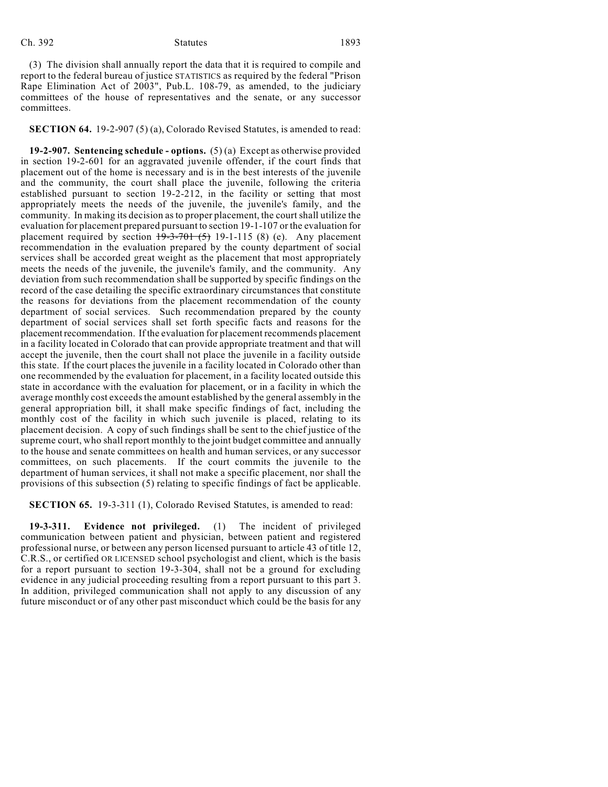#### Ch. 392 Statutes 1893

(3) The division shall annually report the data that it is required to compile and report to the federal bureau of justice STATISTICS as required by the federal "Prison Rape Elimination Act of 2003", Pub.L. 108-79, as amended, to the judiciary committees of the house of representatives and the senate, or any successor committees.

**SECTION 64.** 19-2-907 (5) (a), Colorado Revised Statutes, is amended to read:

**19-2-907. Sentencing schedule - options.** (5) (a) Except as otherwise provided in section 19-2-601 for an aggravated juvenile offender, if the court finds that placement out of the home is necessary and is in the best interests of the juvenile and the community, the court shall place the juvenile, following the criteria established pursuant to section 19-2-212, in the facility or setting that most appropriately meets the needs of the juvenile, the juvenile's family, and the community. In making its decision asto proper placement, the court shall utilize the evaluation for placement prepared pursuant to section 19-1-107 or the evaluation for placement required by section  $19-3-701(5)$  19-1-115 (8) (e). Any placement recommendation in the evaluation prepared by the county department of social services shall be accorded great weight as the placement that most appropriately meets the needs of the juvenile, the juvenile's family, and the community. Any deviation from such recommendation shall be supported by specific findings on the record of the case detailing the specific extraordinary circumstances that constitute the reasons for deviations from the placement recommendation of the county department of social services. Such recommendation prepared by the county department of social services shall set forth specific facts and reasons for the placement recommendation. If the evaluation for placement recommends placement in a facility located in Colorado that can provide appropriate treatment and that will accept the juvenile, then the court shall not place the juvenile in a facility outside this state. If the court places the juvenile in a facility located in Colorado other than one recommended by the evaluation for placement, in a facility located outside this state in accordance with the evaluation for placement, or in a facility in which the average monthly cost exceeds the amount established by the general assembly in the general appropriation bill, it shall make specific findings of fact, including the monthly cost of the facility in which such juvenile is placed, relating to its placement decision. A copy of such findings shall be sent to the chief justice of the supreme court, who shall report monthly to the joint budget committee and annually to the house and senate committees on health and human services, or any successor committees, on such placements. If the court commits the juvenile to the department of human services, it shall not make a specific placement, nor shall the provisions of this subsection (5) relating to specific findings of fact be applicable.

**SECTION 65.** 19-3-311 (1), Colorado Revised Statutes, is amended to read:

**19-3-311. Evidence not privileged.** (1) The incident of privileged communication between patient and physician, between patient and registered professional nurse, or between any person licensed pursuant to article 43 of title 12, C.R.S., or certified OR LICENSED school psychologist and client, which is the basis for a report pursuant to section 19-3-304, shall not be a ground for excluding evidence in any judicial proceeding resulting from a report pursuant to this part 3. In addition, privileged communication shall not apply to any discussion of any future misconduct or of any other past misconduct which could be the basis for any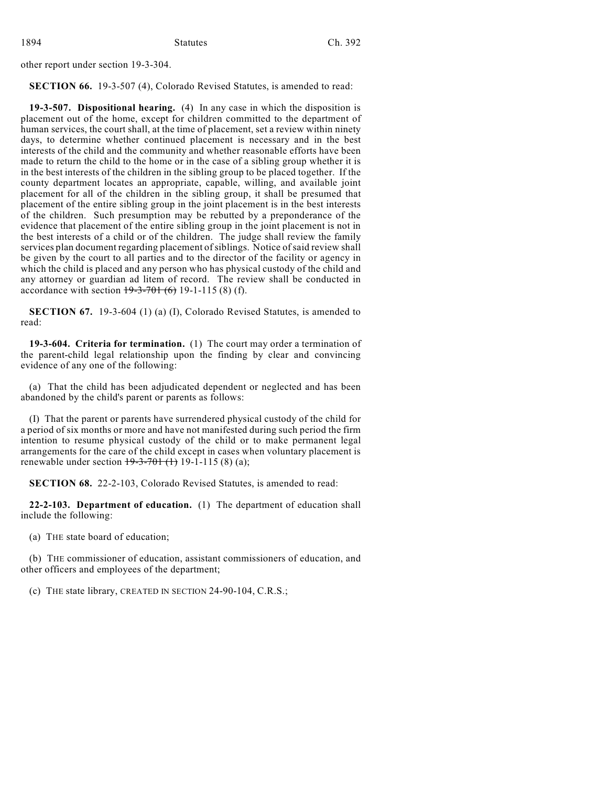other report under section 19-3-304.

**SECTION 66.** 19-3-507 (4), Colorado Revised Statutes, is amended to read:

**19-3-507. Dispositional hearing.** (4) In any case in which the disposition is placement out of the home, except for children committed to the department of human services, the court shall, at the time of placement, set a review within ninety days, to determine whether continued placement is necessary and in the best interests of the child and the community and whether reasonable efforts have been made to return the child to the home or in the case of a sibling group whether it is in the best interests of the children in the sibling group to be placed together. If the county department locates an appropriate, capable, willing, and available joint placement for all of the children in the sibling group, it shall be presumed that placement of the entire sibling group in the joint placement is in the best interests of the children. Such presumption may be rebutted by a preponderance of the evidence that placement of the entire sibling group in the joint placement is not in the best interests of a child or of the children. The judge shall review the family services plan document regarding placement of siblings. Notice of said review shall be given by the court to all parties and to the director of the facility or agency in which the child is placed and any person who has physical custody of the child and any attorney or guardian ad litem of record. The review shall be conducted in accordance with section  $19-3-701$  (6) 19-1-115 (8) (f).

**SECTION 67.** 19-3-604 (1) (a) (I), Colorado Revised Statutes, is amended to read:

**19-3-604. Criteria for termination.** (1) The court may order a termination of the parent-child legal relationship upon the finding by clear and convincing evidence of any one of the following:

(a) That the child has been adjudicated dependent or neglected and has been abandoned by the child's parent or parents as follows:

(I) That the parent or parents have surrendered physical custody of the child for a period of six months or more and have not manifested during such period the firm intention to resume physical custody of the child or to make permanent legal arrangements for the care of the child except in cases when voluntary placement is renewable under section  $19-3-701$  (1) 19-1-115 (8) (a);

**SECTION 68.** 22-2-103, Colorado Revised Statutes, is amended to read:

**22-2-103. Department of education.** (1) The department of education shall include the following:

(a) THE state board of education;

(b) THE commissioner of education, assistant commissioners of education, and other officers and employees of the department;

(c) THE state library, CREATED IN SECTION 24-90-104, C.R.S.;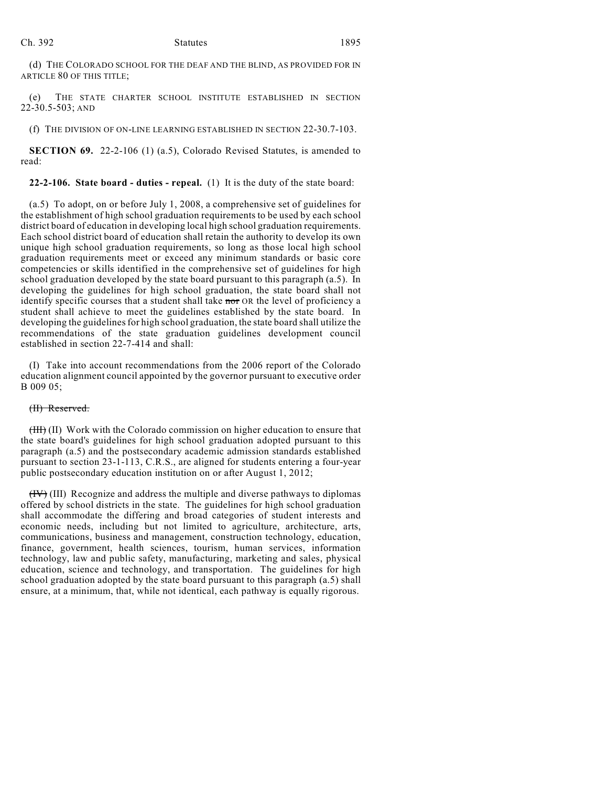(d) THE COLORADO SCHOOL FOR THE DEAF AND THE BLIND, AS PROVIDED FOR IN ARTICLE 80 OF THIS TITLE;

(e) THE STATE CHARTER SCHOOL INSTITUTE ESTABLISHED IN SECTION 22-30.5-503; AND

(f) THE DIVISION OF ON-LINE LEARNING ESTABLISHED IN SECTION 22-30.7-103.

**SECTION 69.** 22-2-106 (1) (a.5), Colorado Revised Statutes, is amended to read:

**22-2-106. State board - duties - repeal.** (1) It is the duty of the state board:

(a.5) To adopt, on or before July 1, 2008, a comprehensive set of guidelines for the establishment of high school graduation requirements to be used by each school district board of education in developing local high school graduation requirements. Each school district board of education shall retain the authority to develop its own unique high school graduation requirements, so long as those local high school graduation requirements meet or exceed any minimum standards or basic core competencies or skills identified in the comprehensive set of guidelines for high school graduation developed by the state board pursuant to this paragraph (a.5). In developing the guidelines for high school graduation, the state board shall not identify specific courses that a student shall take nor OR the level of proficiency a student shall achieve to meet the guidelines established by the state board. In developing the guidelines for high school graduation, the state board shall utilize the recommendations of the state graduation guidelines development council established in section 22-7-414 and shall:

(I) Take into account recommendations from the 2006 report of the Colorado education alignment council appointed by the governor pursuant to executive order B 009 05;

#### (II) Reserved.

(III) (II) Work with the Colorado commission on higher education to ensure that the state board's guidelines for high school graduation adopted pursuant to this paragraph (a.5) and the postsecondary academic admission standards established pursuant to section 23-1-113, C.R.S., are aligned for students entering a four-year public postsecondary education institution on or after August 1, 2012;

(IV) (III) Recognize and address the multiple and diverse pathways to diplomas offered by school districts in the state. The guidelines for high school graduation shall accommodate the differing and broad categories of student interests and economic needs, including but not limited to agriculture, architecture, arts, communications, business and management, construction technology, education, finance, government, health sciences, tourism, human services, information technology, law and public safety, manufacturing, marketing and sales, physical education, science and technology, and transportation. The guidelines for high school graduation adopted by the state board pursuant to this paragraph (a.5) shall ensure, at a minimum, that, while not identical, each pathway is equally rigorous.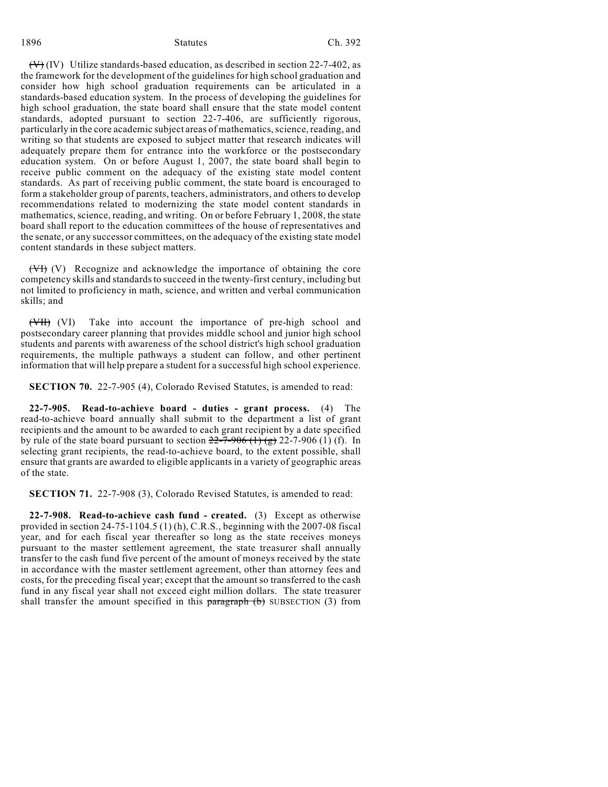#### 1896 Statutes Ch. 392

 $(\forall)$  (IV) Utilize standards-based education, as described in section 22-7-402, as the framework for the development of the guidelinesfor high school graduation and consider how high school graduation requirements can be articulated in a standards-based education system. In the process of developing the guidelines for high school graduation, the state board shall ensure that the state model content standards, adopted pursuant to section 22-7-406, are sufficiently rigorous, particularly in the core academic subject areas of mathematics, science, reading, and writing so that students are exposed to subject matter that research indicates will adequately prepare them for entrance into the workforce or the postsecondary education system. On or before August 1, 2007, the state board shall begin to receive public comment on the adequacy of the existing state model content standards. As part of receiving public comment, the state board is encouraged to form a stakeholder group of parents, teachers, administrators, and others to develop recommendations related to modernizing the state model content standards in mathematics, science, reading, and writing. On or before February 1, 2008, the state board shall report to the education committees of the house of representatives and the senate, or any successor committees, on the adequacy of the existing state model content standards in these subject matters.

(VI) (V) Recognize and acknowledge the importance of obtaining the core competency skills and standards to succeed in the twenty-first century, including but not limited to proficiency in math, science, and written and verbal communication skills; and

(VII) (VI) Take into account the importance of pre-high school and postsecondary career planning that provides middle school and junior high school students and parents with awareness of the school district's high school graduation requirements, the multiple pathways a student can follow, and other pertinent information that will help prepare a student for a successful high school experience.

**SECTION 70.** 22-7-905 (4), Colorado Revised Statutes, is amended to read:

**22-7-905. Read-to-achieve board - duties - grant process.** (4) The read-to-achieve board annually shall submit to the department a list of grant recipients and the amount to be awarded to each grant recipient by a date specified by rule of the state board pursuant to section  $22-7-906$  (1) (g) 22-7-906 (1) (f). In selecting grant recipients, the read-to-achieve board, to the extent possible, shall ensure that grants are awarded to eligible applicants in a variety of geographic areas of the state.

**SECTION 71.** 22-7-908 (3), Colorado Revised Statutes, is amended to read:

**22-7-908. Read-to-achieve cash fund - created.** (3) Except as otherwise provided in section 24-75-1104.5 (1) (h), C.R.S., beginning with the 2007-08 fiscal year, and for each fiscal year thereafter so long as the state receives moneys pursuant to the master settlement agreement, the state treasurer shall annually transfer to the cash fund five percent of the amount of moneys received by the state in accordance with the master settlement agreement, other than attorney fees and costs, for the preceding fiscal year; except that the amount so transferred to the cash fund in any fiscal year shall not exceed eight million dollars. The state treasurer shall transfer the amount specified in this  $\frac{1}{2}$  paragraph (b) SUBSECTION (3) from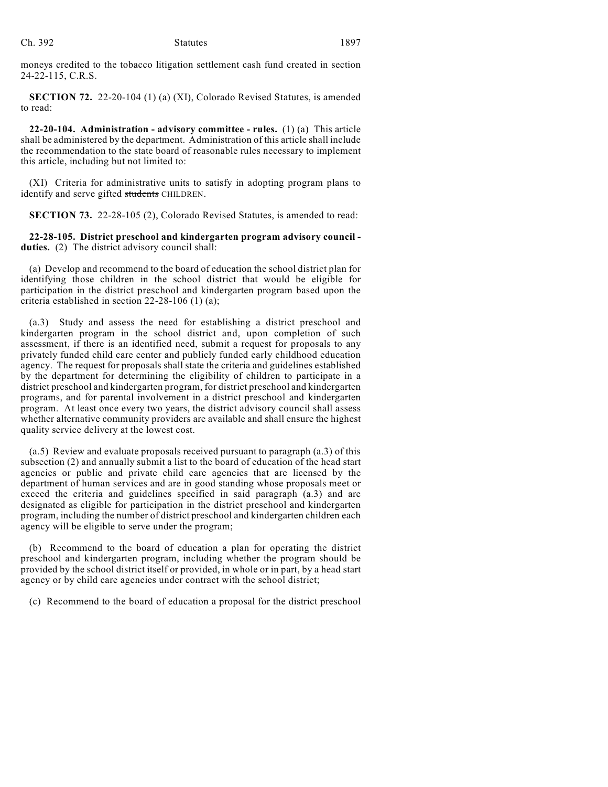moneys credited to the tobacco litigation settlement cash fund created in section 24-22-115, C.R.S.

**SECTION 72.** 22-20-104 (1) (a) (XI), Colorado Revised Statutes, is amended to read:

**22-20-104. Administration - advisory committee - rules.** (1) (a) This article shall be administered by the department. Administration of this article shall include the recommendation to the state board of reasonable rules necessary to implement this article, including but not limited to:

(XI) Criteria for administrative units to satisfy in adopting program plans to identify and serve gifted students CHILDREN.

**SECTION 73.** 22-28-105 (2), Colorado Revised Statutes, is amended to read:

**22-28-105. District preschool and kindergarten program advisory council duties.** (2) The district advisory council shall:

(a) Develop and recommend to the board of education the school district plan for identifying those children in the school district that would be eligible for participation in the district preschool and kindergarten program based upon the criteria established in section 22-28-106 (1) (a);

(a.3) Study and assess the need for establishing a district preschool and kindergarten program in the school district and, upon completion of such assessment, if there is an identified need, submit a request for proposals to any privately funded child care center and publicly funded early childhood education agency. The request for proposals shall state the criteria and guidelines established by the department for determining the eligibility of children to participate in a district preschool and kindergarten program, for district preschool and kindergarten programs, and for parental involvement in a district preschool and kindergarten program. At least once every two years, the district advisory council shall assess whether alternative community providers are available and shall ensure the highest quality service delivery at the lowest cost.

(a.5) Review and evaluate proposals received pursuant to paragraph (a.3) of this subsection (2) and annually submit a list to the board of education of the head start agencies or public and private child care agencies that are licensed by the department of human services and are in good standing whose proposals meet or exceed the criteria and guidelines specified in said paragraph (a.3) and are designated as eligible for participation in the district preschool and kindergarten program, including the number of district preschool and kindergarten children each agency will be eligible to serve under the program;

(b) Recommend to the board of education a plan for operating the district preschool and kindergarten program, including whether the program should be provided by the school district itself or provided, in whole or in part, by a head start agency or by child care agencies under contract with the school district;

(c) Recommend to the board of education a proposal for the district preschool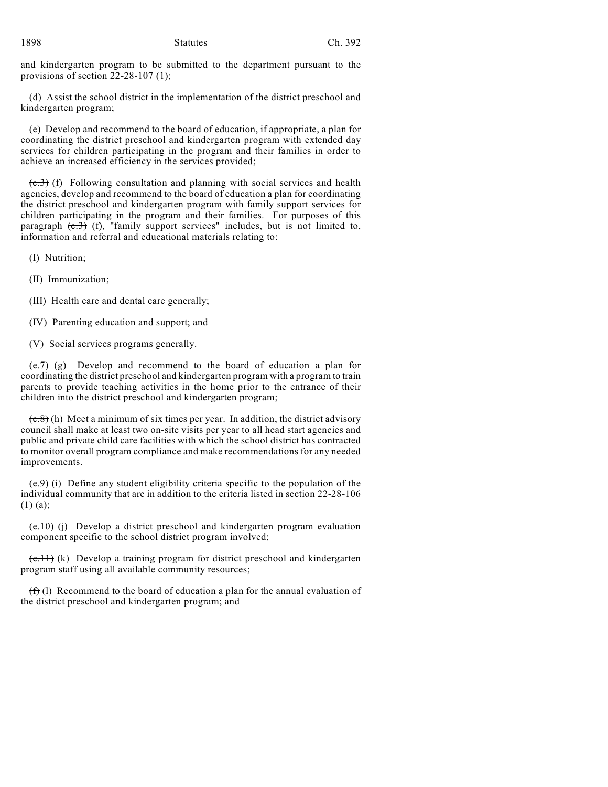and kindergarten program to be submitted to the department pursuant to the provisions of section 22-28-107 (1);

(d) Assist the school district in the implementation of the district preschool and kindergarten program;

(e) Develop and recommend to the board of education, if appropriate, a plan for coordinating the district preschool and kindergarten program with extended day services for children participating in the program and their families in order to achieve an increased efficiency in the services provided;

 $(e,3)$  (f) Following consultation and planning with social services and health agencies, develop and recommend to the board of education a plan for coordinating the district preschool and kindergarten program with family support services for children participating in the program and their families. For purposes of this paragraph  $(e,3)$  (f), "family support services" includes, but is not limited to, information and referral and educational materials relating to:

(I) Nutrition;

(II) Immunization;

(III) Health care and dental care generally;

(IV) Parenting education and support; and

(V) Social services programs generally.

 $(e.7)$  (g) Develop and recommend to the board of education a plan for coordinating the district preschool and kindergarten program with a program to train parents to provide teaching activities in the home prior to the entrance of their children into the district preschool and kindergarten program;

 $(e.8)$  (h) Meet a minimum of six times per year. In addition, the district advisory council shall make at least two on-site visits per year to all head start agencies and public and private child care facilities with which the school district has contracted to monitor overall program compliance and make recommendations for any needed improvements.

 $(e, 9)$  (i) Define any student eligibility criteria specific to the population of the individual community that are in addition to the criteria listed in section 22-28-106 (1) (a);

 $(e.10)$  (j) Develop a district preschool and kindergarten program evaluation component specific to the school district program involved;

 $(e,1)$  (k) Develop a training program for district preschool and kindergarten program staff using all available community resources;

 $(f)$  (1) Recommend to the board of education a plan for the annual evaluation of the district preschool and kindergarten program; and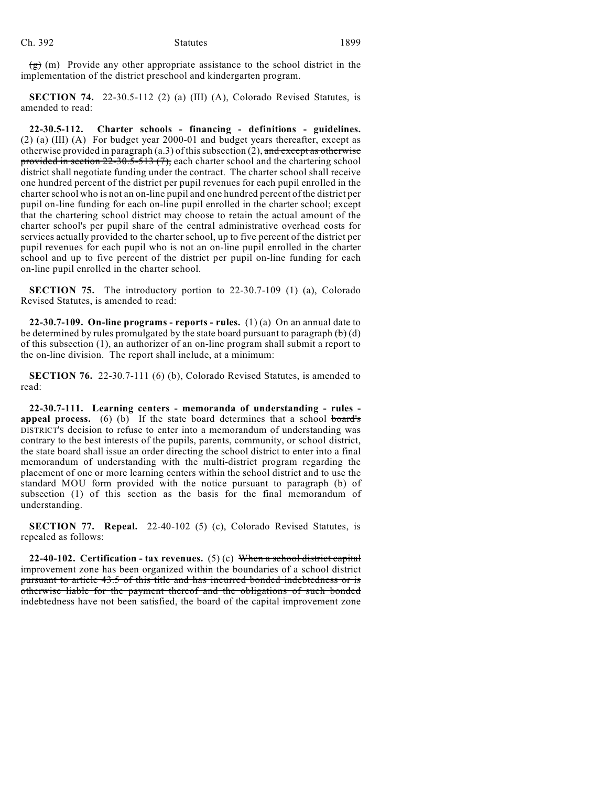$(g)$  (m) Provide any other appropriate assistance to the school district in the implementation of the district preschool and kindergarten program.

**SECTION 74.** 22-30.5-112 (2) (a) (III) (A), Colorado Revised Statutes, is amended to read:

**22-30.5-112. Charter schools - financing - definitions - guidelines.** (2) (a) (III) (A) For budget year 2000-01 and budget years thereafter, except as otherwise provided in paragraph (a.3) of this subsection (2), and except as otherwise provided in section  $22-30.5-513(7)$ , each charter school and the chartering school district shall negotiate funding under the contract. The charter school shall receive one hundred percent of the district per pupil revenues for each pupil enrolled in the charter school who is not an on-line pupil and one hundred percent of the district per pupil on-line funding for each on-line pupil enrolled in the charter school; except that the chartering school district may choose to retain the actual amount of the charter school's per pupil share of the central administrative overhead costs for services actually provided to the charter school, up to five percent of the district per pupil revenues for each pupil who is not an on-line pupil enrolled in the charter school and up to five percent of the district per pupil on-line funding for each on-line pupil enrolled in the charter school.

**SECTION 75.** The introductory portion to 22-30.7-109 (1) (a), Colorado Revised Statutes, is amended to read:

**22-30.7-109. On-line programs - reports - rules.** (1) (a) On an annual date to be determined by rules promulgated by the state board pursuant to paragraph  $\left(\mathbf{b}\right)$  (d) of this subsection (1), an authorizer of an on-line program shall submit a report to the on-line division. The report shall include, at a minimum:

**SECTION 76.** 22-30.7-111 (6) (b), Colorado Revised Statutes, is amended to read:

**22-30.7-111. Learning centers - memoranda of understanding - rules appeal process.** (6) (b) If the state board determines that a school board's DISTRICT'S decision to refuse to enter into a memorandum of understanding was contrary to the best interests of the pupils, parents, community, or school district, the state board shall issue an order directing the school district to enter into a final memorandum of understanding with the multi-district program regarding the placement of one or more learning centers within the school district and to use the standard MOU form provided with the notice pursuant to paragraph (b) of subsection (1) of this section as the basis for the final memorandum of understanding.

**SECTION 77. Repeal.** 22-40-102 (5) (c), Colorado Revised Statutes, is repealed as follows:

**22-40-102. Certification - tax revenues.** (5) (c) When a school district capital improvement zone has been organized within the boundaries of a school district pursuant to article 43.5 of this title and has incurred bonded indebtedness or is otherwise liable for the payment thereof and the obligations of such bonded indebtedness have not been satisfied, the board of the capital improvement zone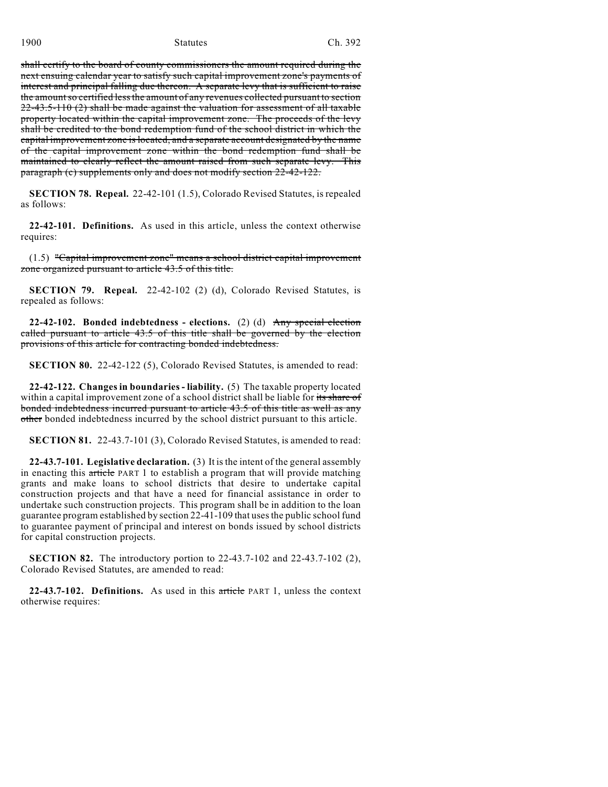shall certify to the board of county commissioners the amount required during the next ensuing calendar year to satisfy such capital improvement zone's payments of interest and principal falling due thereon. A separate levy that is sufficient to raise the amount so certified less the amount of any revenues collected pursuant to section 22-43.5-110 (2) shall be made against the valuation for assessment of all taxable property located within the capital improvement zone. The proceeds of the levy shall be credited to the bond redemption fund of the school district in which the capital improvement zone is located, and a separate account designated by the name of the capital improvement zone within the bond redemption fund shall be maintained to clearly reflect the amount raised from such separate levy. This paragraph (c) supplements only and does not modify section 22-42-122.

**SECTION 78. Repeal.** 22-42-101 (1.5), Colorado Revised Statutes, is repealed as follows:

**22-42-101. Definitions.** As used in this article, unless the context otherwise requires:

(1.5) "Capital improvement zone" means a school district capital improvement zone organized pursuant to article 43.5 of this title.

**SECTION 79. Repeal.** 22-42-102 (2) (d), Colorado Revised Statutes, is repealed as follows:

**22-42-102. Bonded indebtedness - elections.** (2) (d) Any special election called pursuant to article 43.5 of this title shall be governed by the election provisions of this article for contracting bonded indebtedness.

**SECTION 80.** 22-42-122 (5), Colorado Revised Statutes, is amended to read:

**22-42-122. Changes in boundaries - liability.** (5) The taxable property located within a capital improvement zone of a school district shall be liable for its share of bonded indebtedness incurred pursuant to article 43.5 of this title as well as any other bonded indebtedness incurred by the school district pursuant to this article.

**SECTION 81.** 22-43.7-101 (3), Colorado Revised Statutes, is amended to read:

**22-43.7-101. Legislative declaration.** (3) It is the intent of the general assembly in enacting this article PART 1 to establish a program that will provide matching grants and make loans to school districts that desire to undertake capital construction projects and that have a need for financial assistance in order to undertake such construction projects. This program shall be in addition to the loan guarantee program established by section 22-41-109 that uses the public school fund to guarantee payment of principal and interest on bonds issued by school districts for capital construction projects.

**SECTION 82.** The introductory portion to 22-43.7-102 and 22-43.7-102 (2), Colorado Revised Statutes, are amended to read:

**22-43.7-102. Definitions.** As used in this article PART 1, unless the context otherwise requires: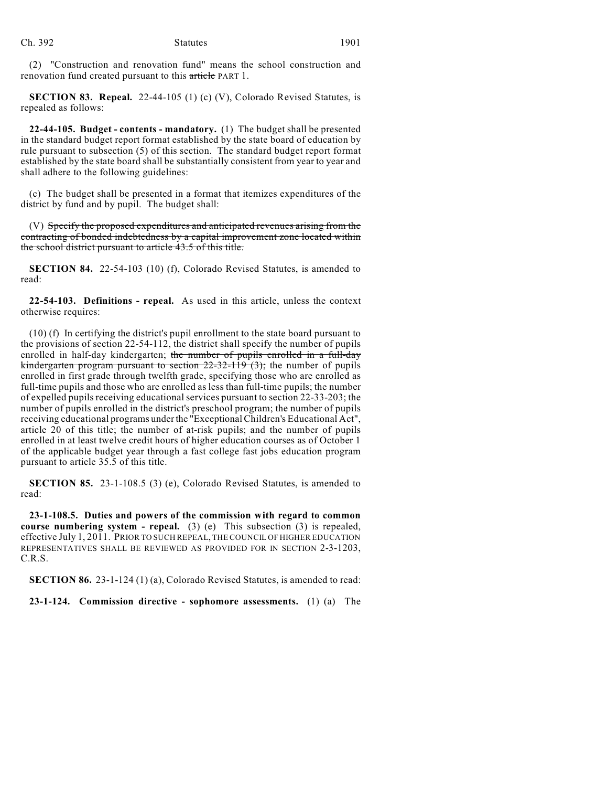(2) "Construction and renovation fund" means the school construction and renovation fund created pursuant to this article PART 1.

**SECTION 83. Repeal.** 22-44-105 (1) (c) (V), Colorado Revised Statutes, is repealed as follows:

**22-44-105. Budget - contents - mandatory.** (1) The budget shall be presented in the standard budget report format established by the state board of education by rule pursuant to subsection (5) of this section. The standard budget report format established by the state board shall be substantially consistent from year to year and shall adhere to the following guidelines:

(c) The budget shall be presented in a format that itemizes expenditures of the district by fund and by pupil. The budget shall:

(V) Specify the proposed expenditures and anticipated revenues arising from the contracting of bonded indebtedness by a capital improvement zone located within the school district pursuant to article 43.5 of this title.

**SECTION 84.** 22-54-103 (10) (f), Colorado Revised Statutes, is amended to read:

**22-54-103. Definitions - repeal.** As used in this article, unless the context otherwise requires:

(10) (f) In certifying the district's pupil enrollment to the state board pursuant to the provisions of section 22-54-112, the district shall specify the number of pupils enrolled in half-day kindergarten; the number of pupils enrolled in a full-day kindergarten program pursuant to section 22-32-119 (3); the number of pupils enrolled in first grade through twelfth grade, specifying those who are enrolled as full-time pupils and those who are enrolled as less than full-time pupils; the number of expelled pupils receiving educational services pursuant to section 22-33-203; the number of pupils enrolled in the district's preschool program; the number of pupils receiving educational programs under the "Exceptional Children's Educational Act", article 20 of this title; the number of at-risk pupils; and the number of pupils enrolled in at least twelve credit hours of higher education courses as of October 1 of the applicable budget year through a fast college fast jobs education program pursuant to article 35.5 of this title.

**SECTION 85.** 23-1-108.5 (3) (e), Colorado Revised Statutes, is amended to read:

**23-1-108.5. Duties and powers of the commission with regard to common course numbering system - repeal.** (3) (e) This subsection (3) is repealed, effective July 1, 2011. PRIOR TO SUCH REPEAL, THE COUNCIL OF HIGHER EDUCATION REPRESENTATIVES SHALL BE REVIEWED AS PROVIDED FOR IN SECTION 2-3-1203, C.R.S.

**SECTION 86.** 23-1-124 (1) (a), Colorado Revised Statutes, is amended to read:

**23-1-124. Commission directive - sophomore assessments.** (1) (a) The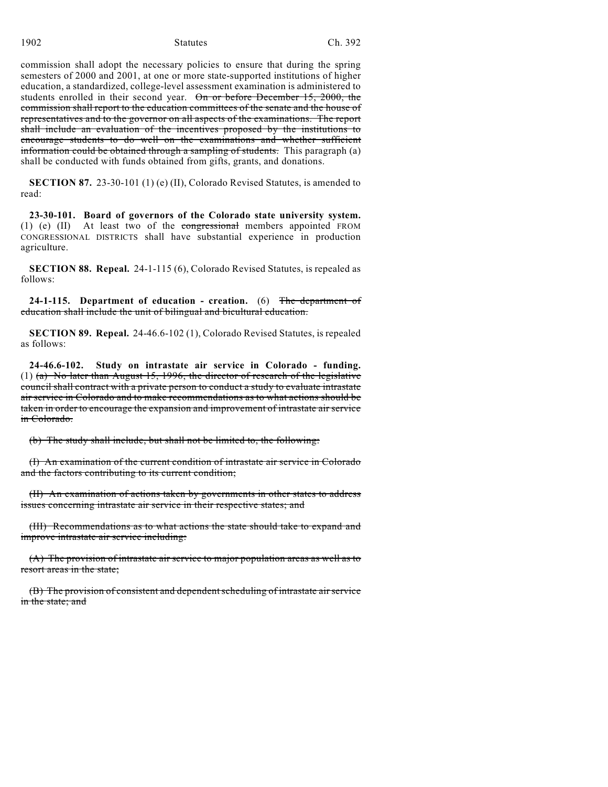commission shall adopt the necessary policies to ensure that during the spring semesters of 2000 and 2001, at one or more state-supported institutions of higher education, a standardized, college-level assessment examination is administered to students enrolled in their second year. On or before December 15, 2000, the commission shall report to the education committees of the senate and the house of representatives and to the governor on all aspects of the examinations. The report shall include an evaluation of the incentives proposed by the institutions to encourage students to do well on the examinations and whether sufficient information could be obtained through a sampling of students. This paragraph (a) shall be conducted with funds obtained from gifts, grants, and donations.

**SECTION 87.** 23-30-101 (1) (e) (II), Colorado Revised Statutes, is amended to read:

**23-30-101. Board of governors of the Colorado state university system.** (1) (e) (II) At least two of the congressional members appointed FROM CONGRESSIONAL DISTRICTS shall have substantial experience in production agriculture.

**SECTION 88. Repeal.** 24-1-115 (6), Colorado Revised Statutes, is repealed as follows:

**24-1-115. Department of education - creation.** (6) The department of education shall include the unit of bilingual and bicultural education.

**SECTION 89. Repeal.** 24-46.6-102 (1), Colorado Revised Statutes, is repealed as follows:

**24-46.6-102. Study on intrastate air service in Colorado - funding.** (1) (a) No later than August 15, 1996, the director of research of the legislative council shall contract with a private person to conduct a study to evaluate intrastate air service in Colorado and to make recommendations as to what actions should be taken in order to encourage the expansion and improvement of intrastate air service in Colorado.

(b) The study shall include, but shall not be limited to, the following:

(I) An examination of the current condition of intrastate air service in Colorado and the factors contributing to its current condition;

(II) An examination of actions taken by governments in other states to address issues concerning intrastate air service in their respective states; and

(III) Recommendations as to what actions the state should take to expand and improve intrastate air service including:

(A) The provision of intrastate air service to major population areas as well as to resort areas in the state;

(B) The provision of consistent and dependent scheduling of intrastate air service in the state; and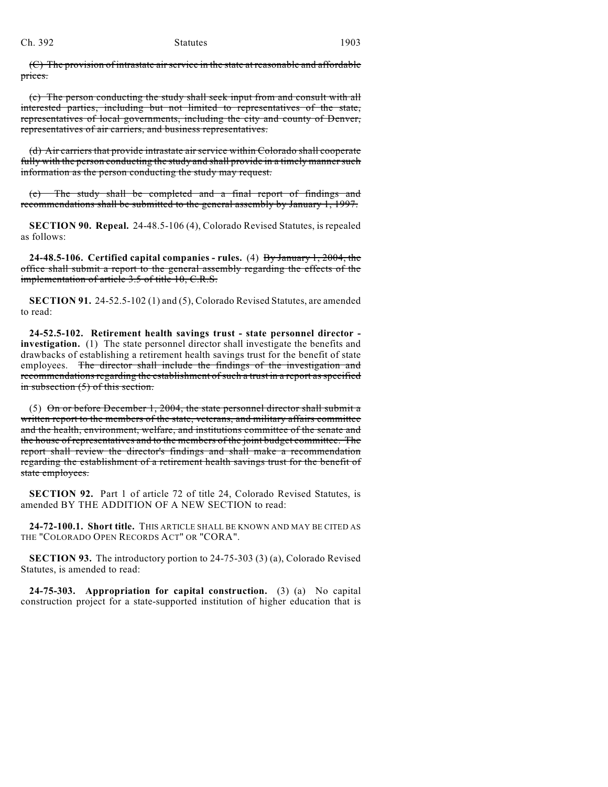#### Ch. 392 Statutes 1903

(C) The provision of intrastate air service in the state at reasonable and affordable prices.

(c) The person conducting the study shall seek input from and consult with all interested parties, including but not limited to representatives of the state, representatives of local governments, including the city and county of Denver, representatives of air carriers, and business representatives.

(d) Air carriers that provide intrastate air service within Colorado shall cooperate fully with the person conducting the study and shall provide in a timely manner such information as the person conducting the study may request.

(e) The study shall be completed and a final report of findings and recommendations shall be submitted to the general assembly by January 1, 1997.

**SECTION 90. Repeal.** 24-48.5-106 (4), Colorado Revised Statutes, is repealed as follows:

**24-48.5-106. Certified capital companies - rules.** (4) By January 1, 2004, the office shall submit a report to the general assembly regarding the effects of the implementation of article 3.5 of title 10, C.R.S.

**SECTION 91.** 24-52.5-102 (1) and (5), Colorado Revised Statutes, are amended to read:

**24-52.5-102. Retirement health savings trust - state personnel director investigation.** (1) The state personnel director shall investigate the benefits and drawbacks of establishing a retirement health savings trust for the benefit of state employees. The director shall include the findings of the investigation and recommendations regarding the establishment of such a trust in a report as specified in subsection (5) of this section.

(5) On or before December 1, 2004, the state personnel director shall submit a written report to the members of the state, veterans, and military affairs committee and the health, environment, welfare, and institutions committee of the senate and the house of representatives and to the members of the joint budget committee. The report shall review the director's findings and shall make a recommendation regarding the establishment of a retirement health savings trust for the benefit of state employees.

**SECTION 92.** Part 1 of article 72 of title 24, Colorado Revised Statutes, is amended BY THE ADDITION OF A NEW SECTION to read:

**24-72-100.1. Short title.** THIS ARTICLE SHALL BE KNOWN AND MAY BE CITED AS THE "COLORADO OPEN RECORDS ACT" OR "CORA".

**SECTION 93.** The introductory portion to 24-75-303 (3) (a), Colorado Revised Statutes, is amended to read:

**24-75-303. Appropriation for capital construction.** (3) (a) No capital construction project for a state-supported institution of higher education that is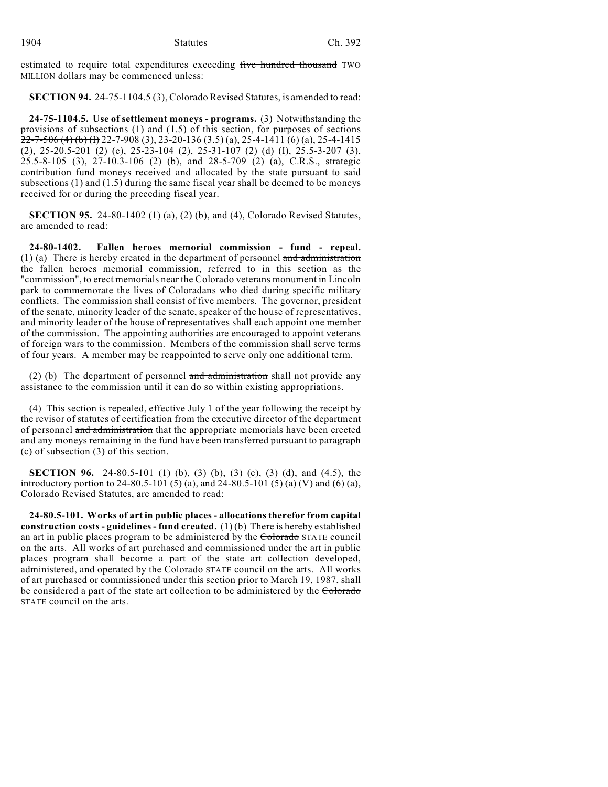estimated to require total expenditures exceeding five hundred thousand TWO MILLION dollars may be commenced unless:

**SECTION 94.** 24-75-1104.5 (3), Colorado Revised Statutes, is amended to read:

**24-75-1104.5. Use of settlement moneys - programs.** (3) Notwithstanding the provisions of subsections (1) and (1.5) of this section, for purposes of sections  $22-7-506$  (4) (b) (f) 22-7-908 (3), 23-20-136 (3.5) (a), 25-4-1411 (6) (a), 25-4-1415 (2), 25-20.5-201 (2) (c), 25-23-104 (2), 25-31-107 (2) (d) (I), 25.5-3-207 (3), 25.5-8-105 (3), 27-10.3-106 (2) (b), and 28-5-709 (2) (a), C.R.S., strategic contribution fund moneys received and allocated by the state pursuant to said subsections (1) and (1.5) during the same fiscal year shall be deemed to be moneys received for or during the preceding fiscal year.

**SECTION 95.** 24-80-1402 (1) (a), (2) (b), and (4), Colorado Revised Statutes, are amended to read:

**24-80-1402. Fallen heroes memorial commission - fund - repeal.** (1) (a) There is hereby created in the department of personnel  $\frac{1}{\alpha}$  and  $\frac{1}{\alpha}$  dentitivation the fallen heroes memorial commission, referred to in this section as the "commission", to erect memorials near the Colorado veterans monument in Lincoln park to commemorate the lives of Coloradans who died during specific military conflicts. The commission shall consist of five members. The governor, president of the senate, minority leader of the senate, speaker of the house of representatives, and minority leader of the house of representatives shall each appoint one member of the commission. The appointing authorities are encouraged to appoint veterans of foreign wars to the commission. Members of the commission shall serve terms of four years. A member may be reappointed to serve only one additional term.

(2) (b) The department of personnel and administration shall not provide any assistance to the commission until it can do so within existing appropriations.

(4) This section is repealed, effective July 1 of the year following the receipt by the revisor of statutes of certification from the executive director of the department of personnel and administration that the appropriate memorials have been erected and any moneys remaining in the fund have been transferred pursuant to paragraph (c) of subsection (3) of this section.

**SECTION 96.** 24-80.5-101 (1) (b), (3) (b), (3) (c), (3) (d), and (4.5), the introductory portion to 24-80.5-101 (5) (a), and 24-80.5-101 (5) (a) (V) and (6) (a), Colorado Revised Statutes, are amended to read:

**24-80.5-101. Works of art in public places- allocations therefor from capital construction costs - guidelines - fund created.** (1) (b) There is hereby established an art in public places program to be administered by the Colorado STATE council on the arts. All works of art purchased and commissioned under the art in public places program shall become a part of the state art collection developed, administered, and operated by the Colorado STATE council on the arts. All works of art purchased or commissioned under this section prior to March 19, 1987, shall be considered a part of the state art collection to be administered by the Colorado STATE council on the arts.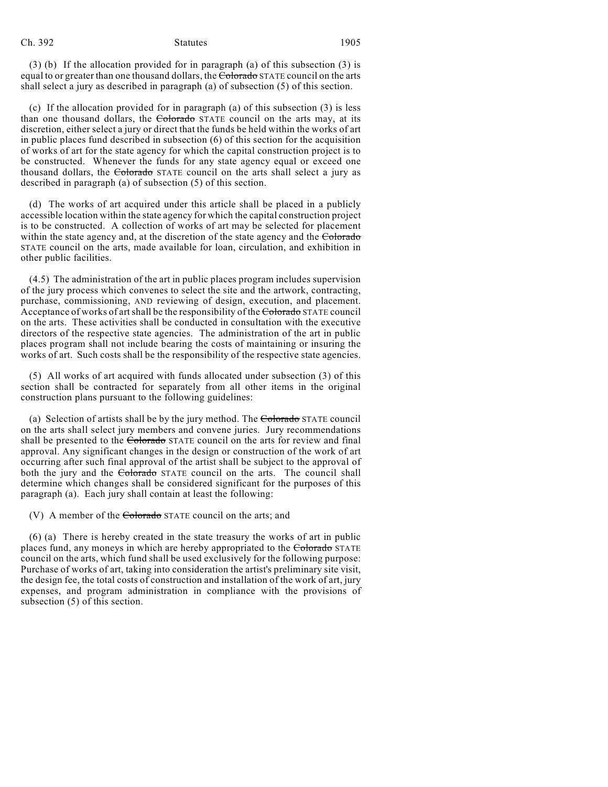#### Ch. 392 Statutes 1905

(3) (b) If the allocation provided for in paragraph (a) of this subsection (3) is equal to or greater than one thousand dollars, the Colorado STATE council on the arts shall select a jury as described in paragraph (a) of subsection (5) of this section.

(c) If the allocation provided for in paragraph (a) of this subsection (3) is less than one thousand dollars, the Colorado STATE council on the arts may, at its discretion, either select a jury or direct that the funds be held within the works of art in public places fund described in subsection (6) of this section for the acquisition of works of art for the state agency for which the capital construction project is to be constructed. Whenever the funds for any state agency equal or exceed one thousand dollars, the Colorado STATE council on the arts shall select a jury as described in paragraph (a) of subsection (5) of this section.

(d) The works of art acquired under this article shall be placed in a publicly accessible location within the state agency for which the capital construction project is to be constructed. A collection of works of art may be selected for placement within the state agency and, at the discretion of the state agency and the Colorado STATE council on the arts, made available for loan, circulation, and exhibition in other public facilities.

(4.5) The administration of the art in public places program includes supervision of the jury process which convenes to select the site and the artwork, contracting, purchase, commissioning, AND reviewing of design, execution, and placement. Acceptance of works of art shall be the responsibility of the Colorado STATE council on the arts. These activities shall be conducted in consultation with the executive directors of the respective state agencies. The administration of the art in public places program shall not include bearing the costs of maintaining or insuring the works of art. Such costs shall be the responsibility of the respective state agencies.

(5) All works of art acquired with funds allocated under subsection (3) of this section shall be contracted for separately from all other items in the original construction plans pursuant to the following guidelines:

(a) Selection of artists shall be by the jury method. The Colorado STATE council on the arts shall select jury members and convene juries. Jury recommendations shall be presented to the Colorado STATE council on the arts for review and final approval. Any significant changes in the design or construction of the work of art occurring after such final approval of the artist shall be subject to the approval of both the jury and the Colorado STATE council on the arts. The council shall determine which changes shall be considered significant for the purposes of this paragraph (a). Each jury shall contain at least the following:

(V) A member of the  $\overline{\text{Colorado}}$  STATE council on the arts; and

(6) (a) There is hereby created in the state treasury the works of art in public places fund, any moneys in which are hereby appropriated to the Colorado STATE council on the arts, which fund shall be used exclusively for the following purpose: Purchase of works of art, taking into consideration the artist's preliminary site visit, the design fee, the total costs of construction and installation of the work of art, jury expenses, and program administration in compliance with the provisions of subsection (5) of this section.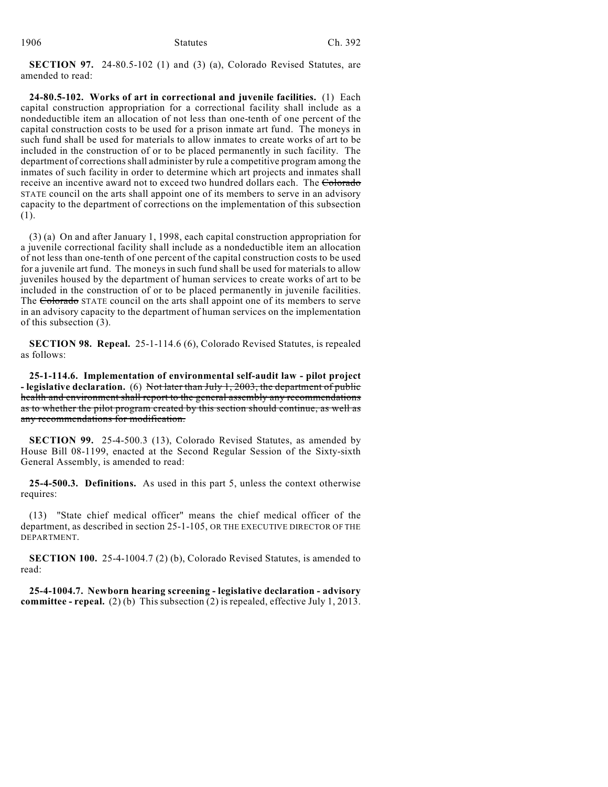**SECTION 97.** 24-80.5-102 (1) and (3) (a), Colorado Revised Statutes, are amended to read:

**24-80.5-102. Works of art in correctional and juvenile facilities.** (1) Each capital construction appropriation for a correctional facility shall include as a nondeductible item an allocation of not less than one-tenth of one percent of the capital construction costs to be used for a prison inmate art fund. The moneys in such fund shall be used for materials to allow inmates to create works of art to be included in the construction of or to be placed permanently in such facility. The department of corrections shall administer by rule a competitive program among the inmates of such facility in order to determine which art projects and inmates shall receive an incentive award not to exceed two hundred dollars each. The Colorado STATE council on the arts shall appoint one of its members to serve in an advisory capacity to the department of corrections on the implementation of this subsection (1).

(3) (a) On and after January 1, 1998, each capital construction appropriation for a juvenile correctional facility shall include as a nondeductible item an allocation of not less than one-tenth of one percent of the capital construction costs to be used for a juvenile art fund. The moneys in such fund shall be used for materials to allow juveniles housed by the department of human services to create works of art to be included in the construction of or to be placed permanently in juvenile facilities. The Colorado STATE council on the arts shall appoint one of its members to serve in an advisory capacity to the department of human services on the implementation of this subsection (3).

**SECTION 98. Repeal.** 25-1-114.6 (6), Colorado Revised Statutes, is repealed as follows:

**25-1-114.6. Implementation of environmental self-audit law - pilot project - legislative declaration.** (6) Not later than July 1, 2003, the department of public health and environment shall report to the general assembly any recommendations as to whether the pilot program created by this section should continue, as well as any recommendations for modification.

**SECTION 99.** 25-4-500.3 (13), Colorado Revised Statutes, as amended by House Bill 08-1199, enacted at the Second Regular Session of the Sixty-sixth General Assembly, is amended to read:

**25-4-500.3. Definitions.** As used in this part 5, unless the context otherwise requires:

(13) "State chief medical officer" means the chief medical officer of the department, as described in section 25-1-105, OR THE EXECUTIVE DIRECTOR OF THE DEPARTMENT.

**SECTION 100.** 25-4-1004.7 (2) (b), Colorado Revised Statutes, is amended to read:

**25-4-1004.7. Newborn hearing screening - legislative declaration - advisory committee - repeal.** (2) (b) This subsection (2) is repealed, effective July 1, 2013.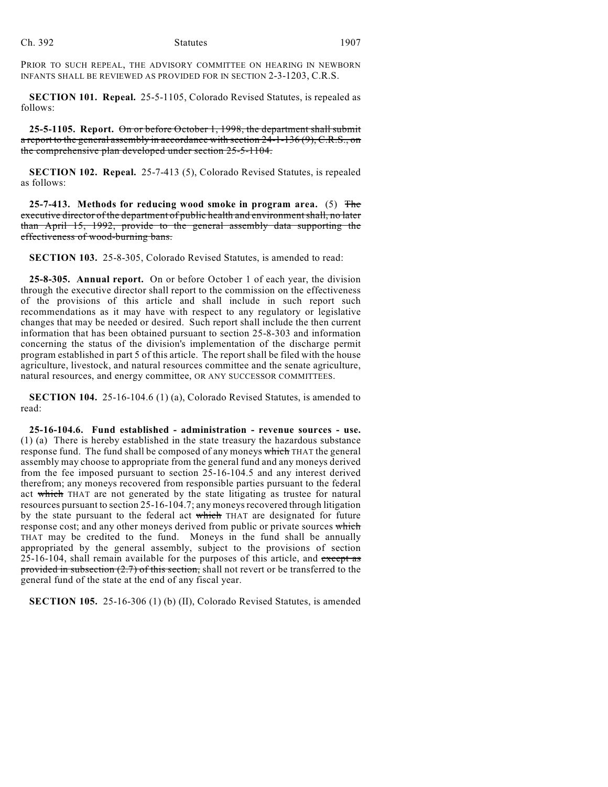PRIOR TO SUCH REPEAL, THE ADVISORY COMMITTEE ON HEARING IN NEWBORN INFANTS SHALL BE REVIEWED AS PROVIDED FOR IN SECTION 2-3-1203, C.R.S.

**SECTION 101. Repeal.** 25-5-1105, Colorado Revised Statutes, is repealed as follows:

**25-5-1105. Report.** On or before October 1, 1998, the department shall submit a report to the general assembly in accordance with section 24-1-136 (9), C.R.S., on the comprehensive plan developed under section 25-5-1104.

**SECTION 102. Repeal.** 25-7-413 (5), Colorado Revised Statutes, is repealed as follows:

**25-7-413. Methods for reducing wood smoke in program area.** (5) The executive director of the department of public health and environment shall, no later than April 15, 1992, provide to the general assembly data supporting the effectiveness of wood-burning bans.

**SECTION 103.** 25-8-305, Colorado Revised Statutes, is amended to read:

**25-8-305. Annual report.** On or before October 1 of each year, the division through the executive director shall report to the commission on the effectiveness of the provisions of this article and shall include in such report such recommendations as it may have with respect to any regulatory or legislative changes that may be needed or desired. Such report shall include the then current information that has been obtained pursuant to section 25-8-303 and information concerning the status of the division's implementation of the discharge permit program established in part 5 of this article. The report shall be filed with the house agriculture, livestock, and natural resources committee and the senate agriculture, natural resources, and energy committee, OR ANY SUCCESSOR COMMITTEES.

**SECTION 104.** 25-16-104.6 (1) (a), Colorado Revised Statutes, is amended to read:

**25-16-104.6. Fund established - administration - revenue sources - use.** (1) (a) There is hereby established in the state treasury the hazardous substance response fund. The fund shall be composed of any moneys which THAT the general assembly may choose to appropriate from the general fund and any moneys derived from the fee imposed pursuant to section 25-16-104.5 and any interest derived therefrom; any moneys recovered from responsible parties pursuant to the federal act which THAT are not generated by the state litigating as trustee for natural resources pursuant to section 25-16-104.7; any moneys recovered through litigation by the state pursuant to the federal act which THAT are designated for future response cost; and any other moneys derived from public or private sources which THAT may be credited to the fund. Moneys in the fund shall be annually appropriated by the general assembly, subject to the provisions of section  $25-16-104$ , shall remain available for the purposes of this article, and except as provided in subsection  $(2.7)$  of this section, shall not revert or be transferred to the general fund of the state at the end of any fiscal year.

**SECTION 105.** 25-16-306 (1) (b) (II), Colorado Revised Statutes, is amended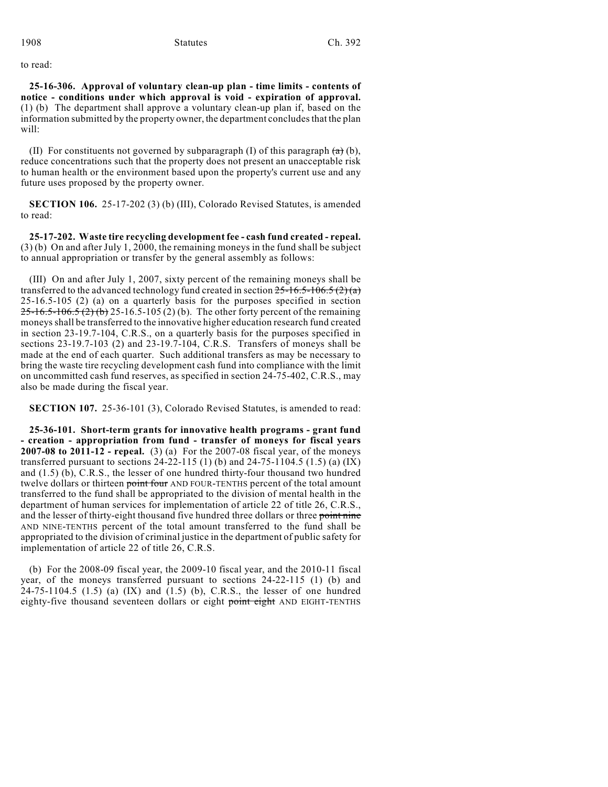to read:

**25-16-306. Approval of voluntary clean-up plan - time limits - contents of notice - conditions under which approval is void - expiration of approval.** (1) (b) The department shall approve a voluntary clean-up plan if, based on the information submitted by the property owner, the department concludes that the plan will:

(II) For constituents not governed by subparagraph (I) of this paragraph  $(a)$  (b), reduce concentrations such that the property does not present an unacceptable risk to human health or the environment based upon the property's current use and any future uses proposed by the property owner.

**SECTION 106.** 25-17-202 (3) (b) (III), Colorado Revised Statutes, is amended to read:

**25-17-202. Waste tire recycling development fee - cash fund created - repeal.** (3) (b) On and after July 1, 2000, the remaining moneys in the fund shall be subject to annual appropriation or transfer by the general assembly as follows:

(III) On and after July 1, 2007, sixty percent of the remaining moneys shall be transferred to the advanced technology fund created in section  $25-16.5-106.5$   $(2)(a)$ 25-16.5-105 (2) (a) on a quarterly basis for the purposes specified in section  $25-16.5-106.5$  (2) (b) 25-16.5-105 (2) (b). The other forty percent of the remaining moneys shall be transferred to the innovative higher education research fund created in section 23-19.7-104, C.R.S., on a quarterly basis for the purposes specified in sections 23-19.7-103 (2) and 23-19.7-104, C.R.S. Transfers of moneys shall be made at the end of each quarter. Such additional transfers as may be necessary to bring the waste tire recycling development cash fund into compliance with the limit on uncommitted cash fund reserves, as specified in section 24-75-402, C.R.S., may also be made during the fiscal year.

**SECTION 107.** 25-36-101 (3), Colorado Revised Statutes, is amended to read:

**25-36-101. Short-term grants for innovative health programs - grant fund - creation - appropriation from fund - transfer of moneys for fiscal years 2007-08 to 2011-12 - repeal.** (3) (a) For the 2007-08 fiscal year, of the moneys transferred pursuant to sections 24-22-115 (1) (b) and 24-75-1104.5 (1.5) (a) (IX) and (1.5) (b), C.R.S., the lesser of one hundred thirty-four thousand two hundred twelve dollars or thirteen point four AND FOUR-TENTHS percent of the total amount transferred to the fund shall be appropriated to the division of mental health in the department of human services for implementation of article 22 of title 26, C.R.S., and the lesser of thirty-eight thousand five hundred three dollars or three point nine AND NINE-TENTHS percent of the total amount transferred to the fund shall be appropriated to the division of criminal justice in the department of public safety for implementation of article 22 of title 26, C.R.S.

(b) For the 2008-09 fiscal year, the 2009-10 fiscal year, and the 2010-11 fiscal year, of the moneys transferred pursuant to sections 24-22-115 (1) (b) and 24-75-1104.5 (1.5) (a)  $(IX)$  and  $(1.5)$  (b), C.R.S., the lesser of one hundred eighty-five thousand seventeen dollars or eight point eight AND EIGHT-TENTHS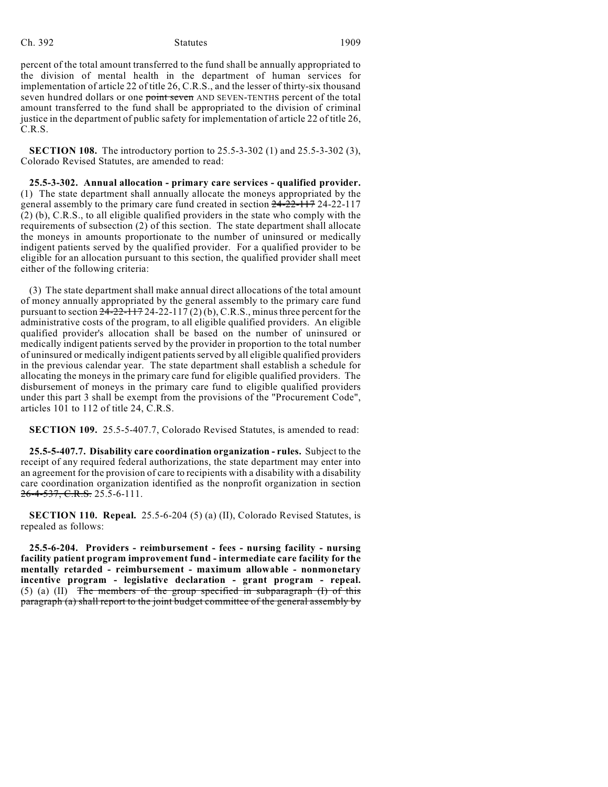#### Ch. 392 Statutes 1909

percent of the total amount transferred to the fund shall be annually appropriated to the division of mental health in the department of human services for implementation of article 22 of title 26, C.R.S., and the lesser of thirty-six thousand seven hundred dollars or one point seven AND SEVEN-TENTHS percent of the total amount transferred to the fund shall be appropriated to the division of criminal justice in the department of public safety for implementation of article 22 of title 26, C.R.S.

**SECTION 108.** The introductory portion to 25.5-3-302 (1) and 25.5-3-302 (3), Colorado Revised Statutes, are amended to read:

**25.5-3-302. Annual allocation - primary care services - qualified provider.** (1) The state department shall annually allocate the moneys appropriated by the general assembly to the primary care fund created in section 24-22-117 24-22-117 (2) (b), C.R.S., to all eligible qualified providers in the state who comply with the requirements of subsection (2) of this section. The state department shall allocate the moneys in amounts proportionate to the number of uninsured or medically indigent patients served by the qualified provider. For a qualified provider to be eligible for an allocation pursuant to this section, the qualified provider shall meet either of the following criteria:

(3) The state department shall make annual direct allocations of the total amount of money annually appropriated by the general assembly to the primary care fund pursuant to section  $24-22-117$   $24-22-117$   $(2)$  (b), C.R.S., minus three percent for the administrative costs of the program, to all eligible qualified providers. An eligible qualified provider's allocation shall be based on the number of uninsured or medically indigent patients served by the provider in proportion to the total number of uninsured or medically indigent patients served by all eligible qualified providers in the previous calendar year. The state department shall establish a schedule for allocating the moneys in the primary care fund for eligible qualified providers. The disbursement of moneys in the primary care fund to eligible qualified providers under this part 3 shall be exempt from the provisions of the "Procurement Code", articles 101 to 112 of title 24, C.R.S.

**SECTION 109.** 25.5-5-407.7, Colorado Revised Statutes, is amended to read:

**25.5-5-407.7. Disability care coordination organization - rules.** Subject to the receipt of any required federal authorizations, the state department may enter into an agreement for the provision of care to recipients with a disability with a disability care coordination organization identified as the nonprofit organization in section 26-4-537, C.R.S. 25.5-6-111.

**SECTION 110. Repeal.** 25.5-6-204 (5) (a) (II), Colorado Revised Statutes, is repealed as follows:

**25.5-6-204. Providers - reimbursement - fees - nursing facility - nursing facility patient program improvement fund - intermediate care facility for the mentally retarded - reimbursement - maximum allowable - nonmonetary incentive program - legislative declaration - grant program - repeal.** (5) (a) (II) The members of the group specified in subparagraph  $(I)$  of this paragraph (a) shall report to the joint budget committee of the general assembly by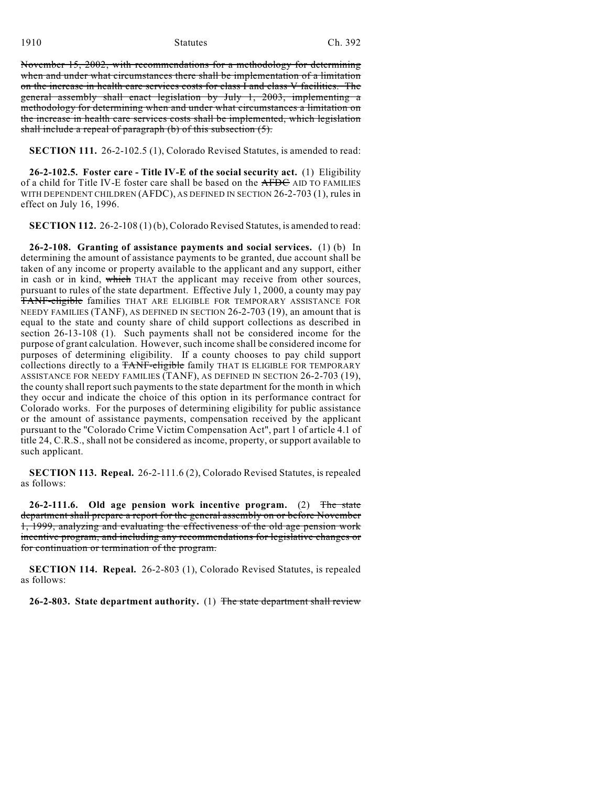November 15, 2002, with recommendations for a methodology for determining when and under what circumstances there shall be implementation of a limitation on the increase in health care services costs for class I and class V facilities. The general assembly shall enact legislation by July 1, 2003, implementing a methodology for determining when and under what circumstances a limitation on the increase in health care services costs shall be implemented, which legislation shall include a repeal of paragraph (b) of this subsection (5).

**SECTION 111.** 26-2-102.5 (1), Colorado Revised Statutes, is amended to read:

**26-2-102.5. Foster care - Title IV-E of the social security act.** (1) Eligibility of a child for Title IV-E foster care shall be based on the AFDC AID TO FAMILIES WITH DEPENDENT CHILDREN (AFDC), AS DEFINED IN SECTION 26-2-703 (1), rules in effect on July 16, 1996.

**SECTION 112.** 26-2-108 (1) (b), Colorado Revised Statutes, is amended to read:

**26-2-108. Granting of assistance payments and social services.** (1) (b) In determining the amount of assistance payments to be granted, due account shall be taken of any income or property available to the applicant and any support, either in cash or in kind, which THAT the applicant may receive from other sources, pursuant to rules of the state department. Effective July 1, 2000, a county may pay TANF-eligible families THAT ARE ELIGIBLE FOR TEMPORARY ASSISTANCE FOR NEEDY FAMILIES (TANF), AS DEFINED IN SECTION 26-2-703 (19), an amount that is equal to the state and county share of child support collections as described in section 26-13-108 (1). Such payments shall not be considered income for the purpose of grant calculation. However, such income shall be considered income for purposes of determining eligibility. If a county chooses to pay child support collections directly to a TANF-eligible family THAT IS ELIGIBLE FOR TEMPORARY ASSISTANCE FOR NEEDY FAMILIES (TANF), AS DEFINED IN SECTION 26-2-703 (19), the county shall report such payments to the state department for the month in which they occur and indicate the choice of this option in its performance contract for Colorado works. For the purposes of determining eligibility for public assistance or the amount of assistance payments, compensation received by the applicant pursuant to the "Colorado Crime Victim Compensation Act", part 1 of article 4.1 of title 24, C.R.S., shall not be considered as income, property, or support available to such applicant.

**SECTION 113. Repeal.** 26-2-111.6 (2), Colorado Revised Statutes, is repealed as follows:

**26-2-111.6. Old age pension work incentive program.** (2) The state department shall prepare a report for the general assembly on or before November 1, 1999, analyzing and evaluating the effectiveness of the old age pension work incentive program, and including any recommendations for legislative changes or for continuation or termination of the program.

**SECTION 114. Repeal.** 26-2-803 (1), Colorado Revised Statutes, is repealed as follows:

**26-2-803. State department authority.** (1) The state department shall review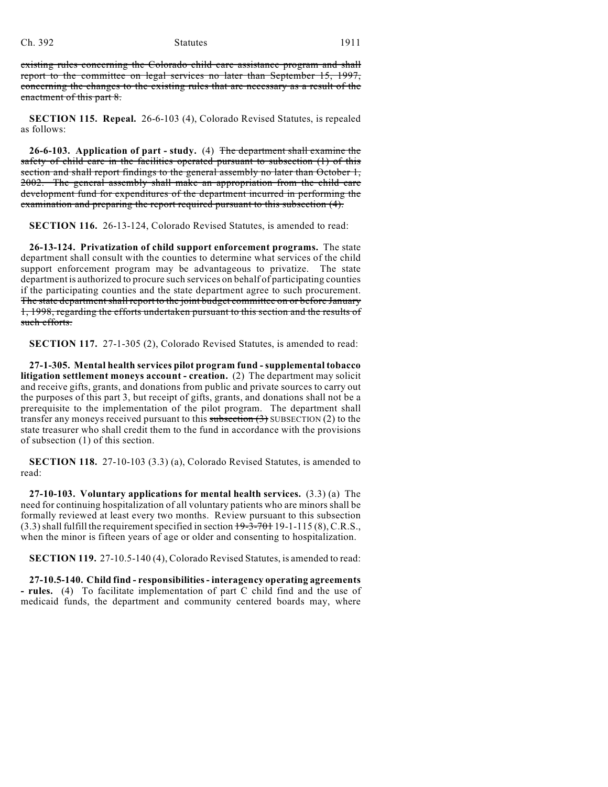#### Ch. 392 Statutes 1911

existing rules concerning the Colorado child care assistance program and shall report to the committee on legal services no later than September 15, 1997, concerning the changes to the existing rules that are necessary as a result of the enactment of this part 8.

**SECTION 115. Repeal.** 26-6-103 (4), Colorado Revised Statutes, is repealed as follows:

**26-6-103. Application of part - study.** (4) The department shall examine the safety of child care in the facilities operated pursuant to subsection (1) of this section and shall report findings to the general assembly no later than October 1, 2002. The general assembly shall make an appropriation from the child care development fund for expenditures of the department incurred in performing the examination and preparing the report required pursuant to this subsection (4).

**SECTION 116.** 26-13-124, Colorado Revised Statutes, is amended to read:

**26-13-124. Privatization of child support enforcement programs.** The state department shall consult with the counties to determine what services of the child support enforcement program may be advantageous to privatize. The state department is authorized to procure such services on behalf of participating counties if the participating counties and the state department agree to such procurement. The state department shall report to the joint budget committee on or before January 1, 1998, regarding the efforts undertaken pursuant to this section and the results of such efforts.

**SECTION 117.** 27-1-305 (2), Colorado Revised Statutes, is amended to read:

**27-1-305. Mental health services pilot program fund - supplemental tobacco litigation settlement moneys account - creation.** (2) The department may solicit and receive gifts, grants, and donations from public and private sources to carry out the purposes of this part 3, but receipt of gifts, grants, and donations shall not be a prerequisite to the implementation of the pilot program. The department shall transfer any moneys received pursuant to this subsection  $(3)$  SUBSECTION  $(2)$  to the state treasurer who shall credit them to the fund in accordance with the provisions of subsection (1) of this section.

**SECTION 118.** 27-10-103 (3.3) (a), Colorado Revised Statutes, is amended to read:

**27-10-103. Voluntary applications for mental health services.** (3.3) (a) The need for continuing hospitalization of all voluntary patients who are minors shall be formally reviewed at least every two months. Review pursuant to this subsection  $(3.3)$  shall fulfill the requirement specified in section  $19-3-70119-1-115(8)$ , C.R.S., when the minor is fifteen years of age or older and consenting to hospitalization.

**SECTION 119.** 27-10.5-140 (4), Colorado Revised Statutes, is amended to read:

**27-10.5-140. Child find - responsibilities - interagency operating agreements - rules.** (4) To facilitate implementation of part C child find and the use of medicaid funds, the department and community centered boards may, where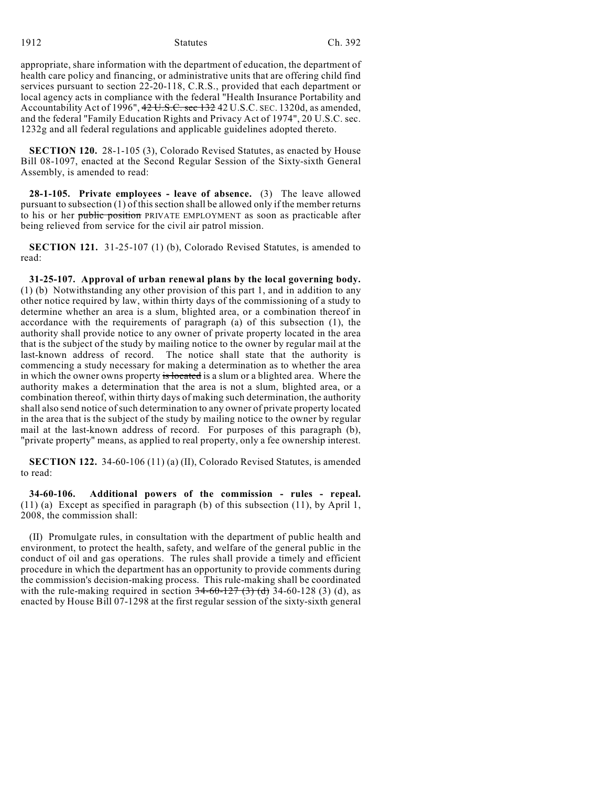1912 Statutes Ch. 392

appropriate, share information with the department of education, the department of health care policy and financing, or administrative units that are offering child find services pursuant to section 22-20-118, C.R.S., provided that each department or local agency acts in compliance with the federal "Health Insurance Portability and Accountability Act of 1996", 42 U.S.C. sec 132 42 U.S.C. SEC. 1320d, as amended, and the federal "Family Education Rights and Privacy Act of 1974", 20 U.S.C. sec. 1232g and all federal regulations and applicable guidelines adopted thereto.

**SECTION 120.** 28-1-105 (3), Colorado Revised Statutes, as enacted by House Bill 08-1097, enacted at the Second Regular Session of the Sixty-sixth General Assembly, is amended to read:

**28-1-105. Private employees - leave of absence.** (3) The leave allowed pursuant to subsection (1) of this section shall be allowed only if the member returns to his or her public position PRIVATE EMPLOYMENT as soon as practicable after being relieved from service for the civil air patrol mission.

**SECTION 121.** 31-25-107 (1) (b), Colorado Revised Statutes, is amended to read:

**31-25-107. Approval of urban renewal plans by the local governing body.** (1) (b) Notwithstanding any other provision of this part 1, and in addition to any other notice required by law, within thirty days of the commissioning of a study to determine whether an area is a slum, blighted area, or a combination thereof in accordance with the requirements of paragraph (a) of this subsection (1), the authority shall provide notice to any owner of private property located in the area that is the subject of the study by mailing notice to the owner by regular mail at the last-known address of record. The notice shall state that the authority is commencing a study necessary for making a determination as to whether the area in which the owner owns property is located is a slum or a blighted area. Where the authority makes a determination that the area is not a slum, blighted area, or a combination thereof, within thirty days of making such determination, the authority shall also send notice of such determination to any owner of private property located in the area that is the subject of the study by mailing notice to the owner by regular mail at the last-known address of record. For purposes of this paragraph (b), "private property" means, as applied to real property, only a fee ownership interest.

**SECTION 122.** 34-60-106 (11) (a) (II), Colorado Revised Statutes, is amended to read:

**34-60-106. Additional powers of the commission - rules - repeal.** (11) (a) Except as specified in paragraph (b) of this subsection (11), by April 1, 2008, the commission shall:

(II) Promulgate rules, in consultation with the department of public health and environment, to protect the health, safety, and welfare of the general public in the conduct of oil and gas operations. The rules shall provide a timely and efficient procedure in which the department has an opportunity to provide comments during the commission's decision-making process. This rule-making shall be coordinated with the rule-making required in section  $34-60-127$  (3) (d) 34-60-128 (3) (d), as enacted by House Bill 07-1298 at the first regular session of the sixty-sixth general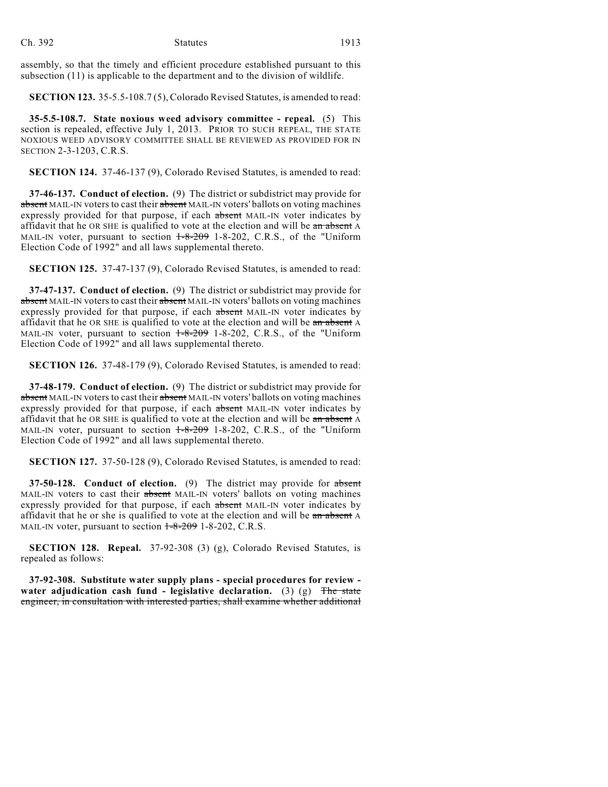assembly, so that the timely and efficient procedure established pursuant to this subsection (11) is applicable to the department and to the division of wildlife.

**SECTION 123.** 35-5.5-108.7 (5), Colorado Revised Statutes, is amended to read:

**35-5.5-108.7. State noxious weed advisory committee - repeal.** (5) This section is repealed, effective July 1, 2013. PRIOR TO SUCH REPEAL, THE STATE NOXIOUS WEED ADVISORY COMMITTEE SHALL BE REVIEWED AS PROVIDED FOR IN SECTION 2-3-1203, C.R.S.

**SECTION 124.** 37-46-137 (9), Colorado Revised Statutes, is amended to read:

**37-46-137. Conduct of election.** (9) The district or subdistrict may provide for absent MAIL-IN voters to cast their absent MAIL-IN voters' ballots on voting machines expressly provided for that purpose, if each absent MAIL-IN voter indicates by affidavit that he OR SHE is qualified to vote at the election and will be an absent A MAIL-IN voter, pursuant to section  $1-8-209$  1-8-202, C.R.S., of the "Uniform Election Code of 1992" and all laws supplemental thereto.

**SECTION 125.** 37-47-137 (9), Colorado Revised Statutes, is amended to read:

**37-47-137. Conduct of election.** (9) The district or subdistrict may provide for absent MAIL-IN voters to cast their absent MAIL-IN voters' ballots on voting machines expressly provided for that purpose, if each absent MAIL-IN voter indicates by affidavit that he OR SHE is qualified to vote at the election and will be an absent A MAIL-IN voter, pursuant to section  $1\text{-}8\text{-}209$  1-8-202, C.R.S., of the "Uniform Election Code of 1992" and all laws supplemental thereto.

**SECTION 126.** 37-48-179 (9), Colorado Revised Statutes, is amended to read:

**37-48-179. Conduct of election.** (9) The district or subdistrict may provide for absent MAIL-IN voters to cast their absent MAIL-IN voters' ballots on voting machines expressly provided for that purpose, if each absent MAIL-IN voter indicates by affidavit that he OR SHE is qualified to vote at the election and will be an absent A MAIL-IN voter, pursuant to section  $1\text{-}8\text{-}209$  1-8-202, C.R.S., of the "Uniform Election Code of 1992" and all laws supplemental thereto.

**SECTION 127.** 37-50-128 (9), Colorado Revised Statutes, is amended to read:

**37-50-128. Conduct of election.** (9) The district may provide for absent MAIL-IN voters to cast their absent MAIL-IN voters' ballots on voting machines expressly provided for that purpose, if each absent MAIL-IN voter indicates by affidavit that he or she is qualified to vote at the election and will be an absent A MAIL-IN voter, pursuant to section  $1-8-209$  1-8-202, C.R.S.

**SECTION 128. Repeal.** 37-92-308 (3) (g), Colorado Revised Statutes, is repealed as follows:

**37-92-308. Substitute water supply plans - special procedures for review water adjudication cash fund - legislative declaration.** (3) (g) The state engineer, in consultation with interested parties, shall examine whether additional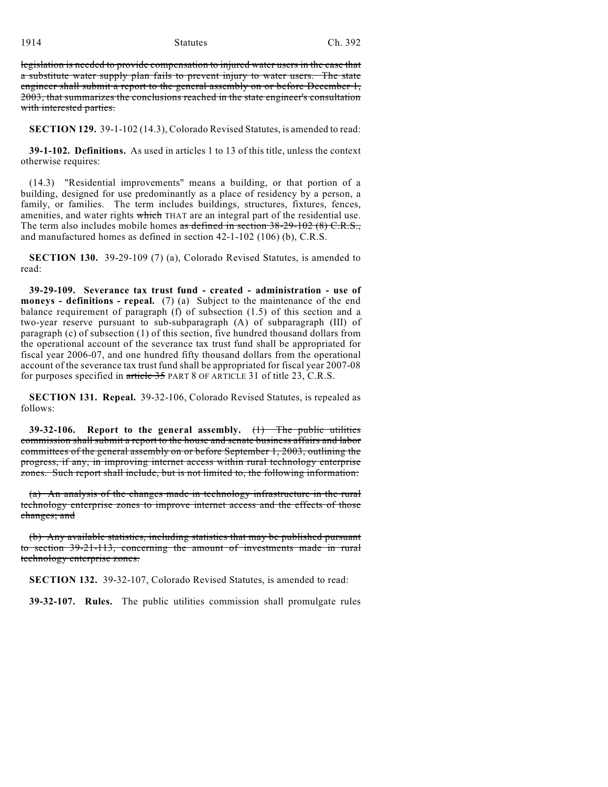1914 **Statutes** Ch. 392

legislation is needed to provide compensation to injured water users in the case that a substitute water supply plan fails to prevent injury to water users. The state engineer shall submit a report to the general assembly on or before December 1, 2003, that summarizes the conclusions reached in the state engineer's consultation with interested parties.

**SECTION 129.** 39-1-102 (14.3), Colorado Revised Statutes, is amended to read:

**39-1-102. Definitions.** As used in articles 1 to 13 of this title, unless the context otherwise requires:

(14.3) "Residential improvements" means a building, or that portion of a building, designed for use predominantly as a place of residency by a person, a family, or families. The term includes buildings, structures, fixtures, fences, amenities, and water rights which THAT are an integral part of the residential use. The term also includes mobile homes as defined in section 38-29-102 (8) C.R.S., and manufactured homes as defined in section 42-1-102 (106) (b), C.R.S.

**SECTION 130.** 39-29-109 (7) (a), Colorado Revised Statutes, is amended to read:

**39-29-109. Severance tax trust fund - created - administration - use of moneys - definitions - repeal.** (7) (a) Subject to the maintenance of the end balance requirement of paragraph (f) of subsection (1.5) of this section and a two-year reserve pursuant to sub-subparagraph (A) of subparagraph (III) of paragraph (c) of subsection (1) of this section, five hundred thousand dollars from the operational account of the severance tax trust fund shall be appropriated for fiscal year 2006-07, and one hundred fifty thousand dollars from the operational account of the severance tax trust fund shall be appropriated for fiscal year 2007-08 for purposes specified in article 35 PART 8 OF ARTICLE 31 of title 23, C.R.S.

**SECTION 131. Repeal.** 39-32-106, Colorado Revised Statutes, is repealed as follows:

**39-32-106. Report to the general assembly.** (1) The public utilities commission shall submit a report to the house and senate business affairs and labor committees of the general assembly on or before September 1, 2003, outlining the progress, if any, in improving internet access within rural technology enterprise zones. Such report shall include, but is not limited to, the following information:

(a) An analysis of the changes made in technology infrastructure in the rural technology enterprise zones to improve internet access and the effects of those changes; and

(b) Any available statistics, including statistics that may be published pursuant to section 39-21-113, concerning the amount of investments made in rural technology enterprise zones.

**SECTION 132.** 39-32-107, Colorado Revised Statutes, is amended to read:

**39-32-107. Rules.** The public utilities commission shall promulgate rules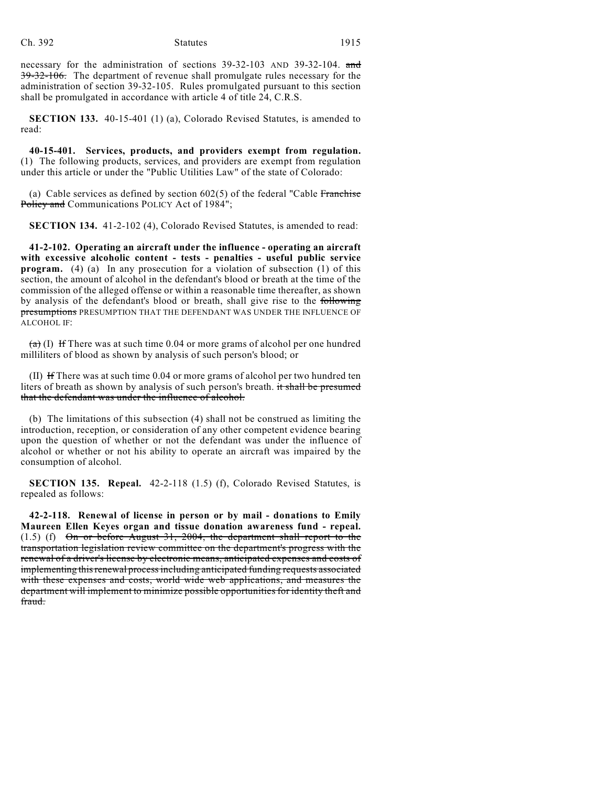necessary for the administration of sections 39-32-103 AND 39-32-104. and 39-32-106. The department of revenue shall promulgate rules necessary for the administration of section 39-32-105. Rules promulgated pursuant to this section shall be promulgated in accordance with article 4 of title 24, C.R.S.

**SECTION 133.** 40-15-401 (1) (a), Colorado Revised Statutes, is amended to read:

**40-15-401. Services, products, and providers exempt from regulation.** (1) The following products, services, and providers are exempt from regulation under this article or under the "Public Utilities Law" of the state of Colorado:

(a) Cable services as defined by section  $602(5)$  of the federal "Cable Franchise" Policy and Communications POLICY Act of 1984";

**SECTION 134.** 41-2-102 (4), Colorado Revised Statutes, is amended to read:

**41-2-102. Operating an aircraft under the influence - operating an aircraft with excessive alcoholic content - tests - penalties - useful public service program.** (4) (a) In any prosecution for a violation of subsection (1) of this section, the amount of alcohol in the defendant's blood or breath at the time of the commission of the alleged offense or within a reasonable time thereafter, as shown by analysis of the defendant's blood or breath, shall give rise to the following presumptions PRESUMPTION THAT THE DEFENDANT WAS UNDER THE INFLUENCE OF ALCOHOL IF:

 $(a)$  (I) If There was at such time 0.04 or more grams of alcohol per one hundred milliliters of blood as shown by analysis of such person's blood; or

(II) If There was at such time 0.04 or more grams of alcohol per two hundred ten liters of breath as shown by analysis of such person's breath. it shall be presumed that the defendant was under the influence of alcohol.

(b) The limitations of this subsection (4) shall not be construed as limiting the introduction, reception, or consideration of any other competent evidence bearing upon the question of whether or not the defendant was under the influence of alcohol or whether or not his ability to operate an aircraft was impaired by the consumption of alcohol.

**SECTION 135. Repeal.** 42-2-118 (1.5) (f), Colorado Revised Statutes, is repealed as follows:

**42-2-118. Renewal of license in person or by mail - donations to Emily Maureen Ellen Keyes organ and tissue donation awareness fund - repeal.**  $(1.5)$  (f)  $\Theta$  or before August 31, 2004, the department shall report to the transportation legislation review committee on the department's progress with the renewal of a driver's license by electronic means, anticipated expenses and costs of implementing this renewal process including anticipated funding requests associated with these expenses and costs, world wide web applications, and measures the department will implement to minimize possible opportunities for identity theft and fraud.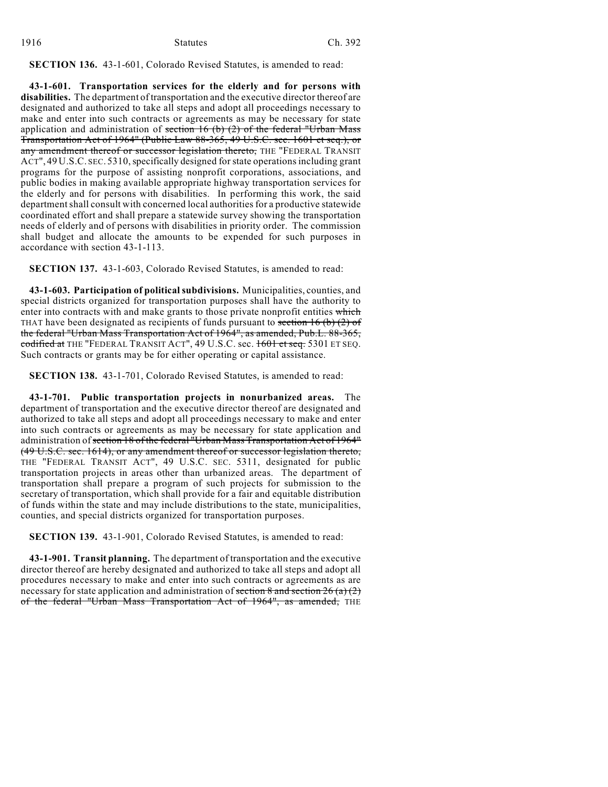| 1916 | <b>Statutes</b> | Ch. 392 |  |
|------|-----------------|---------|--|
|      |                 |         |  |

**SECTION 136.** 43-1-601, Colorado Revised Statutes, is amended to read:

**43-1-601. Transportation services for the elderly and for persons with disabilities.** The department of transportation and the executive director thereof are designated and authorized to take all steps and adopt all proceedings necessary to make and enter into such contracts or agreements as may be necessary for state application and administration of section  $16$  (b) (2) of the federal "Urban Mass Transportation Act of 1964" (Public Law 88-365, 49 U.S.C. sec. 1601 et seq.), or any amendment thereof or successor legislation thereto, THE "FEDERAL TRANSIT ACT", 49 U.S.C. SEC. 5310, specifically designed for state operations including grant programs for the purpose of assisting nonprofit corporations, associations, and public bodies in making available appropriate highway transportation services for the elderly and for persons with disabilities. In performing this work, the said department shall consult with concerned local authorities for a productive statewide coordinated effort and shall prepare a statewide survey showing the transportation needs of elderly and of persons with disabilities in priority order. The commission shall budget and allocate the amounts to be expended for such purposes in accordance with section 43-1-113.

**SECTION 137.** 43-1-603, Colorado Revised Statutes, is amended to read:

**43-1-603. Participation of political subdivisions.** Municipalities, counties, and special districts organized for transportation purposes shall have the authority to enter into contracts with and make grants to those private nonprofit entities which THAT have been designated as recipients of funds pursuant to section 16 (b) (2) of the federal "Urban Mass Transportation Act of 1964", as amended, Pub.L. 88-365, codified at THE "FEDERAL TRANSIT ACT", 49 U.S.C. sec. 1601 et seq. 5301 ET SEQ. Such contracts or grants may be for either operating or capital assistance.

**SECTION 138.** 43-1-701, Colorado Revised Statutes, is amended to read:

**43-1-701. Public transportation projects in nonurbanized areas.** The department of transportation and the executive director thereof are designated and authorized to take all steps and adopt all proceedings necessary to make and enter into such contracts or agreements as may be necessary for state application and administration of section 18 of the federal "Urban Mass Transportation Act of 1964" (49 U.S.C. sec. 1614), or any amendment thereof or successor legislation thereto, THE "FEDERAL TRANSIT ACT", 49 U.S.C. SEC. 5311, designated for public transportation projects in areas other than urbanized areas. The department of transportation shall prepare a program of such projects for submission to the secretary of transportation, which shall provide for a fair and equitable distribution of funds within the state and may include distributions to the state, municipalities, counties, and special districts organized for transportation purposes.

**SECTION 139.** 43-1-901, Colorado Revised Statutes, is amended to read:

**43-1-901. Transit planning.** The department of transportation and the executive director thereof are hereby designated and authorized to take all steps and adopt all procedures necessary to make and enter into such contracts or agreements as are necessary for state application and administration of section 8 and section  $26$  (a) (2) of the federal "Urban Mass Transportation Act of 1964", as amended, THE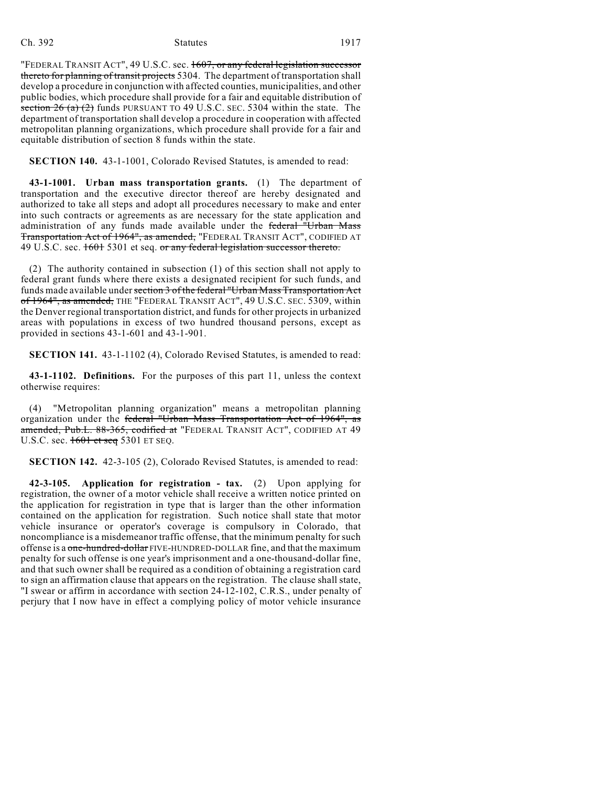| റാ |
|----|
|    |

### Ch. 392 Statutes 1917

"FEDERAL TRANSIT ACT", 49 U.S.C. sec. 1607, or any federal legislation successor thereto for planning of transit projects 5304. The department of transportation shall develop a procedure in conjunction with affected counties, municipalities, and other public bodies, which procedure shall provide for a fair and equitable distribution of section  $26$  (a) (2) funds PURSUANT TO 49 U.S.C. SEC. 5304 within the state. The department of transportation shall develop a procedure in cooperation with affected metropolitan planning organizations, which procedure shall provide for a fair and equitable distribution of section 8 funds within the state.

**SECTION 140.** 43-1-1001, Colorado Revised Statutes, is amended to read:

**43-1-1001. Urban mass transportation grants.** (1) The department of transportation and the executive director thereof are hereby designated and authorized to take all steps and adopt all procedures necessary to make and enter into such contracts or agreements as are necessary for the state application and administration of any funds made available under the federal "Urban Mass Transportation Act of 1964", as amended, "FEDERAL TRANSIT ACT", CODIFIED AT 49 U.S.C. sec. 1601 5301 et seq. or any federal legislation successor thereto.

(2) The authority contained in subsection (1) of this section shall not apply to federal grant funds where there exists a designated recipient for such funds, and funds made available under section 3 of the federal "Urban Mass Transportation Act of 1964", as amended, THE "FEDERAL TRANSIT ACT", 49 U.S.C. SEC. 5309, within the Denver regional transportation district, and funds for other projects in urbanized areas with populations in excess of two hundred thousand persons, except as provided in sections 43-1-601 and 43-1-901.

**SECTION 141.** 43-1-1102 (4), Colorado Revised Statutes, is amended to read:

**43-1-1102. Definitions.** For the purposes of this part 11, unless the context otherwise requires:

(4) "Metropolitan planning organization" means a metropolitan planning organization under the federal "Urban Mass Transportation Act of 1964", as <del>amended, Pub.L. 88-365, codified at</del> "FEDERAL TRANSIT ACT", CODIFIED AT 49 U.S.C. sec.  $1601$  et seq 5301 ET SEQ.

**SECTION 142.** 42-3-105 (2), Colorado Revised Statutes, is amended to read:

**42-3-105. Application for registration - tax.** (2) Upon applying for registration, the owner of a motor vehicle shall receive a written notice printed on the application for registration in type that is larger than the other information contained on the application for registration. Such notice shall state that motor vehicle insurance or operator's coverage is compulsory in Colorado, that noncompliance is a misdemeanor traffic offense, that the minimum penalty for such offense is a one-hundred-dollar FIVE-HUNDRED-DOLLAR fine, and that the maximum penalty for such offense is one year's imprisonment and a one-thousand-dollar fine, and that such owner shall be required as a condition of obtaining a registration card to sign an affirmation clause that appears on the registration. The clause shall state, "I swear or affirm in accordance with section 24-12-102, C.R.S., under penalty of perjury that I now have in effect a complying policy of motor vehicle insurance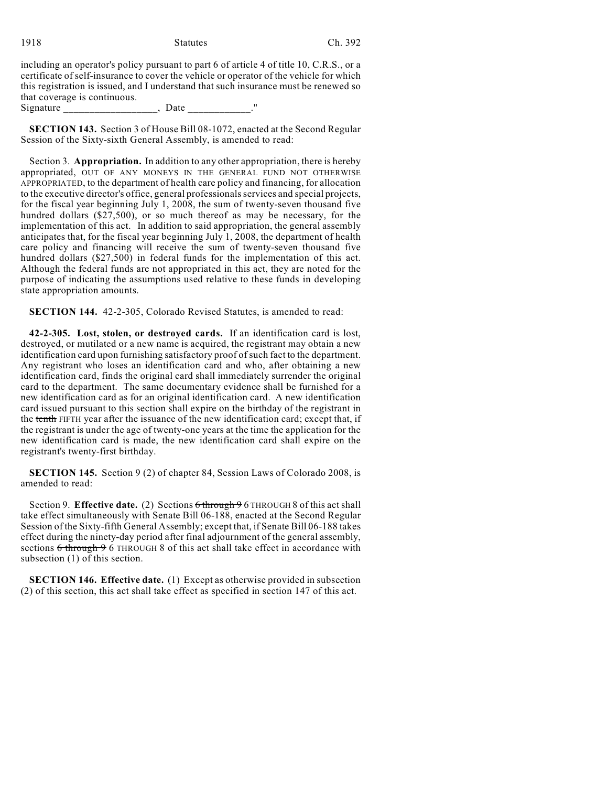| 1918 | <b>Statutes</b> | Ch. 392 |
|------|-----------------|---------|
|      |                 |         |

including an operator's policy pursuant to part 6 of article 4 of title 10, C.R.S., or a certificate of self-insurance to cover the vehicle or operator of the vehicle for which this registration is issued, and I understand that such insurance must be renewed so that coverage is continuous. Signature \_\_\_\_\_\_\_\_\_\_\_\_\_\_\_\_\_, Date \_\_\_\_\_\_\_\_\_\_."

**SECTION 143.** Section 3 of House Bill 08-1072, enacted at the Second Regular Session of the Sixty-sixth General Assembly, is amended to read:

Section 3. **Appropriation.** In addition to any other appropriation, there is hereby appropriated, OUT OF ANY MONEYS IN THE GENERAL FUND NOT OTHERWISE APPROPRIATED, to the department of health care policy and financing, for allocation to the executive director's office, general professionals services and special projects, for the fiscal year beginning July 1, 2008, the sum of twenty-seven thousand five hundred dollars (\$27,500), or so much thereof as may be necessary, for the implementation of this act. In addition to said appropriation, the general assembly anticipates that, for the fiscal year beginning July 1, 2008, the department of health care policy and financing will receive the sum of twenty-seven thousand five hundred dollars (\$27,500) in federal funds for the implementation of this act. Although the federal funds are not appropriated in this act, they are noted for the purpose of indicating the assumptions used relative to these funds in developing state appropriation amounts.

**SECTION 144.** 42-2-305, Colorado Revised Statutes, is amended to read:

**42-2-305. Lost, stolen, or destroyed cards.** If an identification card is lost, destroyed, or mutilated or a new name is acquired, the registrant may obtain a new identification card upon furnishing satisfactory proof of such fact to the department. Any registrant who loses an identification card and who, after obtaining a new identification card, finds the original card shall immediately surrender the original card to the department. The same documentary evidence shall be furnished for a new identification card as for an original identification card. A new identification card issued pursuant to this section shall expire on the birthday of the registrant in the tenth FIFTH year after the issuance of the new identification card; except that, if the registrant is under the age of twenty-one years at the time the application for the new identification card is made, the new identification card shall expire on the registrant's twenty-first birthday.

**SECTION 145.** Section 9 (2) of chapter 84, Session Laws of Colorado 2008, is amended to read:

Section 9. **Effective date.** (2) Sections 6 through 9 6 THROUGH 8 of this act shall take effect simultaneously with Senate Bill 06-188, enacted at the Second Regular Session of the Sixty-fifth General Assembly; except that, if Senate Bill 06-188 takes effect during the ninety-day period after final adjournment of the general assembly, sections  $6$  through 9 6 THROUGH 8 of this act shall take effect in accordance with subsection (1) of this section.

**SECTION 146. Effective date.** (1) Except as otherwise provided in subsection (2) of this section, this act shall take effect as specified in section 147 of this act.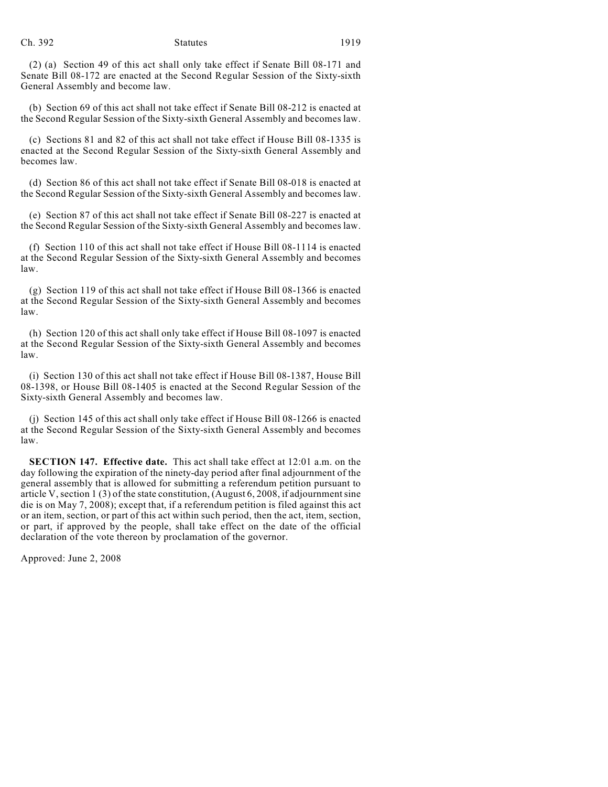(2) (a) Section 49 of this act shall only take effect if Senate Bill 08-171 and Senate Bill 08-172 are enacted at the Second Regular Session of the Sixty-sixth General Assembly and become law.

(b) Section 69 of this act shall not take effect if Senate Bill 08-212 is enacted at the Second Regular Session of the Sixty-sixth General Assembly and becomes law.

(c) Sections 81 and 82 of this act shall not take effect if House Bill 08-1335 is enacted at the Second Regular Session of the Sixty-sixth General Assembly and becomes law.

(d) Section 86 of this act shall not take effect if Senate Bill 08-018 is enacted at the Second Regular Session of the Sixty-sixth General Assembly and becomes law.

(e) Section 87 of this act shall not take effect if Senate Bill 08-227 is enacted at the Second Regular Session of the Sixty-sixth General Assembly and becomes law.

(f) Section 110 of this act shall not take effect if House Bill 08-1114 is enacted at the Second Regular Session of the Sixty-sixth General Assembly and becomes law.

(g) Section 119 of this act shall not take effect if House Bill 08-1366 is enacted at the Second Regular Session of the Sixty-sixth General Assembly and becomes law.

(h) Section 120 of this act shall only take effect if House Bill 08-1097 is enacted at the Second Regular Session of the Sixty-sixth General Assembly and becomes law.

(i) Section 130 of this act shall not take effect if House Bill 08-1387, House Bill 08-1398, or House Bill 08-1405 is enacted at the Second Regular Session of the Sixty-sixth General Assembly and becomes law.

(j) Section 145 of this act shall only take effect if House Bill 08-1266 is enacted at the Second Regular Session of the Sixty-sixth General Assembly and becomes law.

**SECTION 147. Effective date.** This act shall take effect at 12:01 a.m. on the day following the expiration of the ninety-day period after final adjournment of the general assembly that is allowed for submitting a referendum petition pursuant to article V, section 1 (3) of the state constitution, (August 6, 2008, if adjournment sine die is on May 7, 2008); except that, if a referendum petition is filed against this act or an item, section, or part of this act within such period, then the act, item, section, or part, if approved by the people, shall take effect on the date of the official declaration of the vote thereon by proclamation of the governor.

Approved: June 2, 2008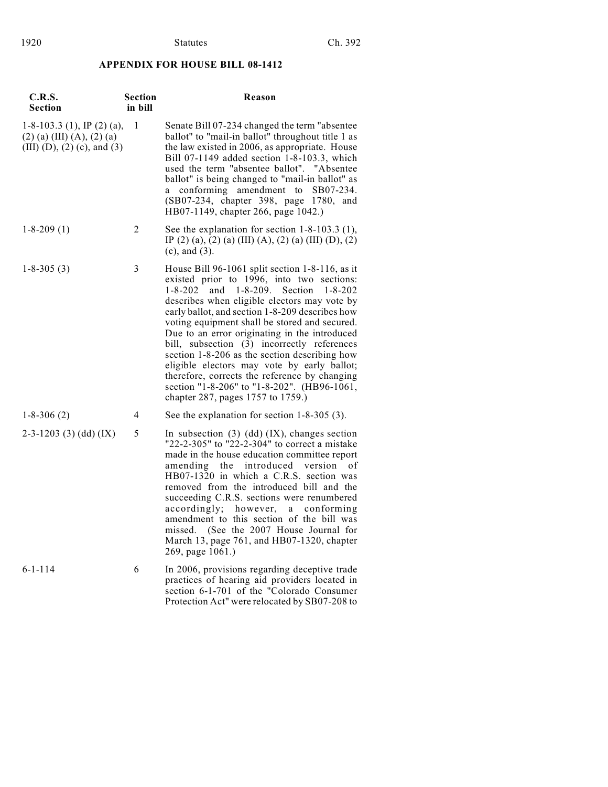# **APPENDIX FOR HOUSE BILL 08-1412**

| <b>C.R.S.</b><br><b>Section</b>                                                             | <b>Section</b><br>in bill | Reason                                                                                                                                                                                                                                                                                                                                                                                                                                                                                                                                                                                                                                                |
|---------------------------------------------------------------------------------------------|---------------------------|-------------------------------------------------------------------------------------------------------------------------------------------------------------------------------------------------------------------------------------------------------------------------------------------------------------------------------------------------------------------------------------------------------------------------------------------------------------------------------------------------------------------------------------------------------------------------------------------------------------------------------------------------------|
| $1-8-103.3$ (1), IP (2) (a),<br>$(2)$ (a) (III) (A), (2) (a)<br>(III) (D), (2) (c), and (3) | 1                         | Senate Bill 07-234 changed the term "absentee<br>ballot" to "mail-in ballot" throughout title 1 as<br>the law existed in 2006, as appropriate. House<br>Bill 07-1149 added section 1-8-103.3, which<br>used the term "absentee ballot". "Absentee<br>ballot" is being changed to "mail-in ballot" as<br>conforming amendment to<br>SB07-234.<br>a<br>(SB07-234, chapter 398, page 1780, and<br>HB07-1149, chapter 266, page 1042.)                                                                                                                                                                                                                    |
| $1 - 8 - 209(1)$                                                                            | 2                         | See the explanation for section $1-8-103.3$ (1),<br>IP (2) (a), (2) (a) (III) (A), (2) (a) (III) (D), (2)<br>$(c)$ , and $(3)$ .                                                                                                                                                                                                                                                                                                                                                                                                                                                                                                                      |
| $1 - 8 - 305(3)$                                                                            | 3                         | House Bill 96-1061 split section 1-8-116, as it<br>existed prior to 1996, into two sections:<br>and $1-8-209$ .<br>$1 - 8 - 202$<br>Section<br>$1 - 8 - 202$<br>describes when eligible electors may vote by<br>early ballot, and section 1-8-209 describes how<br>voting equipment shall be stored and secured.<br>Due to an error originating in the introduced<br>bill, subsection (3) incorrectly references<br>section 1-8-206 as the section describing how<br>eligible electors may vote by early ballot;<br>therefore, corrects the reference by changing<br>section "1-8-206" to "1-8-202". (HB96-1061,<br>chapter 287, pages 1757 to 1759.) |
| $1 - 8 - 306(2)$                                                                            | 4                         | See the explanation for section $1-8-305(3)$ .                                                                                                                                                                                                                                                                                                                                                                                                                                                                                                                                                                                                        |
| $2-3-1203$ (3) (dd) (IX)                                                                    | 5                         | In subsection $(3)$ $(dd)$ $(IX)$ , changes section<br>"22-2-305" to "22-2-304" to correct a mistake<br>made in the house education committee report<br>amending<br>the<br>introduced<br>version<br>οf<br>HB07-1320 in which a C.R.S. section was<br>removed from the introduced bill and the<br>succeeding C.R.S. sections were renumbered<br>accordingly; however,<br>conforming<br>a<br>amendment to this section of the bill was<br>missed. (See the 2007 House Journal for<br>March 13, page 761, and HB07-1320, chapter<br>269, page 1061.)                                                                                                     |
| $6 - 1 - 114$                                                                               | 6                         | In 2006, provisions regarding deceptive trade<br>practices of hearing aid providers located in<br>section 6-1-701 of the "Colorado Consumer<br>Protection Act" were relocated by SB07-208 to                                                                                                                                                                                                                                                                                                                                                                                                                                                          |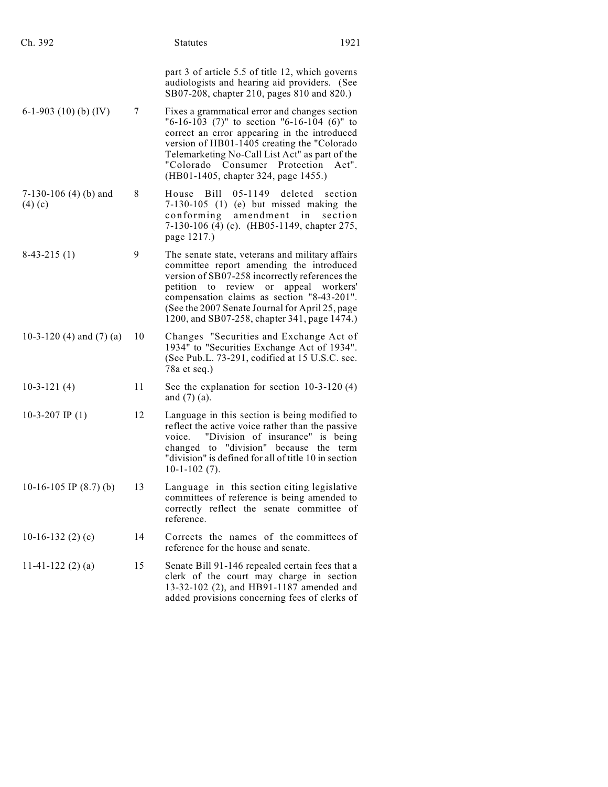| Ch. 392                                |    | <b>Statutes</b>                                                                                                                                                                                                                                                                                                                  | 1921                                |
|----------------------------------------|----|----------------------------------------------------------------------------------------------------------------------------------------------------------------------------------------------------------------------------------------------------------------------------------------------------------------------------------|-------------------------------------|
|                                        |    | part 3 of article 5.5 of title 12, which governs<br>audiologists and hearing aid providers. (See<br>SB07-208, chapter 210, pages 810 and 820.)                                                                                                                                                                                   |                                     |
| 6-1-903 (10) (b) (IV)                  | 7  | Fixes a grammatical error and changes section<br>$"6-16-103$ (7)" to section $"6-16-104$ (6)" to<br>correct an error appearing in the introduced<br>version of HB01-1405 creating the "Colorado<br>Telemarketing No-Call List Act" as part of the<br>"Colorado<br>Consumer<br>(HB01-1405, chapter 324, page 1455.)               | Protection<br>Act''.                |
| 7-130-106 $(4)$ $(b)$ and<br>$(4)$ (c) | 8  | House<br>$05 - 1149$<br>Bill<br>$7-130-105$ (1) (e) but missed making the<br>amendment<br>conforming<br>7-130-106 (4) (c). (HB05-1149, chapter 275,<br>page 1217.)                                                                                                                                                               | deleted<br>section<br>in<br>section |
| $8-43-215(1)$                          | 9  | The senate state, veterans and military affairs<br>committee report amending the introduced<br>version of SB07-258 incorrectly references the<br>petition<br>review<br>or<br>to<br>compensation claims as section "8-43-201".<br>(See the 2007 Senate Journal for April 25, page<br>1200, and SB07-258, chapter 341, page 1474.) | appeal workers'                     |
| 10-3-120 (4) and $(7)$ (a)             | 10 | Changes "Securities and Exchange Act of<br>1934" to "Securities Exchange Act of 1934".<br>(See Pub.L. 73-291, codified at 15 U.S.C. sec.<br>78a et seq.)                                                                                                                                                                         |                                     |
| $10-3-121(4)$                          | 11 | See the explanation for section $10-3-120(4)$<br>and $(7)$ (a).                                                                                                                                                                                                                                                                  |                                     |
| 10-3-207 IP $(1)$                      | 12 | Language in this section is being modified to<br>reflect the active voice rather than the passive<br>"Division of insurance" is being<br>voice.<br>changed to "division" because the term<br>"division" is defined for all of title 10 in section<br>$10-1-102(7)$ .                                                             |                                     |
| 10-16-105 IP $(8.7)$ (b)               | 13 | Language in this section citing legislative<br>committees of reference is being amended to<br>correctly reflect the senate committee of<br>reference.                                                                                                                                                                            |                                     |
| 10-16-132 $(2)$ $(c)$                  | 14 | Corrects the names of the committees of<br>reference for the house and senate.                                                                                                                                                                                                                                                   |                                     |
| 11-41-122 $(2)(a)$                     | 15 | Senate Bill 91-146 repealed certain fees that a<br>clerk of the court may charge in section<br>13-32-102 (2), and HB91-1187 amended and<br>added provisions concerning fees of clerks of                                                                                                                                         |                                     |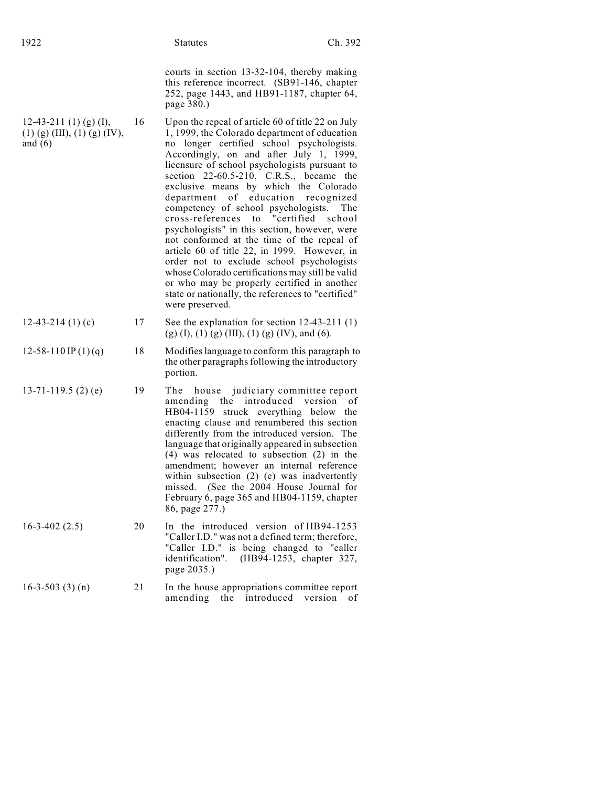|                                                                       |    | courts in section 13-32-104, thereby making<br>this reference incorrect. (SB91-146, chapter<br>252, page 1443, and HB91-1187, chapter 64,<br>page 380.)                                                                                                                                                                                                                                                                                                                                                                                                                                                                                                                                                                                                                                                                                    |
|-----------------------------------------------------------------------|----|--------------------------------------------------------------------------------------------------------------------------------------------------------------------------------------------------------------------------------------------------------------------------------------------------------------------------------------------------------------------------------------------------------------------------------------------------------------------------------------------------------------------------------------------------------------------------------------------------------------------------------------------------------------------------------------------------------------------------------------------------------------------------------------------------------------------------------------------|
| 12-43-211 (1) (g) (I),<br>$(1)$ (g) (III), (1) (g) (IV),<br>and $(6)$ | 16 | Upon the repeal of article 60 of title 22 on July<br>1, 1999, the Colorado department of education<br>no longer certified school psychologists.<br>Accordingly, on and after July 1, 1999,<br>licensure of school psychologists pursuant to<br>section 22-60.5-210, C.R.S., became the<br>exclusive means by which the Colorado<br>department of education recognized<br>competency of school psychologists.<br>The<br>"certified<br>cross-references to<br>school<br>psychologists" in this section, however, were<br>not conformed at the time of the repeal of<br>article 60 of title 22, in 1999. However, in<br>order not to exclude school psychologists<br>whose Colorado certifications may still be valid<br>or who may be properly certified in another<br>state or nationally, the references to "certified"<br>were preserved. |
| 12-43-214 (1) (c)                                                     | 17 | See the explanation for section $12-43-211(1)$<br>$(g)$ (I), (1) (g) (III), (1) (g) (IV), and (6).                                                                                                                                                                                                                                                                                                                                                                                                                                                                                                                                                                                                                                                                                                                                         |
| $12 - 58 - 110$ IP $(1)(q)$                                           | 18 | Modifies language to conform this paragraph to<br>the other paragraphs following the introductory<br>portion.                                                                                                                                                                                                                                                                                                                                                                                                                                                                                                                                                                                                                                                                                                                              |
| $13-71-119.5(2)(e)$                                                   | 19 | house judiciary committee report<br>The<br>amending the introduced version<br>οf<br>HB04-1159 struck everything below the<br>enacting clause and renumbered this section<br>differently from the introduced version. The<br>language that originally appeared in subsection<br>$(4)$ was relocated to subsection $(2)$ in the<br>amendment; however an internal reference<br>within subsection (2) (e) was inadvertently<br>missed. (See the 2004 House Journal for<br>February 6, page 365 and HB04-1159, chapter<br>86, page 277.)                                                                                                                                                                                                                                                                                                       |
| $16 - 3 - 402(2.5)$                                                   | 20 | In the introduced version of HB94-1253<br>"Caller I.D." was not a defined term; therefore,<br>"Caller I.D." is being changed to "caller<br>(HB94-1253, chapter 327,<br>identification".<br>page 2035.)                                                                                                                                                                                                                                                                                                                                                                                                                                                                                                                                                                                                                                     |
| $16-3-503(3)(n)$                                                      | 21 | In the house appropriations committee report<br>amending the introduced version of                                                                                                                                                                                                                                                                                                                                                                                                                                                                                                                                                                                                                                                                                                                                                         |

1922 Statutes Ch. 392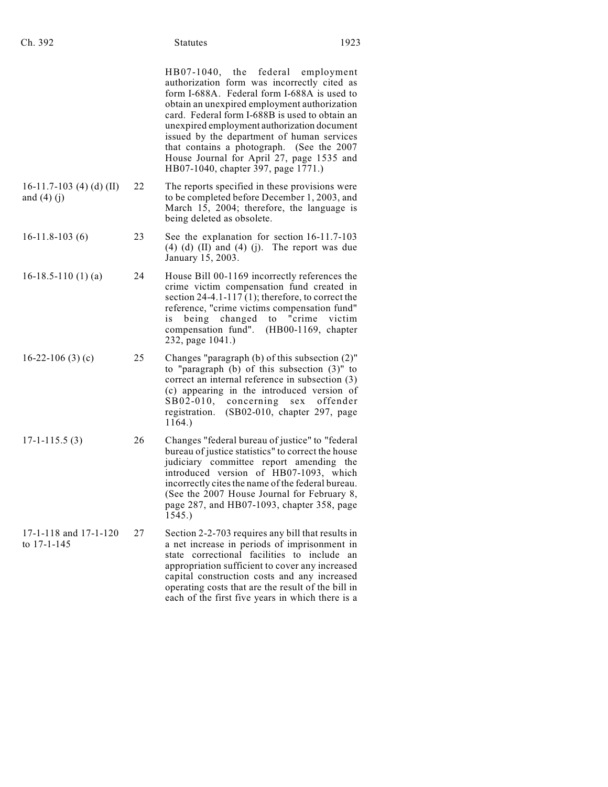| Ch. 392                                   |    | <b>Statutes</b>                                                                                                                                                                                                                                                                                                                                                                                                                                                 | 1923     |
|-------------------------------------------|----|-----------------------------------------------------------------------------------------------------------------------------------------------------------------------------------------------------------------------------------------------------------------------------------------------------------------------------------------------------------------------------------------------------------------------------------------------------------------|----------|
|                                           |    | HB07-1040, the federal employment<br>authorization form was incorrectly cited as<br>form I-688A. Federal form I-688A is used to<br>obtain an unexpired employment authorization<br>card. Federal form I-688B is used to obtain an<br>unexpired employment authorization document<br>issued by the department of human services<br>that contains a photograph. (See the 2007<br>House Journal for April 27, page 1535 and<br>HB07-1040, chapter 397, page 1771.) |          |
| 16-11.7-103 (4) (d) (II)<br>and $(4)$ (j) | 22 | The reports specified in these provisions were<br>to be completed before December 1, 2003, and<br>March 15, 2004; therefore, the language is<br>being deleted as obsolete.                                                                                                                                                                                                                                                                                      |          |
| $16-11.8-103(6)$                          | 23 | See the explanation for section 16-11.7-103<br>$(4)$ $(d)$ $(II)$ and $(4)$ $(j)$ . The report was due<br>January 15, 2003.                                                                                                                                                                                                                                                                                                                                     |          |
| 16-18.5-110 $(1)$ $(a)$                   | 24 | House Bill 00-1169 incorrectly references the<br>crime victim compensation fund created in<br>section $24-4.1-117(1)$ ; therefore, to correct the<br>reference, "crime victims compensation fund"<br>being changed to "crime victim<br>is<br>compensation fund". (HB00-1169, chapter<br>232, page 1041.)                                                                                                                                                        |          |
| 16-22-106 $(3)$ $(c)$                     | 25 | Changes "paragraph (b) of this subsection (2)"<br>to "paragraph $(b)$ of this subsection $(3)$ " to<br>correct an internal reference in subsection (3)<br>(c) appearing in the introduced version of<br>SB02-010, concerning sex<br>(SB02-010, chapter 297, page<br>registration.<br>1164.)                                                                                                                                                                     | offender |
| $17 - 1 - 115.5(3)$                       | 26 | Changes "federal bureau of justice" to "federal<br>bureau of justice statistics" to correct the house<br>judiciary committee report amending the<br>introduced version of HB07-1093, which<br>incorrectly cites the name of the federal bureau.<br>(See the 2007 House Journal for February 8,<br>page 287, and HB07-1093, chapter 358, page<br>1545.)                                                                                                          |          |
| 17-1-118 and 17-1-120<br>to 17-1-145      | 27 | Section 2-2-703 requires any bill that results in<br>a net increase in periods of imprisonment in<br>state correctional facilities to include an<br>appropriation sufficient to cover any increased<br>capital construction costs and any increased<br>operating costs that are the result of the bill in<br>each of the first five years in which there is a                                                                                                   |          |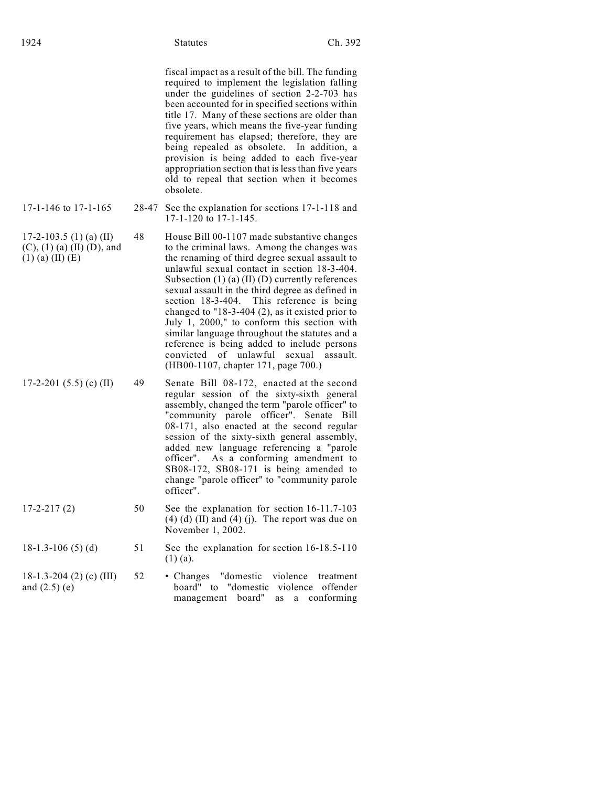| fiscal impact as a result of the bill. The funding<br>required to implement the legislation falling<br>under the guidelines of section 2-2-703 has |
|----------------------------------------------------------------------------------------------------------------------------------------------------|
| been accounted for in specified sections within                                                                                                    |
| title 17. Many of these sections are older than                                                                                                    |
| five years, which means the five-year funding                                                                                                      |

ons are older than five-year funding requirement has elapsed; therefore, they are being repealed as obsolete. In addition, a provision is being added to each five-year appropriation section that is less than five years old to repeal that section when it becomes obsolete.

- 17-1-146 to 17-1-165 28-47 See the explanation for sections 17-1-118 and 17-1-120 to 17-1-145.
- 17-2-103.5 (1) (a) (II) (C), (1) (a) (II) (D), and  $(1)$  (a) (II) (E) 48 House Bill 00-1107 made substantive changes to the criminal laws. Among the changes was the renaming of third degree sexual assault to unlawful sexual contact in section 18-3-404. Subsection  $(1)$  (a)  $(II)$  (D) currently references sexual assault in the third degree as defined in section 18-3-404. This reference is being changed to "18-3-404 (2), as it existed prior to July 1, 2000," to conform this section with similar language throughout the statutes and a reference is being added to include persons convicted of unlawful sexual assault. (HB00-1107, chapter 171, page 700.)
- 17-2-201 (5.5) (c) (II) 49 Senate Bill 08-172, enacted at the second regular session of the sixty-sixth general assembly, changed the term "parole officer" to "community parole officer". Senate Bill 08-171, also enacted at the second regular session of the sixty-sixth general assembly, added new language referencing a "parole officer". As a conforming amendment to SB08-172, SB08-171 is being amended to change "parole officer" to "community parole officer".
- 17-2-217 (2) 50 See the explanation for section 16-11.7-103  $(4)$   $(d)$   $(II)$  and  $(4)$   $(j)$ . The report was due on November 1, 2002.
- 18-1.3-106 (5) (d) 51 See the explanation for section 16-18.5-110 (1) (a).
- 18-1.3-204 (2) (c) (III) and (2.5) (e) 52 • Changes "domestic violence treatment board" to "domestic violence offender management board" as a conforming
- - -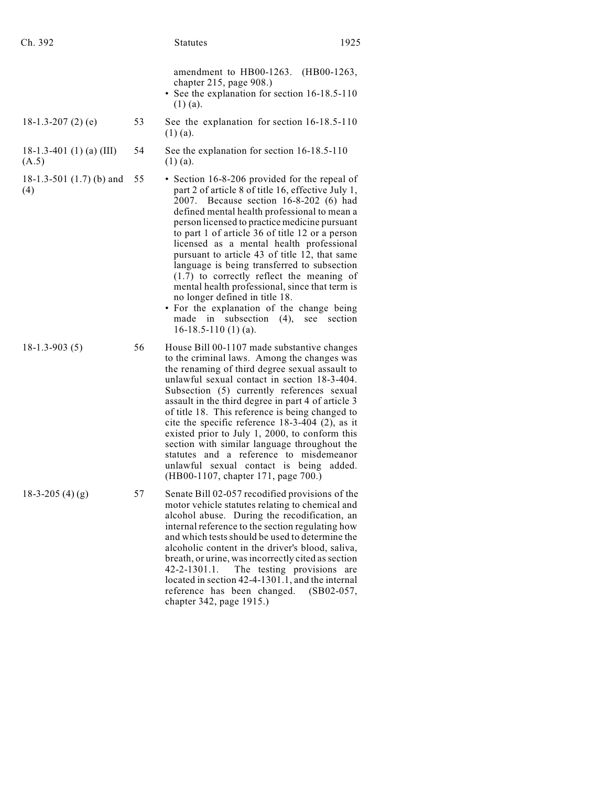| Ch. 392                           |    | 1925<br><b>Statutes</b>                                                                                                                                                                                                                                                                                                                                                                                                                                                                                                                                                                                                                                                                                      |
|-----------------------------------|----|--------------------------------------------------------------------------------------------------------------------------------------------------------------------------------------------------------------------------------------------------------------------------------------------------------------------------------------------------------------------------------------------------------------------------------------------------------------------------------------------------------------------------------------------------------------------------------------------------------------------------------------------------------------------------------------------------------------|
|                                   |    | amendment to HB00-1263.<br>$(HB00-1263,$<br>chapter 215, page 908.)<br>• See the explanation for section 16-18.5-110<br>$(1)$ (a).                                                                                                                                                                                                                                                                                                                                                                                                                                                                                                                                                                           |
| 18-1.3-207 $(2)$ $(e)$            | 53 | See the explanation for section 16-18.5-110<br>$(1)$ (a).                                                                                                                                                                                                                                                                                                                                                                                                                                                                                                                                                                                                                                                    |
| 18-1.3-401 (1) (a) (III)<br>(A.5) | 54 | See the explanation for section 16-18.5-110<br>$(1)$ (a).                                                                                                                                                                                                                                                                                                                                                                                                                                                                                                                                                                                                                                                    |
| 18-1.3-501 $(1.7)$ (b) and<br>(4) | 55 | • Section 16-8-206 provided for the repeal of<br>part 2 of article 8 of title 16, effective July 1,<br>Because section 16-8-202 (6) had<br>2007.<br>defined mental health professional to mean a<br>person licensed to practice medicine pursuant<br>to part 1 of article 36 of title 12 or a person<br>licensed as a mental health professional<br>pursuant to article 43 of title 12, that same<br>language is being transferred to subsection<br>$(1.7)$ to correctly reflect the meaning of<br>mental health professional, since that term is<br>no longer defined in title 18.<br>• For the explanation of the change being<br>made in<br>subsection $(4)$ ,<br>see<br>section<br>$16-18.5-110(1)$ (a). |
| $18-1.3-903(5)$                   | 56 | House Bill 00-1107 made substantive changes<br>to the criminal laws. Among the changes was<br>the renaming of third degree sexual assault to<br>unlawful sexual contact in section 18-3-404.<br>Subsection (5) currently references sexual<br>assault in the third degree in part 4 of article 3<br>of title 18. This reference is being changed to<br>cite the specific reference $18-3-404$ (2), as it<br>existed prior to July 1, 2000, to conform this<br>section with similar language throughout the<br>statutes and a reference to misdemeanor<br>unlawful sexual contact is being<br>added.<br>(HB00-1107, chapter 171, page 700.)                                                                   |
| $18-3-205(4)(g)$                  | 57 | Senate Bill 02-057 recodified provisions of the<br>motor vehicle statutes relating to chemical and<br>alcohol abuse. During the recodification, an<br>internal reference to the section regulating how<br>and which tests should be used to determine the<br>alcoholic content in the driver's blood, saliva,<br>breath, or urine, was incorrectly cited as section<br>The testing provisions<br>$42 - 2 - 1301.1$ .<br>are<br>located in section 42-4-1301.1, and the internal<br>reference has been changed.<br>$(SB02-057,$<br>chapter 342, page 1915.)                                                                                                                                                   |
|                                   |    |                                                                                                                                                                                                                                                                                                                                                                                                                                                                                                                                                                                                                                                                                                              |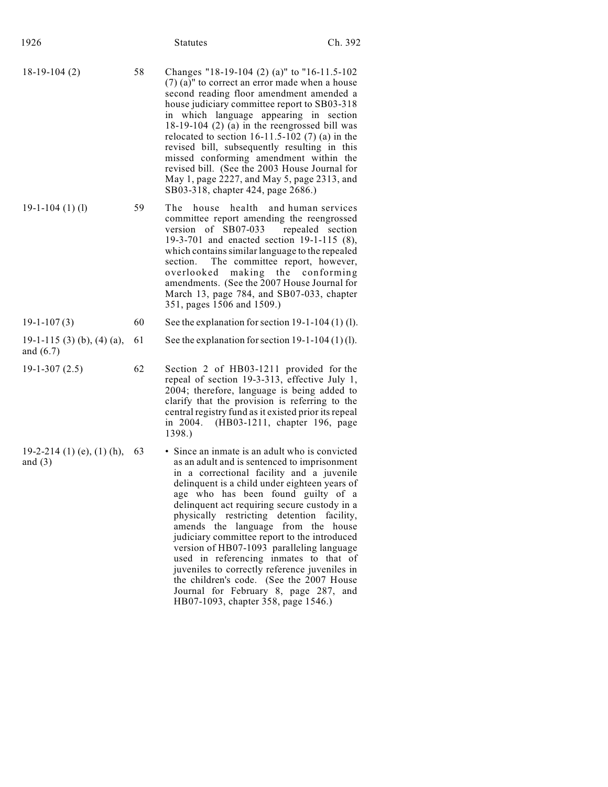| 1926                                      |    | <b>Statutes</b>                                                                                                                                                                                                                                                                                                                                                                                                                                                                                                                                                                                                                                                                  | Ch. 392   |
|-------------------------------------------|----|----------------------------------------------------------------------------------------------------------------------------------------------------------------------------------------------------------------------------------------------------------------------------------------------------------------------------------------------------------------------------------------------------------------------------------------------------------------------------------------------------------------------------------------------------------------------------------------------------------------------------------------------------------------------------------|-----------|
| $18-19-104(2)$                            | 58 | Changes "18-19-104 (2) (a)" to "16-11.5-102<br>$(7)$ (a)" to correct an error made when a house<br>second reading floor amendment amended a<br>house judiciary committee report to SB03-318<br>in which language appearing in section<br>$18-19-104$ (2) (a) in the reengrossed bill was<br>relocated to section $16-11.5-102$ (7) (a) in the<br>revised bill, subsequently resulting in this<br>missed conforming amendment within the<br>revised bill. (See the 2003 House Journal for<br>May 1, page 2227, and May 5, page 2313, and<br>SB03-318, chapter 424, page 2686.)                                                                                                    |           |
| $19-1-104(1)$ (1)                         | 59 | The house<br>health<br>and human services<br>committee report amending the reengrossed<br>version of SB07-033<br>repealed section<br>19-3-701 and enacted section 19-1-115 (8),<br>which contains similar language to the repealed<br>The committee report, however,<br>section.<br>making the conforming<br>overlooked<br>amendments. (See the 2007 House Journal for<br>March 13, page 784, and SB07-033, chapter<br>351, pages 1506 and 1509.)                                                                                                                                                                                                                                |           |
| $19-1-107(3)$                             | 60 | See the explanation for section $19-1-104(1)(1)$ .                                                                                                                                                                                                                                                                                                                                                                                                                                                                                                                                                                                                                               |           |
| 19-1-115 (3) (b), (4) (a),<br>and $(6.7)$ | 61 | See the explanation for section $19-1-104(1)(1)$ .                                                                                                                                                                                                                                                                                                                                                                                                                                                                                                                                                                                                                               |           |
| $19-1-307(2.5)$                           | 62 | Section 2 of HB03-1211 provided for the<br>repeal of section 19-3-313, effective July 1,<br>2004; therefore, language is being added to<br>clarify that the provision is referring to the<br>central registry fund as it existed prior its repeal<br>in 2004.<br>(HB03-1211, chapter 196, page<br>1398.)                                                                                                                                                                                                                                                                                                                                                                         |           |
| 19-2-214 (1) (e), (1) (h),<br>and $(3)$   | 63 | • Since an inmate is an adult who is convicted<br>as an adult and is sentenced to imprisonment<br>in a correctional facility and a juvenile<br>delinquent is a child under eighteen years of<br>age who has been found guilty of a<br>delinquent act requiring secure custody in a<br>physically restricting detention<br>amends the language from the house<br>judiciary committee report to the introduced<br>version of HB07-1093 paralleling language<br>used in referencing inmates to that of<br>juveniles to correctly reference juveniles in<br>the children's code. (See the 2007 House<br>Journal for February 8, page 287, and<br>HB07-1093, chapter 358, page 1546.) | facility. |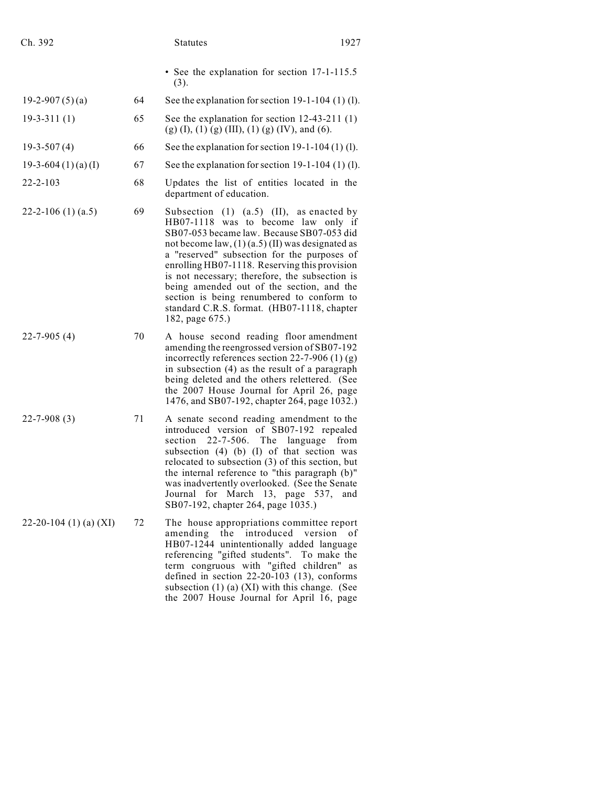| Ch. 392                |    | 1927<br><b>Statutes</b>                                                                                                                                                                                                                                                                                                                                                                                                                                                                                 |  |
|------------------------|----|---------------------------------------------------------------------------------------------------------------------------------------------------------------------------------------------------------------------------------------------------------------------------------------------------------------------------------------------------------------------------------------------------------------------------------------------------------------------------------------------------------|--|
|                        |    | • See the explanation for section 17-1-115.5<br>(3).                                                                                                                                                                                                                                                                                                                                                                                                                                                    |  |
| 19-2-907 $(5)(a)$      | 64 | See the explanation for section $19-1-104$ (1) (1).                                                                                                                                                                                                                                                                                                                                                                                                                                                     |  |
| $19-3-311(1)$          | 65 | See the explanation for section $12-43-211(1)$<br>$(g)$ (I), (1) (g) (III), (1) (g) (IV), and (6).                                                                                                                                                                                                                                                                                                                                                                                                      |  |
| $19-3-507(4)$          | 66 | See the explanation for section $19-1-104(1)(1)$ .                                                                                                                                                                                                                                                                                                                                                                                                                                                      |  |
| 19-3-604 $(1)(a)(I)$   | 67 | See the explanation for section $19-1-104$ (1) (1).                                                                                                                                                                                                                                                                                                                                                                                                                                                     |  |
| $22 - 2 - 103$         | 68 | Updates the list of entities located in the<br>department of education.                                                                                                                                                                                                                                                                                                                                                                                                                                 |  |
| 22-2-106 $(1)$ (a.5)   | 69 | Subsection $(1)$ $(a.5)$ $(II)$ , as enacted by<br>HB07-1118 was to become law only if<br>SB07-053 became law. Because SB07-053 did<br>not become law, $(1)$ (a.5) (II) was designated as<br>a "reserved" subsection for the purposes of<br>enrolling HB07-1118. Reserving this provision<br>is not necessary; therefore, the subsection is<br>being amended out of the section, and the<br>section is being renumbered to conform to<br>standard C.R.S. format. (HB07-1118, chapter<br>182, page 675.) |  |
| $22 - 7 - 905(4)$      | 70 | A house second reading floor amendment<br>amending the reengrossed version of SB07-192<br>incorrectly references section 22-7-906 $(1)$ (g)<br>in subsection (4) as the result of a paragraph<br>being deleted and the others relettered. (See<br>the 2007 House Journal for April 26, page<br>1476, and SB07-192, chapter 264, page 1032.)                                                                                                                                                             |  |
| $22 - 7 - 908(3)$      | 71 | A senate second reading amendment to the<br>introduced version of SB07-192 repealed<br>$22 - 7 - 506$ . The language<br>section<br>from<br>subsection (4) (b) (I) of that section was<br>relocated to subsection (3) of this section, but<br>the internal reference to "this paragraph (b)"<br>was inadvertently overlooked. (See the Senate<br>Journal for March 13, page 537,<br>and<br>SB07-192, chapter 264, page 1035.)                                                                            |  |
| 22-20-104 (1) (a) (XI) | 72 | The house appropriations committee report<br>the introduced<br>amending<br>version<br>- of<br>HB07-1244 unintentionally added language<br>referencing "gifted students". To make the<br>term congruous with "gifted children"<br>as<br>defined in section $22-20-103$ (13), conforms<br>subsection $(1)$ (a) $(XI)$ with this change. (See<br>the 2007 House Journal for April 16, page                                                                                                                 |  |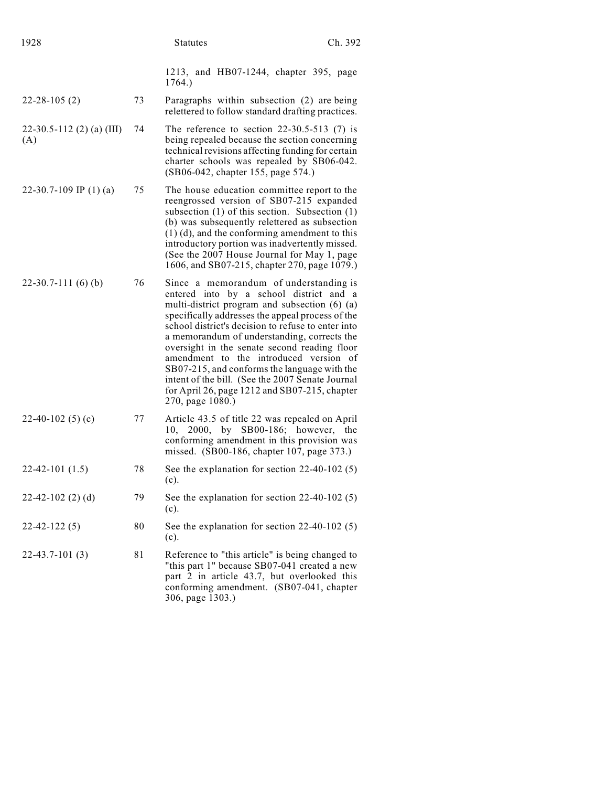| 1928                               |    | <b>Statutes</b>                                                                                                                                                                                                                                                                                                                                                                                                                                                                                                                                                | Ch. 392 |
|------------------------------------|----|----------------------------------------------------------------------------------------------------------------------------------------------------------------------------------------------------------------------------------------------------------------------------------------------------------------------------------------------------------------------------------------------------------------------------------------------------------------------------------------------------------------------------------------------------------------|---------|
|                                    |    | 1213, and HB07-1244, chapter 395, page<br>1764.)                                                                                                                                                                                                                                                                                                                                                                                                                                                                                                               |         |
| $22 - 28 - 105(2)$                 | 73 | Paragraphs within subsection (2) are being<br>relettered to follow standard drafting practices.                                                                                                                                                                                                                                                                                                                                                                                                                                                                |         |
| $22-30.5-112$ (2) (a) (III)<br>(A) | 74 | The reference to section $22-30.5-513$ (7) is<br>being repealed because the section concerning<br>technical revisions affecting funding for certain<br>charter schools was repealed by SB06-042.<br>(SB06-042, chapter 155, page 574.)                                                                                                                                                                                                                                                                                                                         |         |
| 22-30.7-109 IP $(1)$ (a)           | 75 | The house education committee report to the<br>reengrossed version of SB07-215 expanded<br>subsection $(1)$ of this section. Subsection $(1)$<br>(b) was subsequently relettered as subsection<br>$(1)$ (d), and the conforming amendment to this<br>introductory portion was inadvertently missed.<br>(See the 2007 House Journal for May 1, page<br>1606, and SB07-215, chapter 270, page 1079.)                                                                                                                                                             |         |
| $22-30.7-111(6)$ (b)               | 76 | Since a memorandum of understanding is<br>entered into by a school district and a<br>multi-district program and subsection (6) (a)<br>specifically addresses the appeal process of the<br>school district's decision to refuse to enter into<br>a memorandum of understanding, corrects the<br>oversight in the senate second reading floor<br>amendment to the introduced version of<br>SB07-215, and conforms the language with the<br>intent of the bill. (See the 2007 Senate Journal<br>for April 26, page 1212 and SB07-215, chapter<br>270, page 1080.) |         |
| 22-40-102 $(5)(c)$                 | 77 | Article 43.5 of title 22 was repealed on April<br>SB00-186; however,<br>2000,<br>by<br>10,<br>conforming amendment in this provision was<br>missed. (SB00-186, chapter 107, page 373.)                                                                                                                                                                                                                                                                                                                                                                         | the     |
| $22-42-101(1.5)$                   | 78 | See the explanation for section $22-40-102(5)$<br>(c).                                                                                                                                                                                                                                                                                                                                                                                                                                                                                                         |         |
| $22-42-102$ (2) (d)                | 79 | See the explanation for section $22-40-102(5)$<br>(c).                                                                                                                                                                                                                                                                                                                                                                                                                                                                                                         |         |
| $22 - 42 - 122(5)$                 | 80 | See the explanation for section $22-40-102(5)$<br>(c).                                                                                                                                                                                                                                                                                                                                                                                                                                                                                                         |         |
| $22-43.7-101(3)$                   | 81 | Reference to "this article" is being changed to<br>"this part 1" because SB07-041 created a new<br>part 2 in article 43.7, but overlooked this<br>conforming amendment. (SB07-041, chapter<br>306, page 1303.)                                                                                                                                                                                                                                                                                                                                                 |         |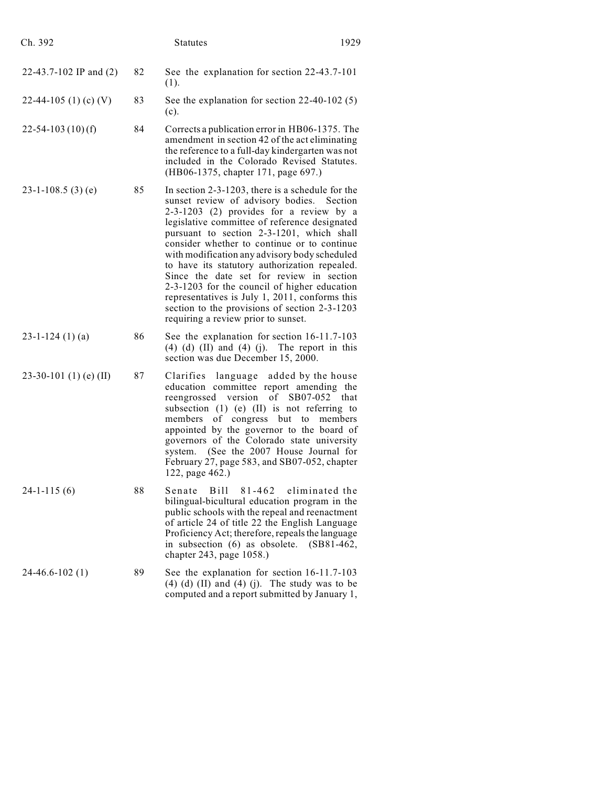| Ch. 392                 |    | <b>Statutes</b>                                                                                                                                                                                                                                                                                                                                                                                                                                                                                                                                                                                                                  | 1929            |
|-------------------------|----|----------------------------------------------------------------------------------------------------------------------------------------------------------------------------------------------------------------------------------------------------------------------------------------------------------------------------------------------------------------------------------------------------------------------------------------------------------------------------------------------------------------------------------------------------------------------------------------------------------------------------------|-----------------|
| 22-43.7-102 IP and (2)  | 82 | See the explanation for section 22-43.7-101<br>(1).                                                                                                                                                                                                                                                                                                                                                                                                                                                                                                                                                                              |                 |
| 22-44-105 (1) (c) (V)   | 83 | See the explanation for section $22-40-102(5)$<br>(c).                                                                                                                                                                                                                                                                                                                                                                                                                                                                                                                                                                           |                 |
| $22 - 54 - 103(10)$ (f) | 84 | Corrects a publication error in HB06-1375. The<br>amendment in section 42 of the act eliminating<br>the reference to a full-day kindergarten was not<br>included in the Colorado Revised Statutes.<br>(HB06-1375, chapter 171, page 697.)                                                                                                                                                                                                                                                                                                                                                                                        |                 |
| $23-1-108.5(3)(e)$      | 85 | In section $2-3-1203$ , there is a schedule for the<br>sunset review of advisory bodies. Section<br>2-3-1203 (2) provides for a review by a<br>legislative committee of reference designated<br>pursuant to section 2-3-1201, which shall<br>consider whether to continue or to continue<br>with modification any advisory body scheduled<br>to have its statutory authorization repealed.<br>Since the date set for review in section<br>2-3-1203 for the council of higher education<br>representatives is July 1, 2011, conforms this<br>section to the provisions of section 2-3-1203<br>requiring a review prior to sunset. |                 |
| $23 - 1 - 124$ (1) (a)  | 86 | See the explanation for section 16-11.7-103<br>$(4)$ $(d)$ $(II)$ and $(4)$ $(j)$ . The report in this<br>section was due December 15, 2000.                                                                                                                                                                                                                                                                                                                                                                                                                                                                                     |                 |
| 23-30-101 (1) (e) (II)  | 87 | Clarifies<br>language added by the house<br>education committee report amending the<br>reengrossed version of SB07-052<br>subsection $(1)$ $(e)$ $(II)$ is not referring to<br>of congress but<br>members<br>to<br>appointed by the governor to the board of<br>governors of the Colorado state university<br>(See the 2007 House Journal for<br>system.<br>February 27, page 583, and SB07-052, chapter<br>122, page 462.)                                                                                                                                                                                                      | that<br>members |
| $24-1-115(6)$           | 88 | Senate<br>Bill<br>81-462 eliminated the<br>bilingual-bicultural education program in the<br>public schools with the repeal and reenactment<br>of article 24 of title 22 the English Language<br>Proficiency Act; therefore, repeals the language<br>in subsection (6) as obsolete. (SB81-462,<br>chapter 243, page 1058.)                                                                                                                                                                                                                                                                                                        |                 |
| $24-46.6-102(1)$        | 89 | See the explanation for section 16-11.7-103<br>$(4)$ $(d)$ $(II)$ and $(4)$ $(j)$ . The study was to be<br>computed and a report submitted by January 1,                                                                                                                                                                                                                                                                                                                                                                                                                                                                         |                 |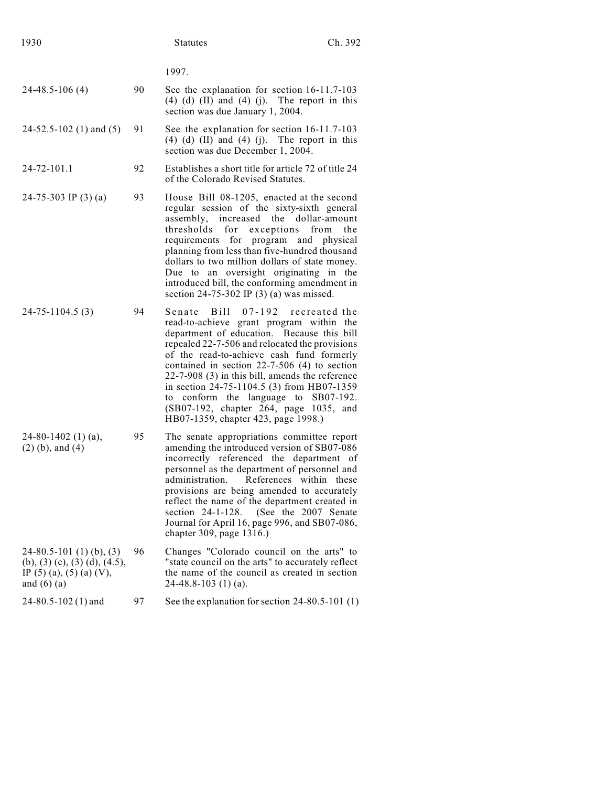|                                                                                                            |    | 1997.                                                                                                                                                                                                                                                                                                                                                                                                                                                                                                      |
|------------------------------------------------------------------------------------------------------------|----|------------------------------------------------------------------------------------------------------------------------------------------------------------------------------------------------------------------------------------------------------------------------------------------------------------------------------------------------------------------------------------------------------------------------------------------------------------------------------------------------------------|
| $24-48.5-106(4)$                                                                                           | 90 | See the explanation for section 16-11.7-103<br>$(4)$ $(d)$ $(II)$ and $(4)$ $(j)$ . The report in this<br>section was due January 1, 2004.                                                                                                                                                                                                                                                                                                                                                                 |
| $24-52.5-102(1)$ and $(5)$                                                                                 | 91 | See the explanation for section 16-11.7-103<br>$(4)$ $(d)$ $(II)$ and $(4)$ $(j)$ . The report in this<br>section was due December 1, 2004.                                                                                                                                                                                                                                                                                                                                                                |
| 24-72-101.1                                                                                                | 92 | Establishes a short title for article 72 of title 24<br>of the Colorado Revised Statutes.                                                                                                                                                                                                                                                                                                                                                                                                                  |
| 24-75-303 IP $(3)$ (a)                                                                                     | 93 | House Bill 08-1205, enacted at the second<br>regular session of the sixty-sixth general<br>increased the<br>assembly,<br>dollar-amount<br>thresholds<br>for<br>exceptions<br>from<br>the<br>requirements for program and physical<br>planning from less than five-hundred thousand<br>dollars to two million dollars of state money.<br>Due to an oversight originating in the<br>introduced bill, the conforming amendment in<br>section $24-75-302$ IP (3) (a) was missed.                               |
| 24-75-1104.5 (3)                                                                                           | 94 | Senate Bill 07-192 recreated the<br>read-to-achieve grant program within the<br>department of education. Because this bill<br>repealed 22-7-506 and relocated the provisions<br>of the read-to-achieve cash fund formerly<br>contained in section $22-7-506$ (4) to section<br>$22-7-908$ (3) in this bill, amends the reference<br>in section 24-75-1104.5 (3) from HB07-1359<br>to conform the language to<br>SB07-192.<br>(SB07-192, chapter 264, page 1035, and<br>HB07-1359, chapter 423, page 1998.) |
| 24-80-1402 (1) (a),<br>$(2)$ (b), and $(4)$                                                                | 95 | The senate appropriations committee report<br>amending the introduced version of SB07-086<br>incorrectly referenced the department of<br>personnel as the department of personnel and<br>administration.<br>References within these<br>provisions are being amended to accurately<br>reflect the name of the department created in<br>(See the 2007 Senate<br>section $24-1-128$ .<br>Journal for April 16, page 996, and SB07-086,<br>chapter 309, page 1316.)                                            |
| $24-80.5-101(1)(b), (3)$<br>(b), (3) (c), (3) (d), (4.5),<br>IP $(5)$ (a), $(5)$ (a) (V),<br>and $(6)$ (a) | 96 | Changes "Colorado council on the arts" to<br>"state council on the arts" to accurately reflect<br>the name of the council as created in section<br>$24-48.8-103$ (1) (a).                                                                                                                                                                                                                                                                                                                                  |
| $24 - 80.5 - 102(1)$ and                                                                                   | 97 | See the explanation for section 24-80.5-101 (1)                                                                                                                                                                                                                                                                                                                                                                                                                                                            |
|                                                                                                            |    |                                                                                                                                                                                                                                                                                                                                                                                                                                                                                                            |

1930 **Statutes** Ch. 392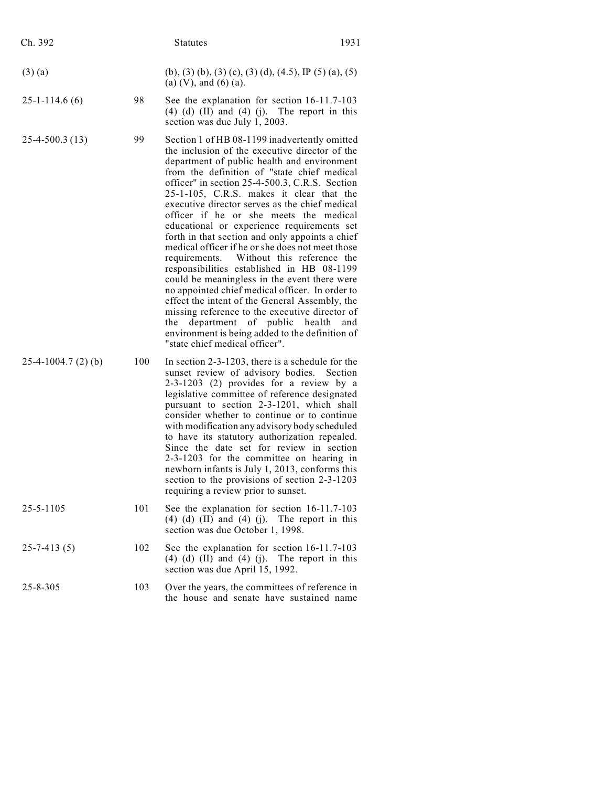| Ch. 392              |     | <b>Statutes</b>                                                                                                                                                                                                                                                                                                                                                                                                                                                                                                                                                                                                                                                                                                                                                                                                                                                                                                                                                       | 1931 |
|----------------------|-----|-----------------------------------------------------------------------------------------------------------------------------------------------------------------------------------------------------------------------------------------------------------------------------------------------------------------------------------------------------------------------------------------------------------------------------------------------------------------------------------------------------------------------------------------------------------------------------------------------------------------------------------------------------------------------------------------------------------------------------------------------------------------------------------------------------------------------------------------------------------------------------------------------------------------------------------------------------------------------|------|
| $(3)$ (a)            |     | (b), (3) (b), (3) (c), (3) (d), (4.5), IP (5) (a), (5)<br>(a) $(V)$ , and $(6)$ (a).                                                                                                                                                                                                                                                                                                                                                                                                                                                                                                                                                                                                                                                                                                                                                                                                                                                                                  |      |
| $25 - 1 - 114.6(6)$  | 98  | See the explanation for section 16-11.7-103<br>$(4)$ $(d)$ $(II)$ and $(4)$ $(j)$ . The report in this<br>section was due July 1, 2003.                                                                                                                                                                                                                                                                                                                                                                                                                                                                                                                                                                                                                                                                                                                                                                                                                               |      |
| $25-4-500.3(13)$     | 99  | Section 1 of HB 08-1199 inadvertently omitted<br>the inclusion of the executive director of the<br>department of public health and environment<br>from the definition of "state chief medical<br>officer" in section 25-4-500.3, C.R.S. Section<br>25-1-105, C.R.S. makes it clear that the<br>executive director serves as the chief medical<br>officer if he or she meets the medical<br>educational or experience requirements set<br>forth in that section and only appoints a chief<br>medical officer if he or she does not meet those<br>requirements. Without this reference the<br>responsibilities established in HB 08-1199<br>could be meaningless in the event there were<br>no appointed chief medical officer. In order to<br>effect the intent of the General Assembly, the<br>missing reference to the executive director of<br>the department of public health<br>environment is being added to the definition of<br>"state chief medical officer". | and  |
| $25-4-1004.7(2)$ (b) | 100 | In section 2-3-1203, there is a schedule for the<br>sunset review of advisory bodies. Section<br>2-3-1203 (2) provides for a review by a<br>legislative committee of reference designated<br>pursuant to section 2-3-1201, which shall<br>consider whether to continue or to continue<br>with modification any advisory body scheduled<br>to have its statutory authorization repealed.<br>Since the date set for review in section<br>2-3-1203 for the committee on hearing in<br>newborn infants is July 1, 2013, conforms this<br>section to the provisions of section 2-3-1203<br>requiring a review prior to sunset.                                                                                                                                                                                                                                                                                                                                             |      |
| 25-5-1105            | 101 | See the explanation for section 16-11.7-103<br>$(4)$ $(d)$ $(II)$ and $(4)$ $(j)$ . The report in this<br>section was due October 1, 1998.                                                                                                                                                                                                                                                                                                                                                                                                                                                                                                                                                                                                                                                                                                                                                                                                                            |      |
| $25 - 7 - 413(5)$    | 102 | See the explanation for section 16-11.7-103<br>$(4)$ $(d)$ $(II)$ and $(4)$ $(j)$ . The report in this<br>section was due April 15, 1992.                                                                                                                                                                                                                                                                                                                                                                                                                                                                                                                                                                                                                                                                                                                                                                                                                             |      |
| $25 - 8 - 305$       | 103 | Over the years, the committees of reference in<br>the house and senate have sustained name                                                                                                                                                                                                                                                                                                                                                                                                                                                                                                                                                                                                                                                                                                                                                                                                                                                                            |      |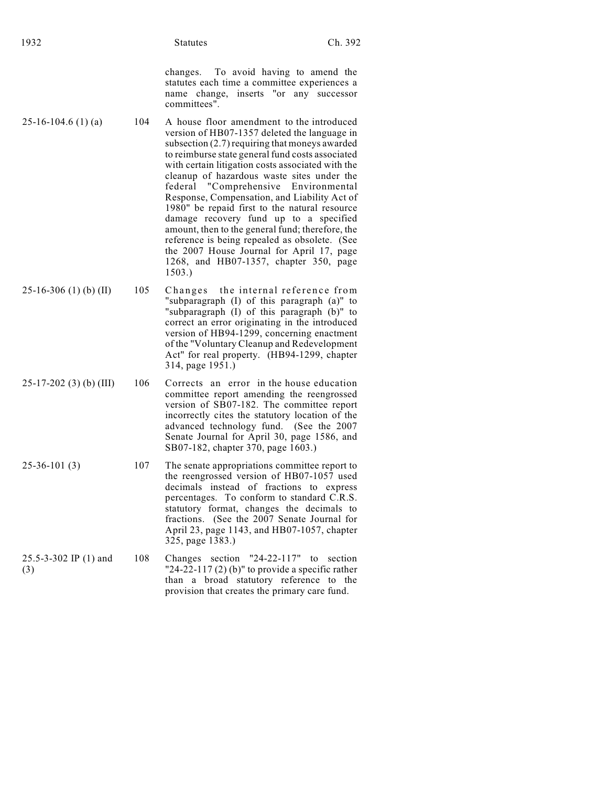changes. To avoid having to amend the statutes each time a committee experiences a name change, inserts "or any successor committees".

- $25-16-104.6$  (1) (a) 104 A house floor amendment to the introduced version of HB07-1357 deleted the language in subsection (2.7) requiring that moneys awarded to reimburse state general fund costs associated with certain litigation costs associated with the cleanup of hazardous waste sites under the federal "Comprehensive Environmental Response, Compensation, and Liability Act of 1980" be repaid first to the natural resource damage recovery fund up to a specified amount, then to the general fund; therefore, the reference is being repealed as obsolete. (See the 2007 House Journal for April 17, page 1268, and HB07-1357, chapter 350, page 1503.)
- $25-16-306$  (1) (b) (II) 105 Changes the internal reference from "subparagraph (I) of this paragraph (a)" to "subparagraph (I) of this paragraph (b)" to correct an error originating in the introduced version of HB94-1299, concerning enactment of the "Voluntary Cleanup and Redevelopment Act" for real property. (HB94-1299, chapter 314, page 1951.)
- 25-17-202 (3) (b) (III) 106 Corrects an error in the house education committee report amending the reengrossed version of SB07-182. The committee report incorrectly cites the statutory location of the advanced technology fund. (See the 2007 Senate Journal for April 30, page 1586, and SB07-182, chapter 370, page 1603.)
- 25-36-101 (3) 107 The senate appropriations committee report to the reengrossed version of HB07-1057 used decimals instead of fractions to express percentages. To conform to standard C.R.S. statutory format, changes the decimals to fractions. (See the 2007 Senate Journal for April 23, page 1143, and HB07-1057, chapter 325, page 1383.)
- 25.5-3-302 IP (1) and (3) 108 Changes section "24-22-117" to section "24-22-117 $(2)$  (b)" to provide a specific rather than a broad statutory reference to the provision that creates the primary care fund.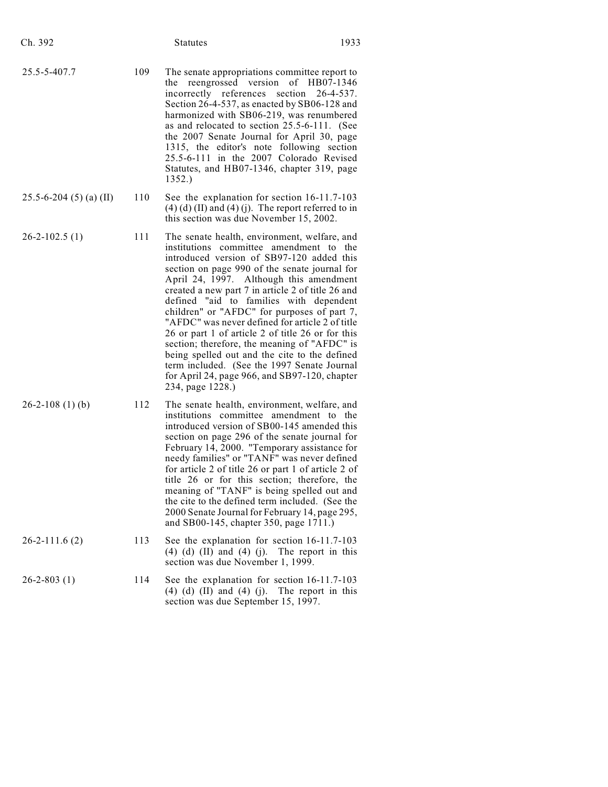| Ch. 392                       |     | <b>Statutes</b>                                                                                                                                                                                                                                                                                                                                                                                                                                                                                                                                                                                                                                                                                              | 1933 |
|-------------------------------|-----|--------------------------------------------------------------------------------------------------------------------------------------------------------------------------------------------------------------------------------------------------------------------------------------------------------------------------------------------------------------------------------------------------------------------------------------------------------------------------------------------------------------------------------------------------------------------------------------------------------------------------------------------------------------------------------------------------------------|------|
| 25.5-5-407.7                  | 109 | The senate appropriations committee report to<br>reengrossed version<br>the<br>of HB07-1346<br>section<br>incorrectly references<br>$26 - 4 - 537$ .<br>Section 26-4-537, as enacted by SB06-128 and<br>harmonized with SB06-219, was renumbered<br>as and relocated to section 25.5-6-111. (See<br>the 2007 Senate Journal for April 30, page<br>1315, the editor's note following section<br>25.5-6-111 in the 2007 Colorado Revised<br>Statutes, and HB07-1346, chapter 319, page<br>1352.)                                                                                                                                                                                                               |      |
| $25.5 - 6 - 204$ (5) (a) (II) | 110 | See the explanation for section 16-11.7-103<br>$(4)$ (d) (II) and (4) (j). The report referred to in<br>this section was due November 15, 2002.                                                                                                                                                                                                                                                                                                                                                                                                                                                                                                                                                              |      |
| $26 - 2 - 102.5(1)$           | 111 | The senate health, environment, welfare, and<br>institutions committee amendment to the<br>introduced version of SB97-120 added this<br>section on page 990 of the senate journal for<br>April 24, 1997. Although this amendment<br>created a new part 7 in article 2 of title 26 and<br>defined "aid to families with dependent<br>children" or "AFDC" for purposes of part 7,<br>"AFDC" was never defined for article 2 of title<br>26 or part 1 of article 2 of title 26 or for this<br>section; therefore, the meaning of "AFDC" is<br>being spelled out and the cite to the defined<br>term included. (See the 1997 Senate Journal<br>for April 24, page 966, and SB97-120, chapter<br>234, page 1228.) |      |
| $26-2-108(1)$ (b)             | 112 | The senate health, environment, welfare, and<br>institutions committee amendment to the<br>introduced version of SB00-145 amended this<br>section on page 296 of the senate journal for<br>February 14, 2000. "Temporary assistance for<br>needy families" or "TANF" was never defined<br>for article 2 of title 26 or part 1 of article 2 of<br>title 26 or for this section; therefore, the<br>meaning of "TANF" is being spelled out and<br>the cite to the defined term included. (See the<br>2000 Senate Journal for February 14, page 295,<br>and SB00-145, chapter 350, page 1711.)                                                                                                                   |      |
| $26 - 2 - 111.6(2)$           | 113 | See the explanation for section 16-11.7-103<br>$(4)$ $(d)$ $(II)$ and $(4)$ $(j)$ . The report in this<br>section was due November 1, 1999.                                                                                                                                                                                                                                                                                                                                                                                                                                                                                                                                                                  |      |
| $26 - 2 - 803(1)$             | 114 | See the explanation for section 16-11.7-103<br>$(4)$ $(d)$ $(II)$ and $(4)$ $(j)$ . The report in this<br>section was due September 15, 1997.                                                                                                                                                                                                                                                                                                                                                                                                                                                                                                                                                                |      |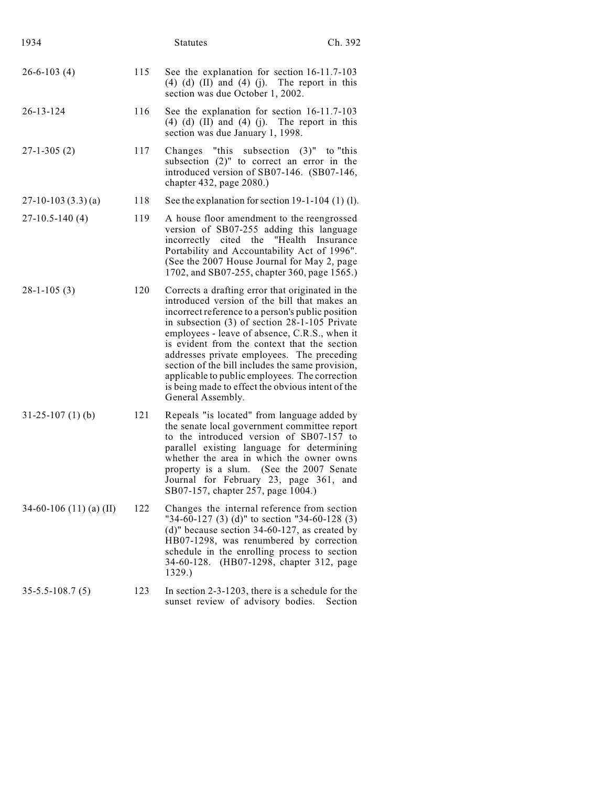| 1934                    |     | <b>Statutes</b>                                                                                                                                                                                                                                                                                                                                                                                                                                                                                                                         | Ch. 392   |
|-------------------------|-----|-----------------------------------------------------------------------------------------------------------------------------------------------------------------------------------------------------------------------------------------------------------------------------------------------------------------------------------------------------------------------------------------------------------------------------------------------------------------------------------------------------------------------------------------|-----------|
| $26 - 6 - 103(4)$       | 115 | See the explanation for section 16-11.7-103<br>$(4)$ $(d)$ $(II)$ and $(4)$ $(j)$ . The report in this<br>section was due October 1, 2002.                                                                                                                                                                                                                                                                                                                                                                                              |           |
| $26 - 13 - 124$         | 116 | See the explanation for section 16-11.7-103<br>$(4)$ $(d)$ $(II)$ and $(4)$ $(i)$ . The report in this<br>section was due January 1, 1998.                                                                                                                                                                                                                                                                                                                                                                                              |           |
| $27 - 1 - 305(2)$       | 117 | Changes "this subsection $(3)$ " to "this<br>subsection (2)" to correct an error in the<br>introduced version of SB07-146. (SB07-146,<br>chapter 432, page 2080.)                                                                                                                                                                                                                                                                                                                                                                       |           |
| $27-10-103(3.3)(a)$     | 118 | See the explanation for section 19-1-104 (1) (1).                                                                                                                                                                                                                                                                                                                                                                                                                                                                                       |           |
| $27-10.5-140(4)$        | 119 | A house floor amendment to the reengrossed<br>version of SB07-255 adding this language<br>"Health<br>incorrectly cited the<br>Portability and Accountability Act of 1996".<br>(See the 2007 House Journal for May 2, page<br>1702, and SB07-255, chapter 360, page 1565.)                                                                                                                                                                                                                                                               | Insurance |
| $28-1-105(3)$           | 120 | Corrects a drafting error that originated in the<br>introduced version of the bill that makes an<br>incorrect reference to a person's public position<br>in subsection $(3)$ of section 28-1-105 Private<br>employees - leave of absence, C.R.S., when it<br>is evident from the context that the section<br>addresses private employees. The preceding<br>section of the bill includes the same provision,<br>applicable to public employees. The correction<br>is being made to effect the obvious intent of the<br>General Assembly. |           |
| $31-25-107(1)$ (b)      | 121 | Repeals "is located" from language added by<br>the senate local government committee report<br>to the introduced version of SB07-157 to<br>parallel existing language for determining<br>whether the area in which the owner owns<br>property is a slum. (See the 2007 Senate<br>Journal for February 23, page 361, and<br>SB07-157, chapter 257, page 1004.)                                                                                                                                                                           |           |
| 34-60-106 (11) (a) (II) | 122 | Changes the internal reference from section<br>"34-60-127 (3) (d)" to section "34-60-128 (3)<br>$(d)$ " because section 34-60-127, as created by<br>HB07-1298, was renumbered by correction<br>schedule in the enrolling process to section<br>34-60-128. (HB07-1298, chapter 312, page<br>1329.)                                                                                                                                                                                                                                       |           |
| $35 - 5.5 - 108.7(5)$   | 123 | In section $2-3-1203$ , there is a schedule for the<br>sunset review of advisory bodies.                                                                                                                                                                                                                                                                                                                                                                                                                                                | Section   |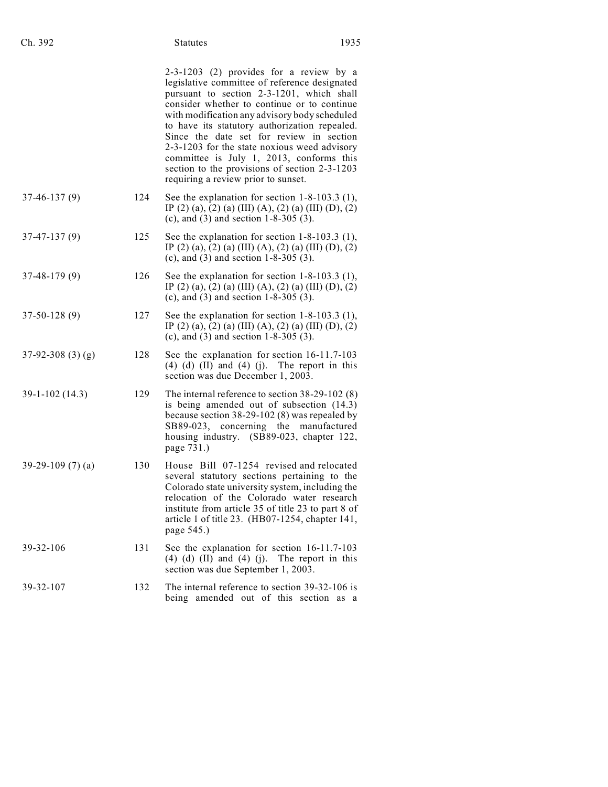| Ch. 392           |     | <b>Statutes</b>                                                                                                                                                                                                                                                                                                                                                                                                                                                                                                        | 1935 |
|-------------------|-----|------------------------------------------------------------------------------------------------------------------------------------------------------------------------------------------------------------------------------------------------------------------------------------------------------------------------------------------------------------------------------------------------------------------------------------------------------------------------------------------------------------------------|------|
|                   |     | 2-3-1203 (2) provides for a review by a<br>legislative committee of reference designated<br>pursuant to section 2-3-1201, which shall<br>consider whether to continue or to continue<br>with modification any advisory body scheduled<br>to have its statutory authorization repealed.<br>Since the date set for review in section<br>2-3-1203 for the state noxious weed advisory<br>committee is July 1, 2013, conforms this<br>section to the provisions of section 2-3-1203<br>requiring a review prior to sunset. |      |
| $37-46-137(9)$    | 124 | See the explanation for section $1-8-103.3$ (1),<br>IP (2) (a), (2) (a) (III) (A), (2) (a) (III) (D), (2)<br>(c), and $(3)$ and section 1-8-305 $(3)$ .                                                                                                                                                                                                                                                                                                                                                                |      |
| $37-47-137(9)$    | 125 | See the explanation for section $1-8-103.3$ (1),<br>IP (2) (a), (2) (a) (III) (A), (2) (a) (III) (D), (2)<br>(c), and $(3)$ and section 1-8-305 $(3)$ .                                                                                                                                                                                                                                                                                                                                                                |      |
| $37-48-179(9)$    | 126 | See the explanation for section $1-8-103.3$ (1),<br>IP (2) (a), (2) (a) (III) (A), (2) (a) (III) (D), (2)<br>(c), and $(3)$ and section 1-8-305 $(3)$ .                                                                                                                                                                                                                                                                                                                                                                |      |
| $37-50-128(9)$    | 127 | See the explanation for section $1-8-103.3$ (1),<br>IP (2) (a), (2) (a) (III) (A), (2) (a) (III) (D), (2)<br>(c), and $(3)$ and section 1-8-305 $(3)$ .                                                                                                                                                                                                                                                                                                                                                                |      |
| $37-92-308(3)(g)$ | 128 | See the explanation for section 16-11.7-103<br>$(4)$ $(d)$ $(II)$ and $(4)$ $(j)$ . The report in this<br>section was due December 1, 2003.                                                                                                                                                                                                                                                                                                                                                                            |      |
| $39-1-102(14.3)$  | 129 | The internal reference to section $38-29-102(8)$<br>is being amended out of subsection (14.3)<br>because section $38-29-102(8)$ was repealed by<br>SB89-023, concerning the manufactured<br>housing industry. (SB89-023, chapter 122,<br>page 731.)                                                                                                                                                                                                                                                                    |      |
| 39-29-109 (7) (a) | 130 | House Bill 07-1254 revised and relocated<br>several statutory sections pertaining to the<br>Colorado state university system, including the<br>relocation of the Colorado water research<br>institute from article 35 of title 23 to part 8 of<br>article 1 of title 23. (HB07-1254, chapter 141,<br>page 545.)                                                                                                                                                                                                        |      |
| 39-32-106         | 131 | See the explanation for section 16-11.7-103<br>$(4)$ (d) (II) and (4) (j).<br>The report in this<br>section was due September 1, 2003.                                                                                                                                                                                                                                                                                                                                                                                 |      |
| 39-32-107         | 132 | The internal reference to section 39-32-106 is<br>being amended out of this section as a                                                                                                                                                                                                                                                                                                                                                                                                                               |      |